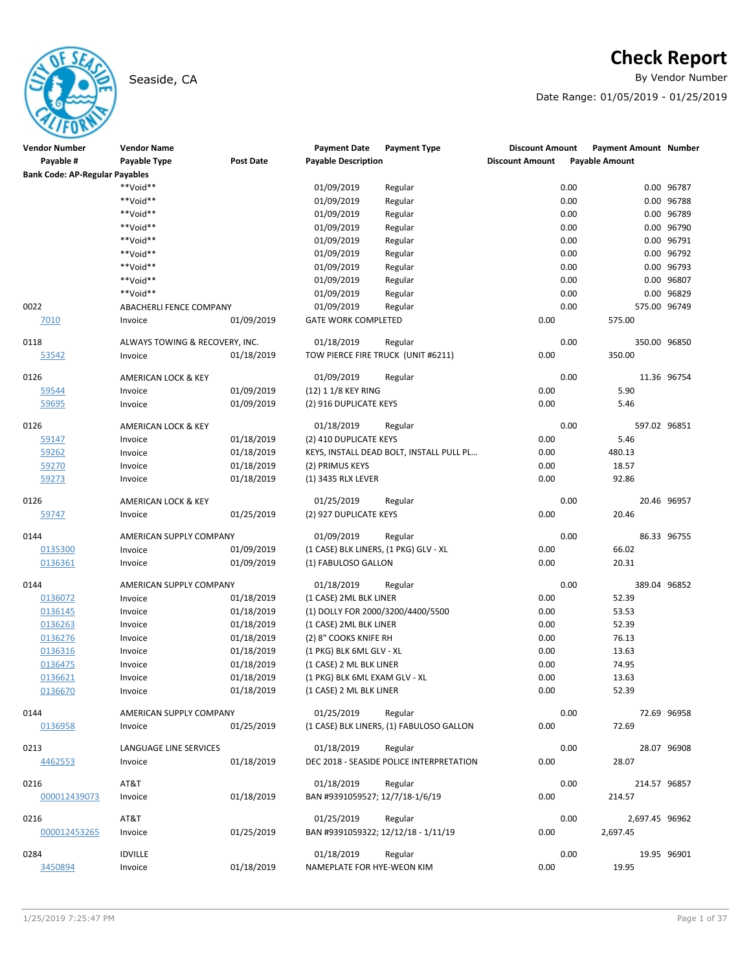# **Check Report**

Seaside, CA **By Vendor Number** 

Date Range: 01/05/2019 - 01/25/2019

| <b>Vendor Number</b>                  | <b>Vendor Name</b>             |                  | <b>Payment Date</b>                   | <b>Payment Type</b>                      | <b>Discount Amount</b> | <b>Payment Amount Number</b> |             |
|---------------------------------------|--------------------------------|------------------|---------------------------------------|------------------------------------------|------------------------|------------------------------|-------------|
| Payable #                             | Payable Type                   | <b>Post Date</b> | <b>Payable Description</b>            |                                          | <b>Discount Amount</b> | <b>Payable Amount</b>        |             |
| <b>Bank Code: AP-Regular Payables</b> |                                |                  |                                       |                                          |                        |                              |             |
|                                       | **Void**                       |                  | 01/09/2019                            | Regular                                  | 0.00                   |                              | 0.00 96787  |
|                                       | **Void**                       |                  | 01/09/2019                            | Regular                                  | 0.00                   |                              | 0.00 96788  |
|                                       | **Void**                       |                  | 01/09/2019                            | Regular                                  | 0.00                   |                              | 0.00 96789  |
|                                       | **Void**                       |                  | 01/09/2019                            | Regular                                  | 0.00                   |                              | 0.00 96790  |
|                                       | **Void**                       |                  | 01/09/2019                            | Regular                                  | 0.00                   |                              | 0.00 96791  |
|                                       | **Void**                       |                  | 01/09/2019                            | Regular                                  | 0.00                   |                              | 0.00 96792  |
|                                       | **Void**                       |                  | 01/09/2019                            | Regular                                  | 0.00                   |                              | 0.00 96793  |
|                                       | **Void**                       |                  | 01/09/2019                            | Regular                                  | 0.00                   |                              | 0.00 96807  |
|                                       | **Void**                       |                  | 01/09/2019                            | Regular                                  | 0.00                   |                              | 0.00 96829  |
| 0022                                  | ABACHERLI FENCE COMPANY        |                  | 01/09/2019                            | Regular                                  | 0.00                   | 575.00 96749                 |             |
| 7010                                  | Invoice                        | 01/09/2019       | <b>GATE WORK COMPLETED</b>            |                                          | 0.00                   | 575.00                       |             |
| 0118                                  | ALWAYS TOWING & RECOVERY, INC. |                  | 01/18/2019                            | Regular                                  | 0.00                   | 350.00 96850                 |             |
| 53542                                 | Invoice                        | 01/18/2019       | TOW PIERCE FIRE TRUCK (UNIT #6211)    |                                          | 0.00                   | 350.00                       |             |
| 0126                                  | AMERICAN LOCK & KEY            |                  | 01/09/2019                            | Regular                                  | 0.00                   |                              | 11.36 96754 |
| 59544                                 | Invoice                        | 01/09/2019       | (12) 1 1/8 KEY RING                   |                                          | 0.00                   | 5.90                         |             |
| 59695                                 | Invoice                        | 01/09/2019       | (2) 916 DUPLICATE KEYS                |                                          | 0.00                   | 5.46                         |             |
| 0126                                  | AMERICAN LOCK & KEY            |                  | 01/18/2019                            | Regular                                  | 0.00                   | 597.02 96851                 |             |
| 59147                                 | Invoice                        | 01/18/2019       | (2) 410 DUPLICATE KEYS                |                                          | 0.00                   | 5.46                         |             |
| 59262                                 | Invoice                        | 01/18/2019       |                                       | KEYS, INSTALL DEAD BOLT, INSTALL PULL PL | 0.00                   | 480.13                       |             |
| 59270                                 | Invoice                        | 01/18/2019       | (2) PRIMUS KEYS                       |                                          | 0.00                   | 18.57                        |             |
| 59273                                 | Invoice                        | 01/18/2019       | (1) 3435 RLX LEVER                    |                                          | 0.00                   | 92.86                        |             |
| 0126                                  | AMERICAN LOCK & KEY            |                  | 01/25/2019                            | Regular                                  | 0.00                   |                              | 20.46 96957 |
| 59747                                 | Invoice                        | 01/25/2019       | (2) 927 DUPLICATE KEYS                |                                          | 0.00                   | 20.46                        |             |
| 0144                                  | AMERICAN SUPPLY COMPANY        |                  | 01/09/2019                            | Regular                                  | 0.00                   |                              | 86.33 96755 |
| 0135300                               | Invoice                        | 01/09/2019       | (1 CASE) BLK LINERS, (1 PKG) GLV - XL |                                          | 0.00                   | 66.02                        |             |
| 0136361                               | Invoice                        | 01/09/2019       | (1) FABULOSO GALLON                   |                                          | 0.00                   | 20.31                        |             |
|                                       |                                |                  |                                       |                                          |                        |                              |             |
| 0144                                  | AMERICAN SUPPLY COMPANY        |                  | 01/18/2019                            | Regular                                  | 0.00                   | 389.04 96852                 |             |
| 0136072                               | Invoice                        | 01/18/2019       | (1 CASE) 2ML BLK LINER                |                                          | 0.00                   | 52.39                        |             |
| 0136145                               | Invoice                        | 01/18/2019       | (1) DOLLY FOR 2000/3200/4400/5500     |                                          | 0.00                   | 53.53                        |             |
| 0136263                               | Invoice                        | 01/18/2019       | (1 CASE) 2ML BLK LINER                |                                          | 0.00                   | 52.39                        |             |
| 0136276                               | Invoice                        | 01/18/2019       | (2) 8" COOKS KNIFE RH                 |                                          | 0.00                   | 76.13                        |             |
| 0136316                               | Invoice                        | 01/18/2019       | (1 PKG) BLK 6ML GLV - XL              |                                          | 0.00                   | 13.63                        |             |
| 0136475                               | Invoice                        | 01/18/2019       | (1 CASE) 2 ML BLK LINER               |                                          | 0.00                   | 74.95                        |             |
| 0136621                               | Invoice                        | 01/18/2019       | (1 PKG) BLK 6ML EXAM GLV - XL         |                                          | 0.00                   | 13.63                        |             |
| 0136670                               | Invoice                        | 01/18/2019       | (1 CASE) 2 ML BLK LINER               |                                          | 0.00                   | 52.39                        |             |
| 0144                                  | AMERICAN SUPPLY COMPANY        |                  | 01/25/2019                            | Regular                                  | 0.00                   |                              | 72.69 96958 |
| 0136958                               | Invoice                        | 01/25/2019       |                                       | (1 CASE) BLK LINERS, (1) FABULOSO GALLON | 0.00                   | 72.69                        |             |
| 0213                                  | LANGUAGE LINE SERVICES         |                  | 01/18/2019                            | Regular                                  | 0.00                   |                              | 28.07 96908 |
| 4462553                               | Invoice                        | 01/18/2019       |                                       | DEC 2018 - SEASIDE POLICE INTERPRETATION | 0.00                   | 28.07                        |             |
|                                       |                                |                  |                                       |                                          |                        |                              |             |
| 0216                                  | AT&T                           |                  | 01/18/2019                            | Regular                                  | 0.00                   | 214.57 96857                 |             |
| 000012439073                          | Invoice                        | 01/18/2019       | BAN #9391059527; 12/7/18-1/6/19       |                                          | 0.00                   | 214.57                       |             |
| 0216                                  | AT&T                           |                  | 01/25/2019                            | Regular                                  | 0.00                   | 2,697.45 96962               |             |
| 000012453265                          | Invoice                        | 01/25/2019       | BAN #9391059322; 12/12/18 - 1/11/19   |                                          | 0.00                   | 2,697.45                     |             |
| 0284                                  | <b>IDVILLE</b>                 |                  | 01/18/2019                            | Regular                                  | 0.00                   |                              | 19.95 96901 |
| 3450894                               | Invoice                        | 01/18/2019       | NAMEPLATE FOR HYE-WEON KIM            |                                          | 0.00                   | 19.95                        |             |
|                                       |                                |                  |                                       |                                          |                        |                              |             |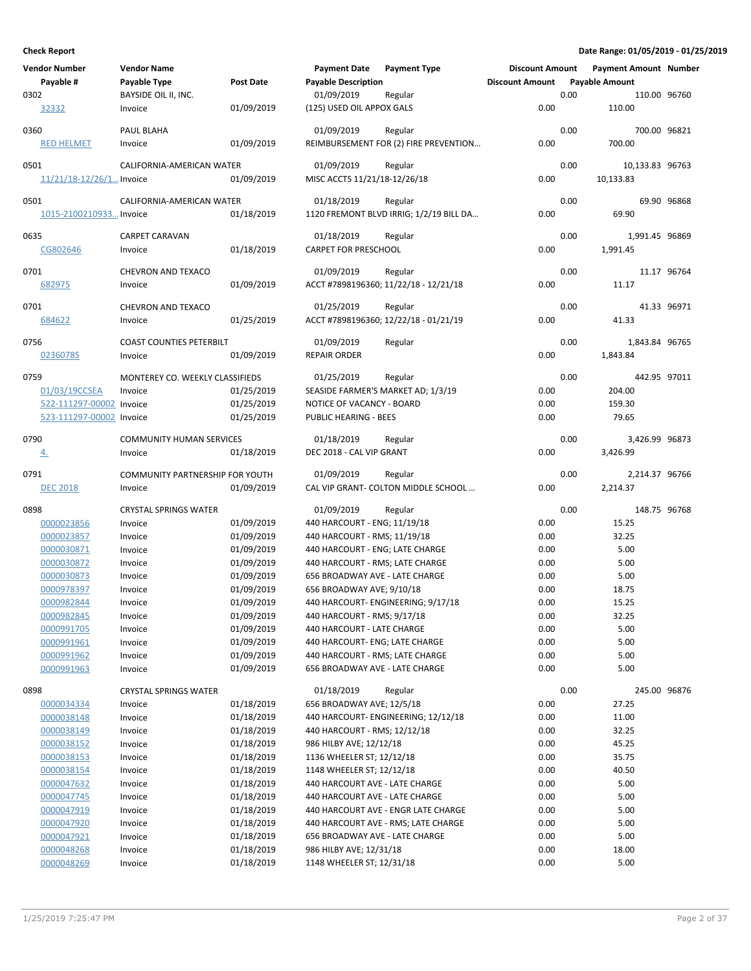| <b>Vendor Number</b>         | <b>Vendor Name</b>              |                  | <b>Payment Date</b>                | <b>Payment Type</b>                     | <b>Discount Amount</b> |      | <b>Payment Amount Number</b> |             |
|------------------------------|---------------------------------|------------------|------------------------------------|-----------------------------------------|------------------------|------|------------------------------|-------------|
| Payable #                    | Payable Type                    | <b>Post Date</b> | <b>Payable Description</b>         |                                         | <b>Discount Amount</b> |      | <b>Payable Amount</b>        |             |
| 0302                         | BAYSIDE OIL II, INC.            |                  | 01/09/2019                         | Regular                                 |                        | 0.00 | 110.00 96760                 |             |
| <u>32332</u>                 | Invoice                         | 01/09/2019       | (125) USED OIL APPOX GALS          |                                         | 0.00                   |      | 110.00                       |             |
| 0360                         | PAUL BLAHA                      |                  | 01/09/2019                         | Regular                                 |                        | 0.00 | 700.00 96821                 |             |
| <b>RED HELMET</b>            | Invoice                         | 01/09/2019       |                                    | REIMBURSEMENT FOR (2) FIRE PREVENTION   | 0.00                   |      | 700.00                       |             |
|                              |                                 |                  |                                    |                                         |                        |      |                              |             |
| 0501                         | CALIFORNIA-AMERICAN WATER       |                  | 01/09/2019                         | Regular                                 |                        | 0.00 | 10,133.83 96763              |             |
| $11/21/18 - 12/26/1$ Invoice |                                 | 01/09/2019       | MISC ACCTS 11/21/18-12/26/18       |                                         | 0.00                   |      | 10,133.83                    |             |
|                              |                                 |                  |                                    |                                         |                        |      |                              |             |
| 0501                         | CALIFORNIA-AMERICAN WATER       |                  | 01/18/2019                         | Regular                                 |                        | 0.00 |                              | 69.90 96868 |
| 1015-2100210933 Invoice      |                                 | 01/18/2019       |                                    | 1120 FREMONT BLVD IRRIG; 1/2/19 BILL DA | 0.00                   |      | 69.90                        |             |
| 0635                         | <b>CARPET CARAVAN</b>           |                  | 01/18/2019                         | Regular                                 |                        | 0.00 | 1,991.45 96869               |             |
| CG802646                     | Invoice                         | 01/18/2019       | <b>CARPET FOR PRESCHOOL</b>        |                                         | 0.00                   |      | 1,991.45                     |             |
|                              |                                 |                  |                                    |                                         |                        |      |                              |             |
| 0701                         | CHEVRON AND TEXACO              |                  | 01/09/2019                         | Regular                                 |                        | 0.00 |                              | 11.17 96764 |
| 682975                       | Invoice                         | 01/09/2019       |                                    | ACCT #7898196360; 11/22/18 - 12/21/18   | 0.00                   |      | 11.17                        |             |
| 0701                         | <b>CHEVRON AND TEXACO</b>       |                  | 01/25/2019                         | Regular                                 |                        | 0.00 |                              | 41.33 96971 |
| 684622                       | Invoice                         | 01/25/2019       |                                    | ACCT #7898196360; 12/22/18 - 01/21/19   | 0.00                   |      | 41.33                        |             |
|                              |                                 |                  |                                    |                                         |                        |      |                              |             |
| 0756                         | <b>COAST COUNTIES PETERBILT</b> |                  | 01/09/2019                         | Regular                                 |                        | 0.00 | 1,843.84 96765               |             |
| 0236078S                     | Invoice                         | 01/09/2019       | <b>REPAIR ORDER</b>                |                                         | 0.00                   |      | 1,843.84                     |             |
| 0759                         | MONTEREY CO. WEEKLY CLASSIFIEDS |                  | 01/25/2019                         | Regular                                 |                        | 0.00 | 442.95 97011                 |             |
| 01/03/19CCSEA                | Invoice                         | 01/25/2019       | SEASIDE FARMER'S MARKET AD; 1/3/19 |                                         | 0.00                   |      | 204.00                       |             |
| 522-111297-00002 Invoice     |                                 | 01/25/2019       | NOTICE OF VACANCY - BOARD          |                                         | 0.00                   |      | 159.30                       |             |
| 523-111297-00002 Invoice     |                                 | 01/25/2019       | PUBLIC HEARING - BEES              |                                         | 0.00                   |      | 79.65                        |             |
|                              |                                 |                  |                                    |                                         |                        |      |                              |             |
| 0790                         | <b>COMMUNITY HUMAN SERVICES</b> |                  | 01/18/2019                         | Regular                                 |                        | 0.00 | 3,426.99 96873               |             |
| $\overline{4}$ .             | Invoice                         | 01/18/2019       | DEC 2018 - CAL VIP GRANT           |                                         | 0.00                   |      | 3,426.99                     |             |
| 0791                         | COMMUNITY PARTNERSHIP FOR YOUTH |                  | 01/09/2019                         | Regular                                 |                        | 0.00 | 2,214.37 96766               |             |
| <b>DEC 2018</b>              | Invoice                         | 01/09/2019       |                                    | CAL VIP GRANT- COLTON MIDDLE SCHOOL     | 0.00                   |      | 2,214.37                     |             |
|                              |                                 |                  |                                    |                                         |                        |      |                              |             |
| 0898                         | <b>CRYSTAL SPRINGS WATER</b>    |                  | 01/09/2019                         | Regular                                 |                        | 0.00 | 148.75 96768                 |             |
| 0000023856                   | Invoice                         | 01/09/2019       | 440 HARCOURT - ENG; 11/19/18       |                                         | 0.00                   |      | 15.25                        |             |
| 0000023857                   | Invoice                         | 01/09/2019       | 440 HARCOURT - RMS; 11/19/18       |                                         | 0.00                   |      | 32.25                        |             |
| 0000030871                   | Invoice                         | 01/09/2019       | 440 HARCOURT - ENG; LATE CHARGE    |                                         | 0.00                   |      | 5.00                         |             |
| 0000030872                   | Invoice                         | 01/09/2019       | 440 HARCOURT - RMS; LATE CHARGE    |                                         | 0.00                   |      | 5.00                         |             |
| 0000030873                   | Invoice                         | 01/09/2019       | 656 BROADWAY AVE - LATE CHARGE     |                                         | 0.00                   |      | 5.00                         |             |
| 0000978397                   | Invoice                         | 01/09/2019       | 656 BROADWAY AVE; 9/10/18          |                                         | 0.00                   |      | 18.75                        |             |
| 0000982844                   | Invoice                         | 01/09/2019       |                                    | 440 HARCOURT- ENGINEERING; 9/17/18      | 0.00                   |      | 15.25                        |             |
| 0000982845                   | Invoice                         | 01/09/2019       | 440 HARCOURT - RMS; 9/17/18        |                                         | 0.00                   |      | 32.25                        |             |
| 0000991705                   | Invoice                         | 01/09/2019       | 440 HARCOURT - LATE CHARGE         |                                         | 0.00                   |      | 5.00                         |             |
| 0000991961                   | Invoice                         | 01/09/2019       | 440 HARCOURT- ENG; LATE CHARGE     |                                         | 0.00                   |      | 5.00                         |             |
| 0000991962                   | Invoice                         | 01/09/2019       | 440 HARCOURT - RMS; LATE CHARGE    |                                         | 0.00                   |      | 5.00                         |             |
| 0000991963                   | Invoice                         | 01/09/2019       | 656 BROADWAY AVE - LATE CHARGE     |                                         | 0.00                   |      | 5.00                         |             |
| 0898                         | <b>CRYSTAL SPRINGS WATER</b>    |                  | 01/18/2019                         | Regular                                 |                        | 0.00 | 245.00 96876                 |             |
| 0000034334                   | Invoice                         | 01/18/2019       | 656 BROADWAY AVE; 12/5/18          |                                         | 0.00                   |      | 27.25                        |             |
| 0000038148                   | Invoice                         | 01/18/2019       |                                    | 440 HARCOURT- ENGINEERING; 12/12/18     | 0.00                   |      | 11.00                        |             |
| 0000038149                   | Invoice                         | 01/18/2019       | 440 HARCOURT - RMS; 12/12/18       |                                         | 0.00                   |      | 32.25                        |             |
| 0000038152                   | Invoice                         | 01/18/2019       | 986 HILBY AVE; 12/12/18            |                                         | 0.00                   |      | 45.25                        |             |
| 0000038153                   | Invoice                         | 01/18/2019       | 1136 WHEELER ST; 12/12/18          |                                         | 0.00                   |      | 35.75                        |             |
| 0000038154                   | Invoice                         | 01/18/2019       | 1148 WHEELER ST; 12/12/18          |                                         | 0.00                   |      | 40.50                        |             |
| 0000047632                   | Invoice                         | 01/18/2019       | 440 HARCOURT AVE - LATE CHARGE     |                                         | 0.00                   |      | 5.00                         |             |
| 0000047745                   | Invoice                         | 01/18/2019       | 440 HARCOURT AVE - LATE CHARGE     |                                         | 0.00                   |      | 5.00                         |             |
| 0000047919                   | Invoice                         | 01/18/2019       |                                    | 440 HARCOURT AVE - ENGR LATE CHARGE     | 0.00                   |      | 5.00                         |             |
| 0000047920                   | Invoice                         | 01/18/2019       |                                    | 440 HARCOURT AVE - RMS; LATE CHARGE     | 0.00                   |      | 5.00                         |             |
| 0000047921                   | Invoice                         | 01/18/2019       | 656 BROADWAY AVE - LATE CHARGE     |                                         | 0.00                   |      | 5.00                         |             |
| 0000048268                   | Invoice                         | 01/18/2019       | 986 HILBY AVE; 12/31/18            |                                         | 0.00                   |      | 18.00                        |             |
| 0000048269                   | Invoice                         | 01/18/2019       | 1148 WHEELER ST; 12/31/18          |                                         | 0.00                   |      | 5.00                         |             |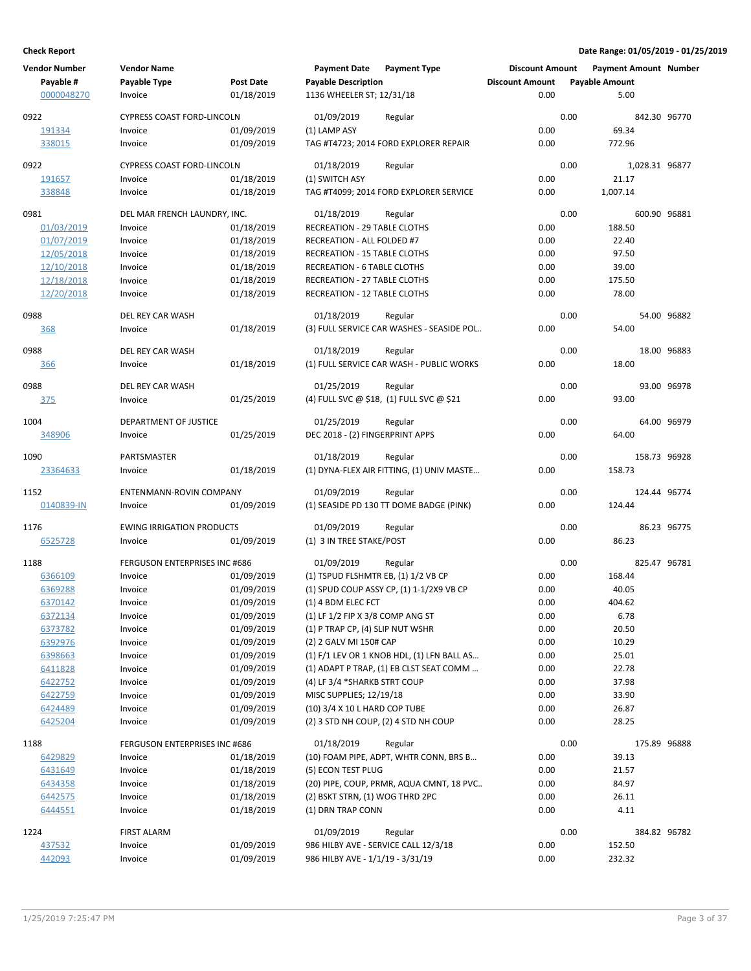| <b>Vendor Number</b> | <b>Vendor Name</b>                   |            | <b>Payment Date</b>                 | <b>Payment Type</b>                             | <b>Discount Amount</b> |      | Payment Amount Number  |             |
|----------------------|--------------------------------------|------------|-------------------------------------|-------------------------------------------------|------------------------|------|------------------------|-------------|
| Payable #            | Payable Type                         | Post Date  | <b>Payable Description</b>          |                                                 | <b>Discount Amount</b> |      | <b>Payable Amount</b>  |             |
| 0000048270           | Invoice                              | 01/18/2019 | 1136 WHEELER ST; 12/31/18           |                                                 | 0.00                   |      | 5.00                   |             |
| 0922                 | <b>CYPRESS COAST FORD-LINCOLN</b>    |            | 01/09/2019                          | Regular                                         |                        | 0.00 | 842.30 96770           |             |
| 191334               | Invoice                              | 01/09/2019 | (1) LAMP ASY                        |                                                 | 0.00                   |      | 69.34                  |             |
| 338015               | Invoice                              | 01/09/2019 |                                     | TAG #T4723; 2014 FORD EXPLORER REPAIR           | 0.00                   |      | 772.96                 |             |
|                      |                                      |            |                                     |                                                 |                        |      |                        |             |
| 0922                 | <b>CYPRESS COAST FORD-LINCOLN</b>    |            | 01/18/2019                          | Regular                                         |                        | 0.00 | 1,028.31 96877         |             |
| 191657               | Invoice                              | 01/18/2019 | (1) SWITCH ASY                      |                                                 | 0.00                   |      | 21.17                  |             |
| 338848               | Invoice                              | 01/18/2019 |                                     | TAG #T4099; 2014 FORD EXPLORER SERVICE          | 0.00                   |      | 1,007.14               |             |
| 0981                 | DEL MAR FRENCH LAUNDRY, INC.         |            | 01/18/2019                          | Regular                                         |                        | 0.00 | 600.90 96881           |             |
| 01/03/2019           | Invoice                              | 01/18/2019 | <b>RECREATION - 29 TABLE CLOTHS</b> |                                                 | 0.00                   |      | 188.50                 |             |
| 01/07/2019           | Invoice                              | 01/18/2019 | RECREATION - ALL FOLDED #7          |                                                 | 0.00                   |      | 22.40                  |             |
| 12/05/2018           | Invoice                              | 01/18/2019 | RECREATION - 15 TABLE CLOTHS        |                                                 | 0.00                   |      | 97.50                  |             |
| 12/10/2018           | Invoice                              | 01/18/2019 | <b>RECREATION - 6 TABLE CLOTHS</b>  |                                                 | 0.00                   |      | 39.00                  |             |
| 12/18/2018           | Invoice                              | 01/18/2019 | RECREATION - 27 TABLE CLOTHS        |                                                 | 0.00                   |      | 175.50                 |             |
| 12/20/2018           | Invoice                              | 01/18/2019 | RECREATION - 12 TABLE CLOTHS        |                                                 | 0.00                   |      | 78.00                  |             |
| 0988                 | DEL REY CAR WASH                     |            | 01/18/2019                          | Regular                                         |                        | 0.00 |                        | 54.00 96882 |
| <u>368</u>           | Invoice                              | 01/18/2019 |                                     | (3) FULL SERVICE CAR WASHES - SEASIDE POL       | 0.00                   |      | 54.00                  |             |
|                      |                                      |            |                                     |                                                 |                        |      |                        |             |
| 0988                 | DEL REY CAR WASH                     |            | 01/18/2019                          | Regular                                         |                        | 0.00 |                        | 18.00 96883 |
| 366                  | Invoice                              | 01/18/2019 |                                     | (1) FULL SERVICE CAR WASH - PUBLIC WORKS        | 0.00                   |      | 18.00                  |             |
| 0988                 | <b>DEL REY CAR WASH</b>              |            | 01/25/2019                          | Regular                                         |                        | 0.00 |                        | 93.00 96978 |
| 375                  | Invoice                              | 01/25/2019 |                                     | (4) FULL SVC @ \$18, (1) FULL SVC @ \$21        | 0.00                   |      | 93.00                  |             |
| 1004                 | DEPARTMENT OF JUSTICE                |            | 01/25/2019                          | Regular                                         |                        | 0.00 |                        | 64.00 96979 |
| 348906               | Invoice                              | 01/25/2019 | DEC 2018 - (2) FINGERPRINT APPS     |                                                 | 0.00                   |      | 64.00                  |             |
|                      |                                      |            |                                     |                                                 |                        |      |                        |             |
| 1090                 | PARTSMASTER                          |            | 01/18/2019                          | Regular                                         |                        | 0.00 | 158.73 96928           |             |
| 23364633             | Invoice                              | 01/18/2019 |                                     | (1) DYNA-FLEX AIR FITTING, (1) UNIV MASTE       | 0.00                   |      | 158.73                 |             |
| 1152                 | ENTENMANN-ROVIN COMPANY              |            | 01/09/2019                          | Regular                                         |                        | 0.00 | 124.44 96774           |             |
| 0140839-IN           | Invoice                              | 01/09/2019 |                                     | (1) SEASIDE PD 130 TT DOME BADGE (PINK)         | 0.00                   |      | 124.44                 |             |
| 1176                 | <b>EWING IRRIGATION PRODUCTS</b>     |            | 01/09/2019                          | Regular                                         |                        | 0.00 |                        | 86.23 96775 |
| 6525728              | Invoice                              | 01/09/2019 | (1) 3 IN TREE STAKE/POST            |                                                 | 0.00                   |      | 86.23                  |             |
|                      |                                      |            |                                     |                                                 |                        |      |                        |             |
| 1188                 | <b>FERGUSON ENTERPRISES INC #686</b> |            | 01/09/2019                          | Regular                                         |                        | 0.00 | 825.47 96781           |             |
| 6366109              | Invoice                              | 01/09/2019 | (1) TSPUD FLSHMTR EB, (1) 1/2 VB CP |                                                 | 0.00                   |      | 168.44                 |             |
| 6369288              | Invoice                              | 01/09/2019 |                                     | (1) SPUD COUP ASSY CP, (1) 1-1/2X9 VB CP        | 0.00                   |      | 40.05                  |             |
| 6370142              | Invoice                              | 01/09/2019 | (1) 4 BDM ELEC FCT                  |                                                 | 0.00                   |      | 404.62                 |             |
| 6372134              | Invoice                              | 01/09/2019 | (1) LF 1/2 FIP X 3/8 COMP ANG ST    |                                                 | 0.00                   |      | 6.78                   |             |
| 6373782              | Invoice                              | 01/09/2019 | (1) P TRAP CP, (4) SLIP NUT WSHR    |                                                 | 0.00                   |      | 20.50                  |             |
| 6392976              | Invoice                              | 01/09/2019 | (2) 2 GALV MI 150# CAP              |                                                 | 0.00                   |      | 10.29                  |             |
| 6398663              | Invoice                              | 01/09/2019 |                                     | (1) F/1 LEV OR 1 KNOB HDL, (1) LFN BALL AS      | 0.00                   |      | 25.01                  |             |
| 6411828              | Invoice                              | 01/09/2019 |                                     | (1) ADAPT P TRAP, (1) EB CLST SEAT COMM         | 0.00                   |      | 22.78                  |             |
| 6422752              | Invoice                              | 01/09/2019 | (4) LF 3/4 *SHARKB STRT COUP        |                                                 | 0.00                   |      | 37.98                  |             |
| 6422759              | Invoice                              | 01/09/2019 | MISC SUPPLIES; 12/19/18             |                                                 | 0.00                   |      | 33.90                  |             |
| 6424489              | Invoice                              | 01/09/2019 | (10) 3/4 X 10 L HARD COP TUBE       |                                                 | 0.00                   |      | 26.87                  |             |
| 6425204              | Invoice                              | 01/09/2019 |                                     | (2) 3 STD NH COUP, (2) 4 STD NH COUP            | 0.00                   |      | 28.25                  |             |
| 1188                 | FERGUSON ENTERPRISES INC #686        |            | 01/18/2019                          | Regular                                         |                        | 0.00 | 175.89 96888           |             |
| 6429829              | Invoice                              | 01/18/2019 |                                     | (10) FOAM PIPE, ADPT, WHTR CONN, BRS B          | 0.00                   |      | 39.13                  |             |
| 6431649              | Invoice                              | 01/18/2019 | (5) ECON TEST PLUG                  |                                                 | 0.00                   |      | 21.57                  |             |
| 6434358              | Invoice                              | 01/18/2019 |                                     | (20) PIPE, COUP, PRMR, AQUA CMNT, 18 PVC        | 0.00                   |      | 84.97                  |             |
| 6442575              | Invoice                              | 01/18/2019 | (2) BSKT STRN, (1) WOG THRD 2PC     |                                                 | 0.00                   |      | 26.11                  |             |
| 6444551              | Invoice                              | 01/18/2019 | (1) DRN TRAP CONN                   |                                                 | 0.00                   |      | 4.11                   |             |
|                      |                                      |            |                                     |                                                 |                        |      |                        |             |
| 1224<br>437532       | <b>FIRST ALARM</b><br>Invoice        | 01/09/2019 | 01/09/2019                          | Regular<br>986 HILBY AVE - SERVICE CALL 12/3/18 | 0.00                   | 0.00 | 384.82 96782<br>152.50 |             |
| 442093               | Invoice                              | 01/09/2019 | 986 HILBY AVE - 1/1/19 - 3/31/19    |                                                 | 0.00                   |      | 232.32                 |             |
|                      |                                      |            |                                     |                                                 |                        |      |                        |             |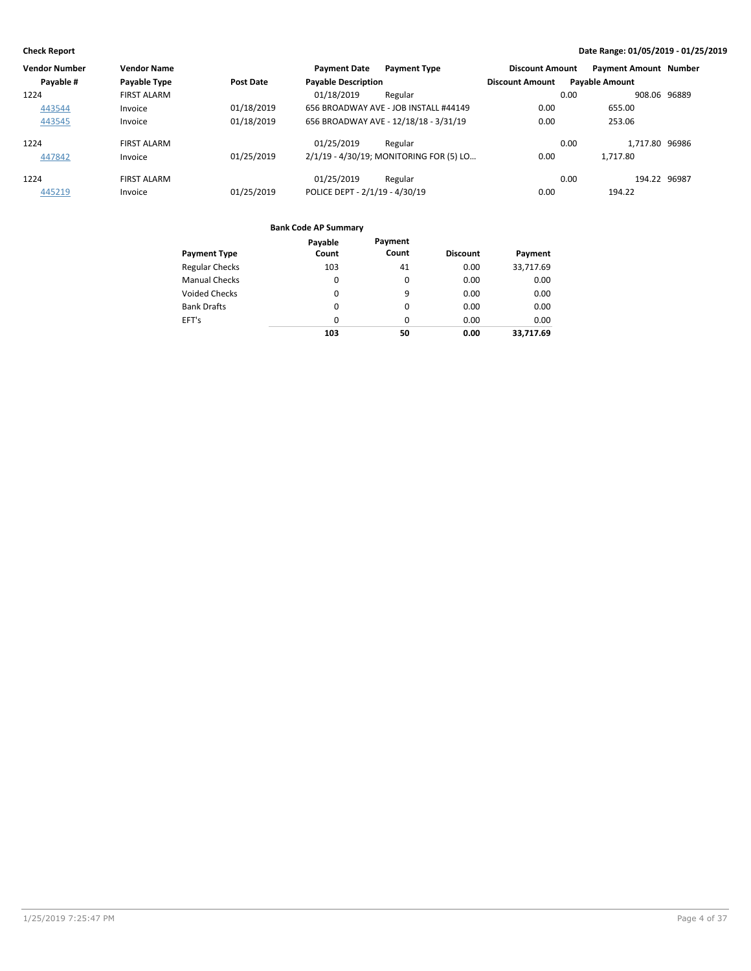| <b>Vendor Number</b> | <b>Vendor Name</b> |                  | <b>Payment Date</b><br><b>Payment Type</b> | <b>Discount Amount</b> | <b>Payment Amount Number</b> |
|----------------------|--------------------|------------------|--------------------------------------------|------------------------|------------------------------|
| Payable #            | Payable Type       | <b>Post Date</b> | <b>Payable Description</b>                 | <b>Discount Amount</b> | <b>Payable Amount</b>        |
| 1224                 | <b>FIRST ALARM</b> |                  | 01/18/2019<br>Regular                      | 0.00                   | 908.06 96889                 |
| 443544               | Invoice            | 01/18/2019       | 656 BROADWAY AVE - JOB INSTALL #44149      | 0.00                   | 655.00                       |
| 443545               | Invoice            | 01/18/2019       | 656 BROADWAY AVE - 12/18/18 - 3/31/19      | 0.00                   | 253.06                       |
| 1224                 | <b>FIRST ALARM</b> |                  | 01/25/2019<br>Regular                      | 0.00                   | 1.717.80 96986               |
| 447842               | Invoice            | 01/25/2019       | 2/1/19 - 4/30/19; MONITORING FOR (5) LO    | 0.00                   | 1.717.80                     |
| 1224                 | <b>FIRST ALARM</b> |                  | 01/25/2019<br>Regular                      | 0.00                   | 194.22 96987                 |
| 445219               | Invoice            | 01/25/2019       | POLICE DEPT - 2/1/19 - 4/30/19             | 0.00                   | 194.22                       |

|                       | Payable | Payment  |                 |           |
|-----------------------|---------|----------|-----------------|-----------|
| <b>Payment Type</b>   | Count   | Count    | <b>Discount</b> | Payment   |
| <b>Regular Checks</b> | 103     | 41       | 0.00            | 33,717.69 |
| <b>Manual Checks</b>  | 0       | 0        | 0.00            | 0.00      |
| <b>Voided Checks</b>  | 0       | 9        | 0.00            | 0.00      |
| <b>Bank Drafts</b>    | 0       | 0        | 0.00            | 0.00      |
| EFT's                 | 0       | $\Omega$ | 0.00            | 0.00      |
|                       | 103     | 50       | 0.00            | 33,717.69 |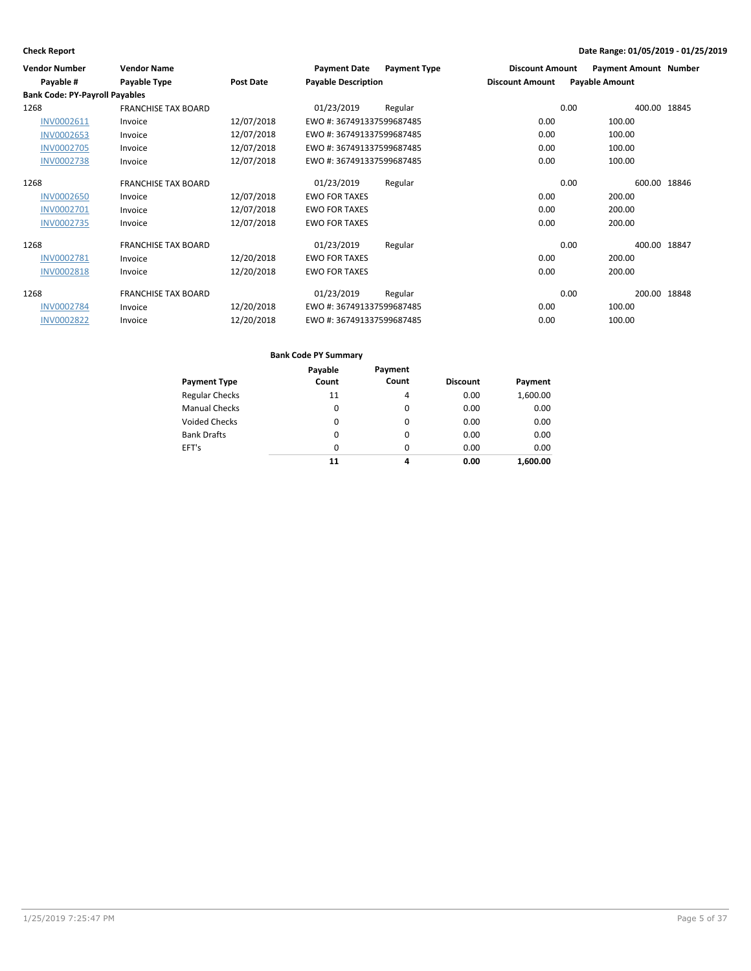| <b>Vendor Number</b>                  | <b>Vendor Name</b>         |                  | <b>Payment Date</b>        | <b>Payment Type</b> | <b>Discount Amount</b> | <b>Payment Amount Number</b> |       |
|---------------------------------------|----------------------------|------------------|----------------------------|---------------------|------------------------|------------------------------|-------|
| Payable #                             | Payable Type               | <b>Post Date</b> | <b>Payable Description</b> |                     | <b>Discount Amount</b> | <b>Payable Amount</b>        |       |
| <b>Bank Code: PY-Payroll Payables</b> |                            |                  |                            |                     |                        |                              |       |
| 1268                                  | <b>FRANCHISE TAX BOARD</b> |                  | 01/23/2019                 | Regular             |                        | 0.00<br>400.00 18845         |       |
| INV0002611                            | Invoice                    | 12/07/2018       | EWO #: 367491337599687485  |                     | 0.00                   | 100.00                       |       |
| <b>INV0002653</b>                     | Invoice                    | 12/07/2018       | EWO #: 367491337599687485  |                     | 0.00                   | 100.00                       |       |
| <b>INV0002705</b>                     | Invoice                    | 12/07/2018       | EWO #: 367491337599687485  |                     | 0.00                   | 100.00                       |       |
| <b>INV0002738</b>                     | Invoice                    | 12/07/2018       | EWO #: 367491337599687485  |                     | 0.00                   | 100.00                       |       |
| 1268                                  | <b>FRANCHISE TAX BOARD</b> |                  | 01/23/2019                 | Regular             |                        | 0.00<br>600.00               | 18846 |
| <b>INV0002650</b>                     | Invoice                    | 12/07/2018       | <b>EWO FOR TAXES</b>       |                     | 0.00                   | 200.00                       |       |
| <b>INV0002701</b>                     | Invoice                    | 12/07/2018       | <b>EWO FOR TAXES</b>       |                     | 0.00                   | 200.00                       |       |
| <b>INV0002735</b>                     | Invoice                    | 12/07/2018       | <b>EWO FOR TAXES</b>       |                     | 0.00                   | 200.00                       |       |
| 1268                                  | <b>FRANCHISE TAX BOARD</b> |                  | 01/23/2019                 | Regular             |                        | 0.00<br>400.00 18847         |       |
| INV0002781                            | Invoice                    | 12/20/2018       | <b>EWO FOR TAXES</b>       |                     | 0.00                   | 200.00                       |       |
| <b>INV0002818</b>                     | Invoice                    | 12/20/2018       | <b>EWO FOR TAXES</b>       |                     | 0.00                   | 200.00                       |       |
| 1268                                  | <b>FRANCHISE TAX BOARD</b> |                  | 01/23/2019                 | Regular             |                        | 200.00 18848<br>0.00         |       |
| <b>INV0002784</b>                     | Invoice                    | 12/20/2018       | EWO #: 367491337599687485  |                     | 0.00                   | 100.00                       |       |
| <b>INV0002822</b>                     | Invoice                    | 12/20/2018       | EWO #: 367491337599687485  |                     | 0.00                   | 100.00                       |       |

| Payment Type          | Payable<br>Count | Payment<br>Count | <b>Discount</b> | Payment  |
|-----------------------|------------------|------------------|-----------------|----------|
| <b>Regular Checks</b> | 11               | 4                | 0.00            | 1,600.00 |
| <b>Manual Checks</b>  | 0                | $\Omega$         | 0.00            | 0.00     |
| <b>Voided Checks</b>  | 0                | 0                | 0.00            | 0.00     |
| <b>Bank Drafts</b>    | 0                | $\Omega$         | 0.00            | 0.00     |
| EFT's                 | 0                | $\Omega$         | 0.00            | 0.00     |
|                       | 11               | 4                | 0.00            | 1.600.00 |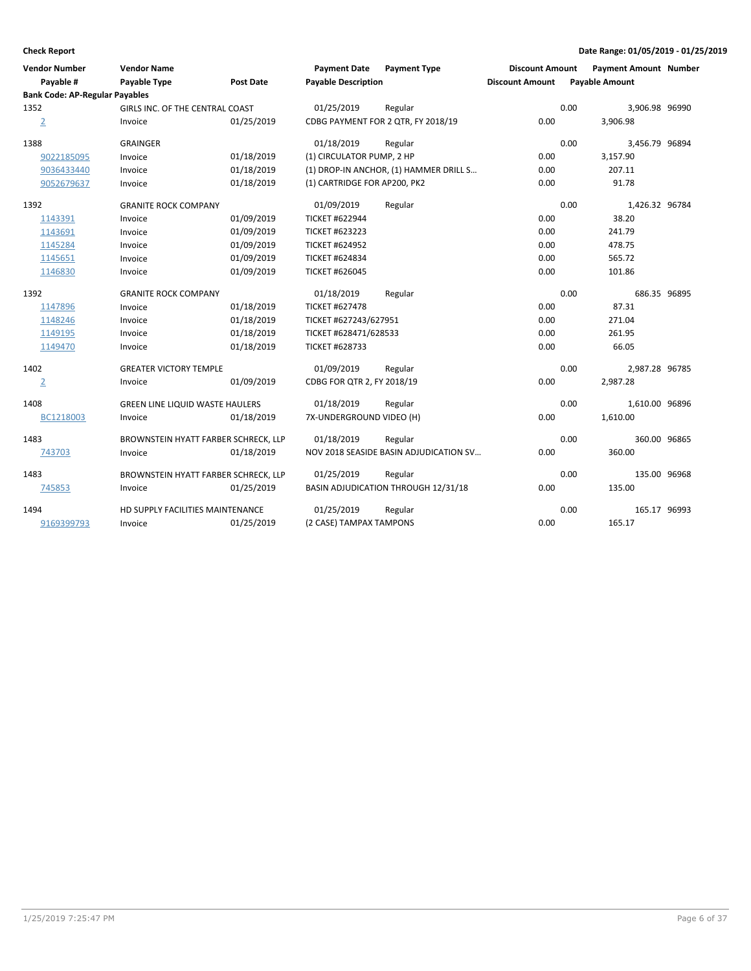| <b>Vendor Number</b><br>Payable #     | <b>Vendor Name</b><br>Payable Type     | <b>Post Date</b> | <b>Payment Date</b><br><b>Payable Description</b> | <b>Payment Type</b>                    | <b>Discount Amount</b><br><b>Discount Amount</b> |      | <b>Payment Amount Number</b><br><b>Payable Amount</b> |  |
|---------------------------------------|----------------------------------------|------------------|---------------------------------------------------|----------------------------------------|--------------------------------------------------|------|-------------------------------------------------------|--|
| <b>Bank Code: AP-Regular Payables</b> |                                        |                  |                                                   |                                        |                                                  |      |                                                       |  |
| 1352                                  | GIRLS INC. OF THE CENTRAL COAST        |                  | 01/25/2019                                        | Regular                                |                                                  | 0.00 | 3,906.98 96990                                        |  |
| $\overline{2}$                        | Invoice                                | 01/25/2019       |                                                   | CDBG PAYMENT FOR 2 QTR, FY 2018/19     | 0.00                                             |      | 3,906.98                                              |  |
| 1388                                  | <b>GRAINGER</b>                        |                  | 01/18/2019                                        | Regular                                |                                                  | 0.00 | 3,456.79 96894                                        |  |
| 9022185095                            | Invoice                                | 01/18/2019       | (1) CIRCULATOR PUMP, 2 HP                         |                                        | 0.00                                             |      | 3,157.90                                              |  |
| 9036433440                            | Invoice                                | 01/18/2019       |                                                   | (1) DROP-IN ANCHOR, (1) HAMMER DRILL S | 0.00                                             |      | 207.11                                                |  |
| 9052679637                            | Invoice                                | 01/18/2019       | (1) CARTRIDGE FOR AP200, PK2                      |                                        | 0.00                                             |      | 91.78                                                 |  |
| 1392                                  | <b>GRANITE ROCK COMPANY</b>            |                  | 01/09/2019                                        | Regular                                |                                                  | 0.00 | 1,426.32 96784                                        |  |
| 1143391                               | Invoice                                | 01/09/2019       | <b>TICKET #622944</b>                             |                                        | 0.00                                             |      | 38.20                                                 |  |
| 1143691                               | Invoice                                | 01/09/2019       | <b>TICKET #623223</b>                             |                                        | 0.00                                             |      | 241.79                                                |  |
| 1145284                               | Invoice                                | 01/09/2019       | <b>TICKET #624952</b>                             |                                        | 0.00                                             |      | 478.75                                                |  |
| 1145651                               | Invoice                                | 01/09/2019       | <b>TICKET #624834</b>                             |                                        | 0.00                                             |      | 565.72                                                |  |
| 1146830                               | Invoice                                | 01/09/2019       | <b>TICKET #626045</b>                             |                                        | 0.00                                             |      | 101.86                                                |  |
| 1392                                  | <b>GRANITE ROCK COMPANY</b>            |                  | 01/18/2019                                        | Regular                                |                                                  | 0.00 | 686.35 96895                                          |  |
| 1147896                               | Invoice                                | 01/18/2019       | <b>TICKET #627478</b>                             |                                        | 0.00                                             |      | 87.31                                                 |  |
| 1148246                               | Invoice                                | 01/18/2019       | TICKET #627243/627951                             |                                        | 0.00                                             |      | 271.04                                                |  |
| 1149195                               | Invoice                                | 01/18/2019       | TICKET #628471/628533                             |                                        | 0.00                                             |      | 261.95                                                |  |
| 1149470                               | Invoice                                | 01/18/2019       | <b>TICKET #628733</b>                             |                                        | 0.00                                             |      | 66.05                                                 |  |
| 1402                                  | <b>GREATER VICTORY TEMPLE</b>          |                  | 01/09/2019                                        | Regular                                |                                                  | 0.00 | 2,987.28 96785                                        |  |
| $\overline{2}$                        | Invoice                                | 01/09/2019       | CDBG FOR QTR 2, FY 2018/19                        |                                        | 0.00                                             |      | 2,987.28                                              |  |
| 1408                                  | <b>GREEN LINE LIQUID WASTE HAULERS</b> |                  | 01/18/2019                                        | Regular                                |                                                  | 0.00 | 1,610.00 96896                                        |  |
| BC1218003                             | Invoice                                | 01/18/2019       | 7X-UNDERGROUND VIDEO (H)                          |                                        | 0.00                                             |      | 1,610.00                                              |  |
| 1483                                  | BROWNSTEIN HYATT FARBER SCHRECK, LLP   |                  | 01/18/2019                                        | Regular                                |                                                  | 0.00 | 360.00 96865                                          |  |
| 743703                                | Invoice                                | 01/18/2019       |                                                   | NOV 2018 SEASIDE BASIN ADJUDICATION SV | 0.00                                             |      | 360.00                                                |  |
| 1483                                  | BROWNSTEIN HYATT FARBER SCHRECK, LLP   |                  | 01/25/2019                                        | Regular                                |                                                  | 0.00 | 135.00 96968                                          |  |
| 745853                                | Invoice                                | 01/25/2019       |                                                   | BASIN ADJUDICATION THROUGH 12/31/18    | 0.00                                             |      | 135.00                                                |  |
| 1494                                  | HD SUPPLY FACILITIES MAINTENANCE       |                  | 01/25/2019                                        | Regular                                |                                                  | 0.00 | 165.17 96993                                          |  |
| 9169399793                            | Invoice                                | 01/25/2019       | (2 CASE) TAMPAX TAMPONS                           |                                        | 0.00                                             |      | 165.17                                                |  |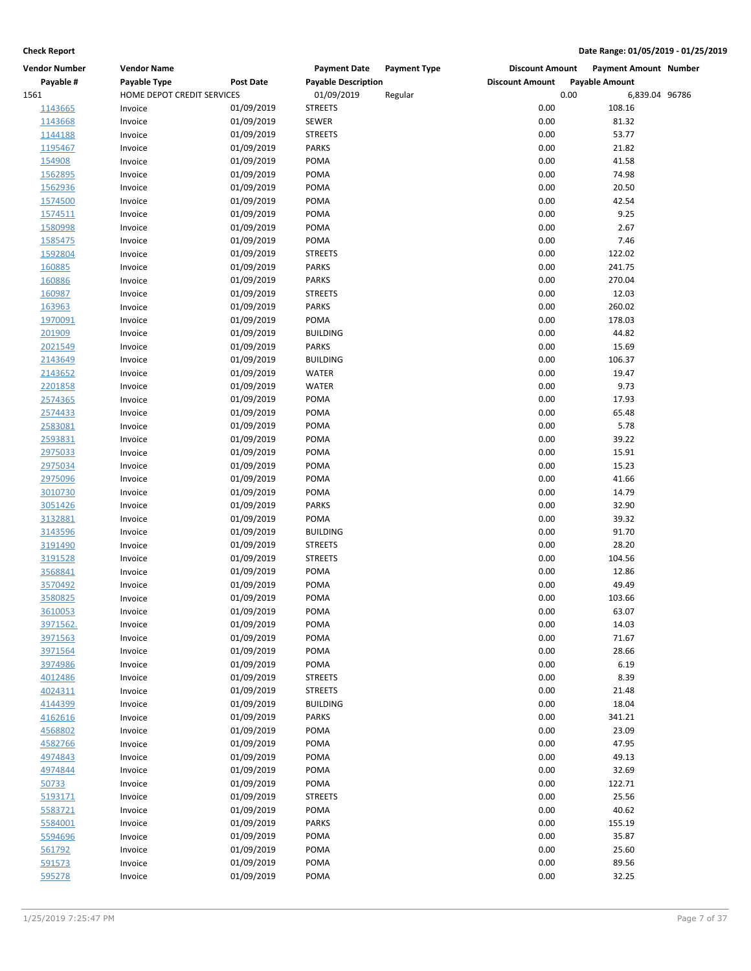| <b>Vendor Number</b> | <b>Vendor Name</b>         |                  | <b>Payment Date</b><br><b>Payment Type</b> | <b>Discount Amount</b> | <b>Payment Amount Number</b> |
|----------------------|----------------------------|------------------|--------------------------------------------|------------------------|------------------------------|
| Payable #            | Payable Type               | <b>Post Date</b> | <b>Payable Description</b>                 | <b>Discount Amount</b> | <b>Payable Amount</b>        |
| 1561                 | HOME DEPOT CREDIT SERVICES |                  | 01/09/2019<br>Regular                      | 0.00                   | 6,839.04 96786               |
| 1143665              | Invoice                    | 01/09/2019       | <b>STREETS</b>                             | 0.00                   | 108.16                       |
| 1143668              | Invoice                    | 01/09/2019       | <b>SEWER</b>                               | 0.00                   | 81.32                        |
| 1144188              | Invoice                    | 01/09/2019       | <b>STREETS</b>                             | 0.00                   | 53.77                        |
| 1195467              | Invoice                    | 01/09/2019       | <b>PARKS</b>                               | 0.00                   | 21.82                        |
| 154908               | Invoice                    | 01/09/2019       | POMA                                       | 0.00                   | 41.58                        |
| 1562895              | Invoice                    | 01/09/2019       | POMA                                       | 0.00                   | 74.98                        |
| 1562936              | Invoice                    | 01/09/2019       | POMA                                       | 0.00                   | 20.50                        |
| 1574500              | Invoice                    | 01/09/2019       | POMA                                       | 0.00                   | 42.54                        |
| 1574511              | Invoice                    | 01/09/2019       | POMA                                       | 0.00                   | 9.25                         |
| 1580998              | Invoice                    | 01/09/2019       | POMA                                       | 0.00                   | 2.67                         |
| 1585475              | Invoice                    | 01/09/2019       | POMA                                       | 0.00                   | 7.46                         |
| 1592804              | Invoice                    | 01/09/2019       | <b>STREETS</b>                             | 0.00                   | 122.02                       |
| 160885               | Invoice                    | 01/09/2019       | <b>PARKS</b>                               | 0.00                   | 241.75                       |
| 160886               | Invoice                    | 01/09/2019       | <b>PARKS</b>                               | 0.00                   | 270.04                       |
| 160987               | Invoice                    | 01/09/2019       | <b>STREETS</b>                             | 0.00                   | 12.03                        |
| 163963               | Invoice                    | 01/09/2019       | <b>PARKS</b>                               | 0.00                   | 260.02                       |
| 1970091              | Invoice                    | 01/09/2019       | POMA                                       | 0.00                   | 178.03                       |
| 201909               | Invoice                    | 01/09/2019       | <b>BUILDING</b>                            | 0.00                   | 44.82                        |
| 2021549              | Invoice                    | 01/09/2019       | <b>PARKS</b>                               | 0.00                   | 15.69                        |
| 2143649              | Invoice                    | 01/09/2019       | <b>BUILDING</b>                            | 0.00                   | 106.37                       |
| 2143652              | Invoice                    | 01/09/2019       | <b>WATER</b>                               | 0.00                   | 19.47                        |
| 2201858              | Invoice                    | 01/09/2019       | <b>WATER</b>                               | 0.00                   | 9.73                         |
| 2574365              | Invoice                    | 01/09/2019       | POMA                                       | 0.00                   | 17.93                        |
| 2574433              | Invoice                    | 01/09/2019       | POMA                                       | 0.00                   | 65.48                        |
| 2583081              | Invoice                    | 01/09/2019       | POMA                                       | 0.00                   | 5.78                         |
| 2593831              | Invoice                    | 01/09/2019       | POMA                                       | 0.00                   | 39.22                        |
| 2975033              | Invoice                    | 01/09/2019       | POMA                                       | 0.00                   | 15.91                        |
| 2975034              | Invoice                    | 01/09/2019       | <b>POMA</b>                                | 0.00                   | 15.23                        |
| 2975096              | Invoice                    | 01/09/2019       | POMA                                       | 0.00                   | 41.66                        |
| 3010730              | Invoice                    | 01/09/2019       | POMA                                       | 0.00                   | 14.79                        |
| 3051426              | Invoice                    | 01/09/2019       | <b>PARKS</b>                               | 0.00                   | 32.90                        |
| 3132881              | Invoice                    | 01/09/2019       | POMA                                       | 0.00                   | 39.32                        |
| 3143596              | Invoice                    | 01/09/2019       | <b>BUILDING</b>                            | 0.00                   | 91.70                        |
| 3191490              | Invoice                    | 01/09/2019       | <b>STREETS</b>                             | 0.00                   | 28.20                        |
| 3191528              | Invoice                    | 01/09/2019       | <b>STREETS</b>                             | 0.00                   | 104.56                       |
| 3568841              | Invoice                    | 01/09/2019       | POMA                                       | 0.00                   | 12.86                        |
| 3570492              | Invoice                    | 01/09/2019       | POMA                                       | 0.00                   | 49.49                        |
| 3580825              | Invoice                    | 01/09/2019       | POMA                                       | 0.00                   | 103.66                       |
| 3610053              | Invoice                    | 01/09/2019       | POMA                                       | 0.00                   | 63.07                        |
| 3971562.             | Invoice                    | 01/09/2019       | POMA                                       | 0.00                   | 14.03                        |
| 3971563              | Invoice                    | 01/09/2019       | POMA                                       | 0.00                   | 71.67                        |
| 3971564              | Invoice                    | 01/09/2019       | POMA                                       | 0.00                   | 28.66                        |
| 3974986              | Invoice                    | 01/09/2019       | POMA                                       | 0.00                   | 6.19                         |
| 4012486              | Invoice                    | 01/09/2019       | <b>STREETS</b>                             | 0.00                   | 8.39                         |
| 4024311              | Invoice                    | 01/09/2019       | <b>STREETS</b>                             | 0.00                   | 21.48                        |
| 4144399              | Invoice                    | 01/09/2019       | <b>BUILDING</b>                            | 0.00                   | 18.04                        |
| 4162616              | Invoice                    | 01/09/2019       | <b>PARKS</b>                               | 0.00                   | 341.21                       |
| 4568802              | Invoice                    | 01/09/2019       | POMA                                       | 0.00                   | 23.09                        |
| 4582766              | Invoice                    | 01/09/2019       | POMA                                       | 0.00                   | 47.95                        |
| 4974843              | Invoice                    | 01/09/2019       | POMA                                       | 0.00                   | 49.13                        |
| 4974844              | Invoice                    | 01/09/2019       | POMA                                       | 0.00                   | 32.69                        |
| 50733                | Invoice                    | 01/09/2019       | POMA                                       | 0.00                   | 122.71                       |
| 5193171              | Invoice                    | 01/09/2019       | <b>STREETS</b>                             | 0.00                   | 25.56                        |
| 5583721              | Invoice                    | 01/09/2019       | POMA                                       | 0.00                   | 40.62                        |
| 5584001              | Invoice                    | 01/09/2019       | <b>PARKS</b>                               | 0.00                   | 155.19                       |
| 5594696              | Invoice                    | 01/09/2019       | POMA                                       | 0.00                   | 35.87                        |
| 561792               | Invoice                    | 01/09/2019       | POMA                                       | 0.00                   | 25.60                        |
| 591573               | Invoice                    | 01/09/2019       | POMA                                       | 0.00                   | 89.56                        |
| 595278               | Invoice                    | 01/09/2019       | POMA                                       | 0.00                   | 32.25                        |
|                      |                            |                  |                                            |                        |                              |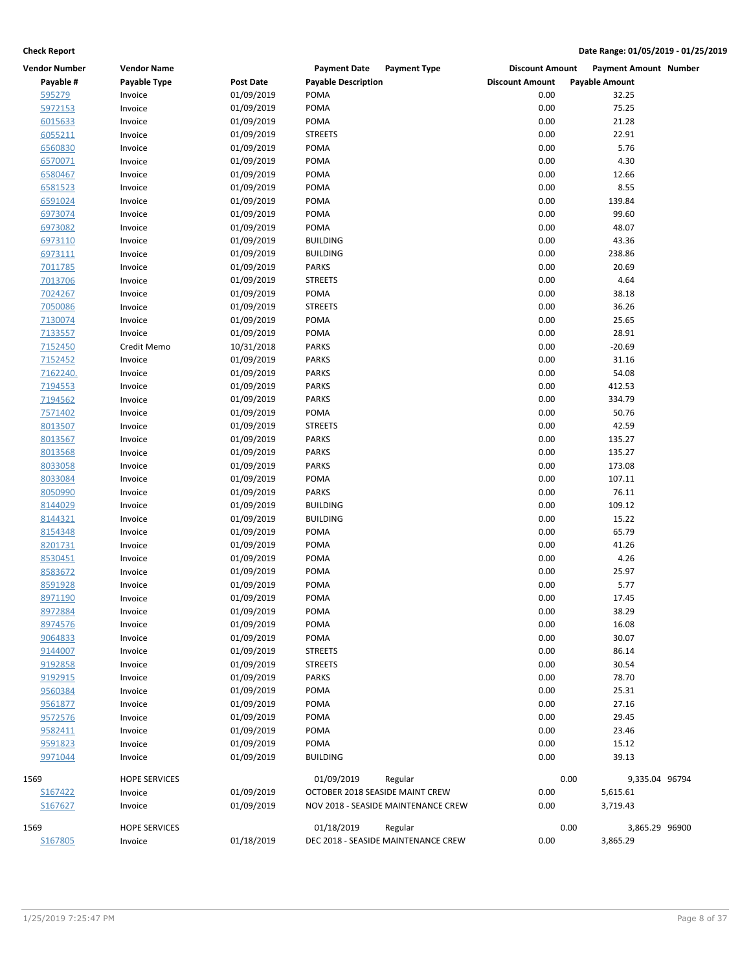| <b>Vendor Number</b> | <b>Vendor Name</b>   |                          | <b>Payment Date</b><br><b>Payment Type</b> | <b>Discount Amount</b> | <b>Payment Amount Number</b> |
|----------------------|----------------------|--------------------------|--------------------------------------------|------------------------|------------------------------|
| Payable #            | Payable Type         | <b>Post Date</b>         | <b>Payable Description</b>                 | <b>Discount Amount</b> | <b>Payable Amount</b>        |
| 595279               | Invoice              | 01/09/2019               | POMA                                       | 0.00                   | 32.25                        |
| 5972153              | Invoice              | 01/09/2019               | POMA                                       | 0.00                   | 75.25                        |
| 6015633              | Invoice              | 01/09/2019               | POMA                                       | 0.00                   | 21.28                        |
| 6055211              | Invoice              | 01/09/2019               | <b>STREETS</b>                             | 0.00                   | 22.91                        |
| 6560830              | Invoice              | 01/09/2019               | POMA                                       | 0.00                   | 5.76                         |
| 6570071              | Invoice              | 01/09/2019               | POMA                                       | 0.00                   | 4.30                         |
| 6580467              | Invoice              | 01/09/2019               | POMA                                       | 0.00                   | 12.66                        |
| 6581523              | Invoice              | 01/09/2019               | POMA                                       | 0.00                   | 8.55                         |
| 6591024              | Invoice              | 01/09/2019               | POMA                                       | 0.00                   | 139.84                       |
| 6973074              | Invoice              | 01/09/2019               | POMA                                       | 0.00                   | 99.60                        |
| 6973082              | Invoice              | 01/09/2019               | POMA                                       | 0.00                   | 48.07                        |
| 6973110              | Invoice              | 01/09/2019               | <b>BUILDING</b>                            | 0.00                   | 43.36                        |
| 6973111              | Invoice              | 01/09/2019               | <b>BUILDING</b>                            | 0.00                   | 238.86                       |
| 7011785              | Invoice              | 01/09/2019               | PARKS                                      | 0.00                   | 20.69                        |
| 7013706              | Invoice              | 01/09/2019               | <b>STREETS</b>                             | 0.00                   | 4.64                         |
| 7024267              | Invoice              | 01/09/2019               | POMA                                       | 0.00                   | 38.18                        |
| 7050086              | Invoice              | 01/09/2019               | <b>STREETS</b>                             | 0.00                   | 36.26                        |
| 7130074              | Invoice              | 01/09/2019               | POMA                                       | 0.00                   | 25.65                        |
| 7133557              | Invoice              | 01/09/2019               | POMA                                       | 0.00                   | 28.91                        |
| 7152450              | Credit Memo          | 10/31/2018               | <b>PARKS</b>                               | 0.00                   | $-20.69$                     |
| 7152452              | Invoice              | 01/09/2019               | PARKS                                      | 0.00                   | 31.16                        |
| 7162240.             | Invoice              | 01/09/2019               | <b>PARKS</b>                               | 0.00                   | 54.08                        |
| 7194553              | Invoice              | 01/09/2019               | <b>PARKS</b>                               | 0.00                   | 412.53                       |
| 7194562              | Invoice              | 01/09/2019               | <b>PARKS</b>                               | 0.00                   | 334.79                       |
| 7571402              | Invoice              | 01/09/2019               | POMA                                       | 0.00                   | 50.76                        |
| 8013507              | Invoice              | 01/09/2019               | <b>STREETS</b>                             | 0.00                   | 42.59                        |
| 8013567              | Invoice              | 01/09/2019               | <b>PARKS</b>                               | 0.00                   | 135.27                       |
| 8013568              | Invoice              | 01/09/2019               | <b>PARKS</b>                               | 0.00                   | 135.27                       |
| 8033058              | Invoice              | 01/09/2019               | <b>PARKS</b>                               | 0.00                   | 173.08                       |
| 8033084              | Invoice              | 01/09/2019               | POMA                                       | 0.00                   | 107.11                       |
| 8050990              | Invoice              | 01/09/2019               | <b>PARKS</b>                               | 0.00                   | 76.11                        |
| 8144029              | Invoice              | 01/09/2019               | <b>BUILDING</b>                            | 0.00                   | 109.12                       |
| 8144321              | Invoice              | 01/09/2019               | <b>BUILDING</b>                            | 0.00                   | 15.22                        |
|                      |                      |                          |                                            |                        |                              |
| 8154348              | Invoice              | 01/09/2019               | POMA                                       | 0.00                   | 65.79                        |
| 8201731              | Invoice              | 01/09/2019               | POMA                                       | 0.00                   | 41.26                        |
| 8530451              | Invoice              | 01/09/2019<br>01/09/2019 | POMA                                       | 0.00                   | 4.26                         |
| 8583672              | Invoice              |                          | POMA                                       | 0.00                   | 25.97                        |
| 8591928              | Invoice              | 01/09/2019               | POMA                                       | 0.00                   | 5.77                         |
| 8971190              | Invoice              | 01/09/2019               | POMA                                       | 0.00                   | 17.45                        |
| 8972884              | Invoice              | 01/09/2019               | POMA                                       | 0.00                   | 38.29                        |
| 8974576              | Invoice              | 01/09/2019               | POMA                                       | 0.00                   | 16.08                        |
| 9064833              | Invoice              | 01/09/2019               | POMA                                       | 0.00                   | 30.07                        |
| 9144007              | Invoice              | 01/09/2019               | <b>STREETS</b>                             | 0.00                   | 86.14                        |
| 9192858              | Invoice              | 01/09/2019               | <b>STREETS</b>                             | 0.00                   | 30.54                        |
| 9192915              | Invoice              | 01/09/2019               | <b>PARKS</b>                               | 0.00                   | 78.70                        |
| 9560384              | Invoice              | 01/09/2019               | POMA                                       | 0.00                   | 25.31                        |
| 9561877              | Invoice              | 01/09/2019               | POMA                                       | 0.00                   | 27.16                        |
| 9572576              | Invoice              | 01/09/2019               | POMA                                       | 0.00                   | 29.45                        |
| 9582411              | Invoice              | 01/09/2019               | POMA                                       | 0.00                   | 23.46                        |
| 9591823              | Invoice              | 01/09/2019               | POMA                                       | 0.00                   | 15.12                        |
| 9971044              | Invoice              | 01/09/2019               | <b>BUILDING</b>                            | 0.00                   | 39.13                        |
| 1569                 | <b>HOPE SERVICES</b> |                          | 01/09/2019<br>Regular                      | 0.00                   | 9,335.04 96794               |
| S167422              | Invoice              | 01/09/2019               | OCTOBER 2018 SEASIDE MAINT CREW            | 0.00                   | 5,615.61                     |
| S167627              | Invoice              | 01/09/2019               | NOV 2018 - SEASIDE MAINTENANCE CREW        | 0.00                   | 3,719.43                     |
| 1569                 | <b>HOPE SERVICES</b> |                          | 01/18/2019<br>Regular                      | 0.00                   | 3,865.29 96900               |
| S167805              | Invoice              | 01/18/2019               | DEC 2018 - SEASIDE MAINTENANCE CREW        | 0.00                   | 3,865.29                     |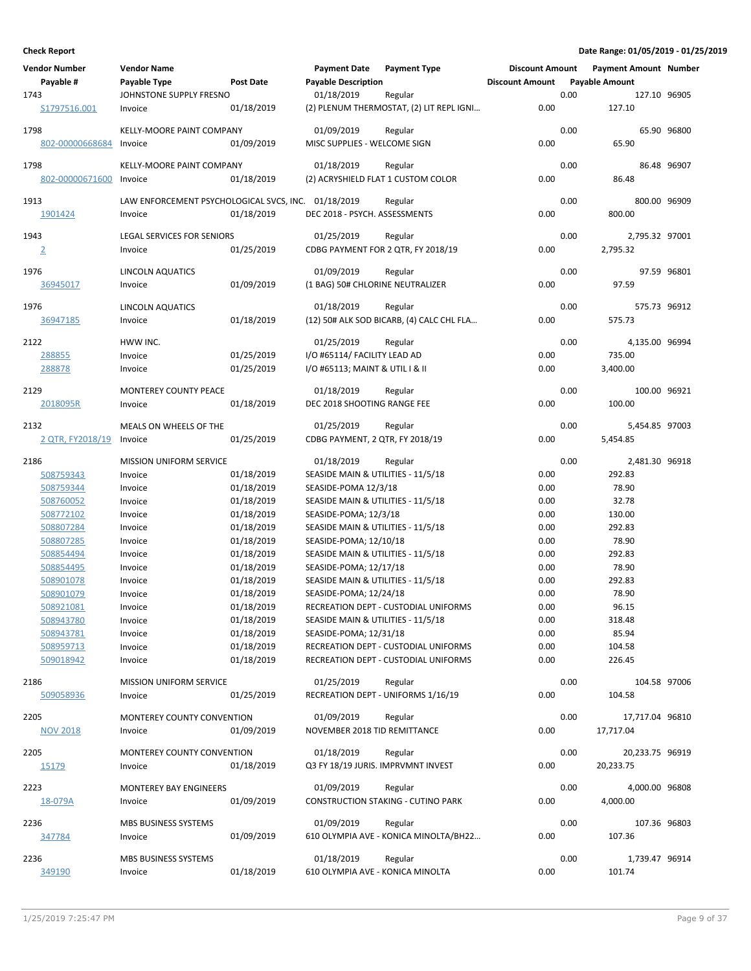| <b>Vendor Number</b><br>Payable #<br>1743                                                                                                                                                                                            | <b>Vendor Name</b><br>Payable Type<br>JOHNSTONE SUPPLY FRESNO                                                                                                                                                                                                           | <b>Post Date</b>                                                                                                                                                                                                             | <b>Payment Date</b><br><b>Payable Description</b><br>01/18/2019                                                                                                                                                                                                                                                                                                                                                                                                           | <b>Payment Type</b><br>Regular                                                                                                                        | <b>Discount Amount</b><br><b>Discount Amount</b>                                                                             | 0.00                 | <b>Payment Amount Number</b><br><b>Payable Amount</b><br>127.10 96905                                                                                                                                      |             |
|--------------------------------------------------------------------------------------------------------------------------------------------------------------------------------------------------------------------------------------|-------------------------------------------------------------------------------------------------------------------------------------------------------------------------------------------------------------------------------------------------------------------------|------------------------------------------------------------------------------------------------------------------------------------------------------------------------------------------------------------------------------|---------------------------------------------------------------------------------------------------------------------------------------------------------------------------------------------------------------------------------------------------------------------------------------------------------------------------------------------------------------------------------------------------------------------------------------------------------------------------|-------------------------------------------------------------------------------------------------------------------------------------------------------|------------------------------------------------------------------------------------------------------------------------------|----------------------|------------------------------------------------------------------------------------------------------------------------------------------------------------------------------------------------------------|-------------|
| S1797516.001                                                                                                                                                                                                                         | Invoice                                                                                                                                                                                                                                                                 | 01/18/2019                                                                                                                                                                                                                   |                                                                                                                                                                                                                                                                                                                                                                                                                                                                           | (2) PLENUM THERMOSTAT, (2) LIT REPL IGNI                                                                                                              | 0.00                                                                                                                         |                      | 127.10                                                                                                                                                                                                     |             |
| 1798<br>802-00000668684                                                                                                                                                                                                              | <b>KELLY-MOORE PAINT COMPANY</b><br>Invoice                                                                                                                                                                                                                             | 01/09/2019                                                                                                                                                                                                                   | 01/09/2019<br>MISC SUPPLIES - WELCOME SIGN                                                                                                                                                                                                                                                                                                                                                                                                                                | Regular                                                                                                                                               | 0.00                                                                                                                         | 0.00                 | 65.90                                                                                                                                                                                                      | 65.90 96800 |
| 1798<br>802-00000671600                                                                                                                                                                                                              | KELLY-MOORE PAINT COMPANY<br>Invoice                                                                                                                                                                                                                                    | 01/18/2019                                                                                                                                                                                                                   | 01/18/2019<br>(2) ACRYSHIELD FLAT 1 CUSTOM COLOR                                                                                                                                                                                                                                                                                                                                                                                                                          | Regular                                                                                                                                               | 0.00                                                                                                                         | 0.00                 | 86.48                                                                                                                                                                                                      | 86.48 96907 |
| 1913<br>1901424                                                                                                                                                                                                                      | LAW ENFORCEMENT PSYCHOLOGICAL SVCS, INC. 01/18/2019<br>Invoice                                                                                                                                                                                                          | 01/18/2019                                                                                                                                                                                                                   | DEC 2018 - PSYCH. ASSESSMENTS                                                                                                                                                                                                                                                                                                                                                                                                                                             | Regular                                                                                                                                               | 0.00                                                                                                                         | 0.00                 | 800.00 96909<br>800.00                                                                                                                                                                                     |             |
| 1943<br>$\overline{2}$                                                                                                                                                                                                               | <b>LEGAL SERVICES FOR SENIORS</b><br>Invoice                                                                                                                                                                                                                            | 01/25/2019                                                                                                                                                                                                                   | 01/25/2019<br>CDBG PAYMENT FOR 2 QTR, FY 2018/19                                                                                                                                                                                                                                                                                                                                                                                                                          | Regular                                                                                                                                               | 0.00                                                                                                                         | 0.00                 | 2,795.32 97001<br>2,795.32                                                                                                                                                                                 |             |
| 1976<br>36945017                                                                                                                                                                                                                     | <b>LINCOLN AQUATICS</b><br>Invoice                                                                                                                                                                                                                                      | 01/09/2019                                                                                                                                                                                                                   | 01/09/2019<br>(1 BAG) 50# CHLORINE NEUTRALIZER                                                                                                                                                                                                                                                                                                                                                                                                                            | Regular                                                                                                                                               | 0.00                                                                                                                         | 0.00                 | 97.59                                                                                                                                                                                                      | 97.59 96801 |
| 1976<br>36947185                                                                                                                                                                                                                     | <b>LINCOLN AQUATICS</b><br>Invoice                                                                                                                                                                                                                                      | 01/18/2019                                                                                                                                                                                                                   | 01/18/2019                                                                                                                                                                                                                                                                                                                                                                                                                                                                | Regular<br>(12) 50# ALK SOD BICARB, (4) CALC CHL FLA                                                                                                  | 0.00                                                                                                                         | 0.00                 | 575.73 96912<br>575.73                                                                                                                                                                                     |             |
| 2122<br>288855<br>288878                                                                                                                                                                                                             | HWW INC.<br>Invoice<br>Invoice                                                                                                                                                                                                                                          | 01/25/2019<br>01/25/2019                                                                                                                                                                                                     | 01/25/2019<br>I/O #65114/ FACILITY LEAD AD<br>I/O #65113; MAINT & UTIL I & II                                                                                                                                                                                                                                                                                                                                                                                             | Regular                                                                                                                                               | 0.00<br>0.00                                                                                                                 | 0.00                 | 4,135.00 96994<br>735.00<br>3,400.00                                                                                                                                                                       |             |
| 2129<br>2018095R                                                                                                                                                                                                                     | MONTEREY COUNTY PEACE<br>Invoice                                                                                                                                                                                                                                        | 01/18/2019                                                                                                                                                                                                                   | 01/18/2019<br>DEC 2018 SHOOTING RANGE FEE                                                                                                                                                                                                                                                                                                                                                                                                                                 | Regular                                                                                                                                               | 0.00                                                                                                                         | 0.00                 | 100.00 96921<br>100.00                                                                                                                                                                                     |             |
| 2132<br>2 QTR, FY2018/19                                                                                                                                                                                                             | MEALS ON WHEELS OF THE<br>Invoice                                                                                                                                                                                                                                       | 01/25/2019                                                                                                                                                                                                                   | 01/25/2019<br>CDBG PAYMENT, 2 QTR, FY 2018/19                                                                                                                                                                                                                                                                                                                                                                                                                             | Regular                                                                                                                                               | 0.00                                                                                                                         | 0.00                 | 5,454.85 97003<br>5,454.85                                                                                                                                                                                 |             |
| 2186<br>508759343<br>508759344<br>508760052<br>508772102<br>508807284<br>508807285<br>508854494<br>508854495<br>508901078<br>508901079<br>508921081<br>508943780<br>508943781<br>508959713<br>509018942<br>2186<br>509058936<br>2205 | <b>MISSION UNIFORM SERVICE</b><br>Invoice<br>Invoice<br>Invoice<br>Invoice<br>Invoice<br>Invoice<br>Invoice<br>Invoice<br>Invoice<br>Invoice<br>Invoice<br>Invoice<br>Invoice<br>Invoice<br>Invoice<br>MISSION UNIFORM SERVICE<br>Invoice<br>MONTEREY COUNTY CONVENTION | 01/18/2019<br>01/18/2019<br>01/18/2019<br>01/18/2019<br>01/18/2019<br>01/18/2019<br>01/18/2019<br>01/18/2019<br>01/18/2019<br>01/18/2019<br>01/18/2019<br>01/18/2019<br>01/18/2019<br>01/18/2019<br>01/18/2019<br>01/25/2019 | 01/18/2019<br>SEASIDE MAIN & UTILITIES - 11/5/18<br>SEASIDE-POMA 12/3/18<br>SEASIDE MAIN & UTILITIES - 11/5/18<br>SEASIDE-POMA; 12/3/18<br>SEASIDE MAIN & UTILITIES - 11/5/18<br>SEASIDE-POMA; 12/10/18<br>SEASIDE MAIN & UTILITIES - 11/5/18<br>SEASIDE-POMA; 12/17/18<br>SEASIDE MAIN & UTILITIES - 11/5/18<br>SEASIDE-POMA; 12/24/18<br>SEASIDE MAIN & UTILITIES - 11/5/18<br>SEASIDE-POMA; 12/31/18<br>01/25/2019<br>RECREATION DEPT - UNIFORMS 1/16/19<br>01/09/2019 | Regular<br>RECREATION DEPT - CUSTODIAL UNIFORMS<br>RECREATION DEPT - CUSTODIAL UNIFORMS<br>RECREATION DEPT - CUSTODIAL UNIFORMS<br>Regular<br>Regular | 0.00<br>0.00<br>0.00<br>0.00<br>0.00<br>0.00<br>0.00<br>0.00<br>0.00<br>0.00<br>0.00<br>0.00<br>0.00<br>0.00<br>0.00<br>0.00 | 0.00<br>0.00<br>0.00 | 2,481.30 96918<br>292.83<br>78.90<br>32.78<br>130.00<br>292.83<br>78.90<br>292.83<br>78.90<br>292.83<br>78.90<br>96.15<br>318.48<br>85.94<br>104.58<br>226.45<br>104.58 97006<br>104.58<br>17,717.04 96810 |             |
| <b>NOV 2018</b>                                                                                                                                                                                                                      | Invoice                                                                                                                                                                                                                                                                 | 01/09/2019                                                                                                                                                                                                                   | NOVEMBER 2018 TID REMITTANCE                                                                                                                                                                                                                                                                                                                                                                                                                                              |                                                                                                                                                       | 0.00                                                                                                                         |                      | 17,717.04                                                                                                                                                                                                  |             |
| 2205<br>15179                                                                                                                                                                                                                        | MONTEREY COUNTY CONVENTION<br>Invoice                                                                                                                                                                                                                                   | 01/18/2019                                                                                                                                                                                                                   | 01/18/2019<br>Q3 FY 18/19 JURIS. IMPRVMNT INVEST                                                                                                                                                                                                                                                                                                                                                                                                                          | Regular                                                                                                                                               | 0.00                                                                                                                         | 0.00                 | 20,233.75 96919<br>20,233.75                                                                                                                                                                               |             |
| 2223<br>18-079A                                                                                                                                                                                                                      | <b>MONTEREY BAY ENGINEERS</b><br>Invoice                                                                                                                                                                                                                                | 01/09/2019                                                                                                                                                                                                                   | 01/09/2019                                                                                                                                                                                                                                                                                                                                                                                                                                                                | Regular<br><b>CONSTRUCTION STAKING - CUTINO PARK</b>                                                                                                  | 0.00                                                                                                                         | 0.00                 | 4,000.00 96808<br>4,000.00                                                                                                                                                                                 |             |
| 2236<br>347784                                                                                                                                                                                                                       | MBS BUSINESS SYSTEMS<br>Invoice                                                                                                                                                                                                                                         | 01/09/2019                                                                                                                                                                                                                   | 01/09/2019                                                                                                                                                                                                                                                                                                                                                                                                                                                                | Regular<br>610 OLYMPIA AVE - KONICA MINOLTA/BH22                                                                                                      | 0.00                                                                                                                         | 0.00                 | 107.36 96803<br>107.36                                                                                                                                                                                     |             |
| 2236<br>349190                                                                                                                                                                                                                       | MBS BUSINESS SYSTEMS<br>Invoice                                                                                                                                                                                                                                         | 01/18/2019                                                                                                                                                                                                                   | 01/18/2019<br>610 OLYMPIA AVE - KONICA MINOLTA                                                                                                                                                                                                                                                                                                                                                                                                                            | Regular                                                                                                                                               | 0.00                                                                                                                         | 0.00                 | 1,739.47 96914<br>101.74                                                                                                                                                                                   |             |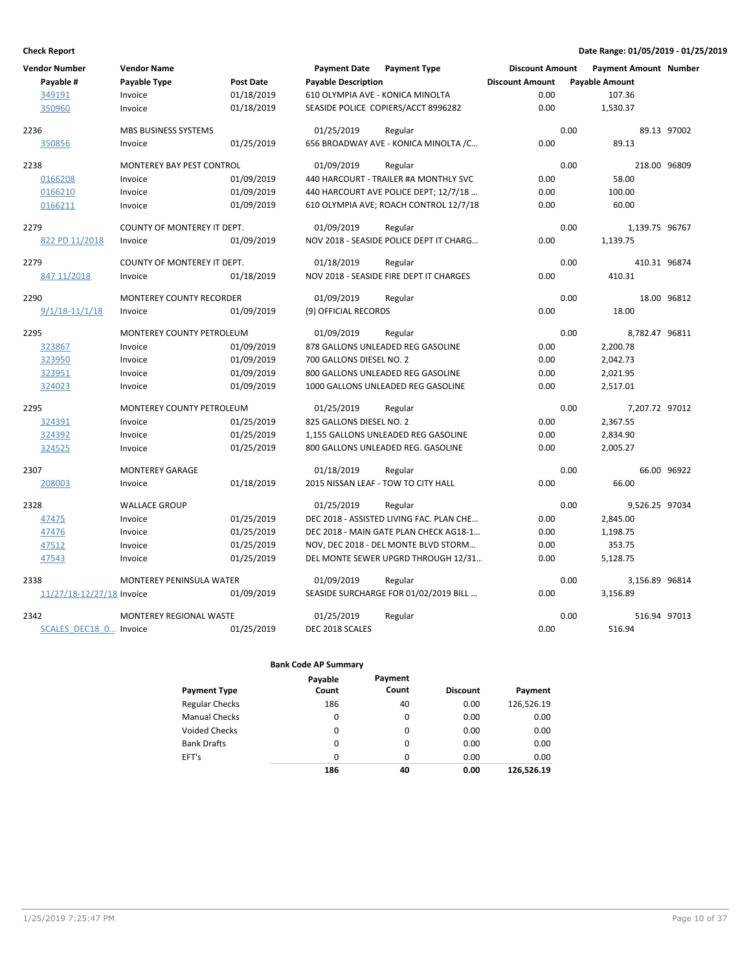| <b>Vendor Number</b>      | <b>Vendor Name</b>               |                  | <b>Payment Date</b>              | <b>Payment Type</b>                      | <b>Discount Amount</b> | <b>Payment Amount Number</b> |             |
|---------------------------|----------------------------------|------------------|----------------------------------|------------------------------------------|------------------------|------------------------------|-------------|
| Payable #                 | Payable Type                     | <b>Post Date</b> | <b>Payable Description</b>       |                                          | <b>Discount Amount</b> | <b>Payable Amount</b>        |             |
| 349191                    | Invoice                          | 01/18/2019       | 610 OLYMPIA AVE - KONICA MINOLTA |                                          | 0.00                   | 107.36                       |             |
| 350960                    | Invoice                          | 01/18/2019       |                                  | SEASIDE POLICE COPIERS/ACCT 8996282      | 0.00                   | 1,530.37                     |             |
| 2236                      | <b>MBS BUSINESS SYSTEMS</b>      |                  | 01/25/2019                       | Regular                                  | 0.00                   |                              | 89.13 97002 |
| 350856                    | Invoice                          | 01/25/2019       |                                  | 656 BROADWAY AVE - KONICA MINOLTA / C    | 0.00                   | 89.13                        |             |
| 2238                      | <b>MONTEREY BAY PEST CONTROL</b> |                  | 01/09/2019                       | Regular                                  | 0.00                   | 218.00 96809                 |             |
| 0166208                   | Invoice                          | 01/09/2019       |                                  | 440 HARCOURT - TRAILER #A MONTHLY SVC    | 0.00                   | 58.00                        |             |
| 0166210                   | Invoice                          | 01/09/2019       |                                  | 440 HARCOURT AVE POLICE DEPT; 12/7/18    | 0.00                   | 100.00                       |             |
| 0166211                   | Invoice                          | 01/09/2019       |                                  | 610 OLYMPIA AVE; ROACH CONTROL 12/7/18   | 0.00                   | 60.00                        |             |
| 2279                      | COUNTY OF MONTEREY IT DEPT.      |                  | 01/09/2019                       | Regular                                  | 0.00                   | 1,139.75 96767               |             |
| 822 PD 11/2018            | Invoice                          | 01/09/2019       |                                  | NOV 2018 - SEASIDE POLICE DEPT IT CHARG  | 0.00                   | 1,139.75                     |             |
| 2279                      | COUNTY OF MONTEREY IT DEPT.      |                  | 01/18/2019                       | Regular                                  | 0.00                   | 410.31 96874                 |             |
| 847 11/2018               | Invoice                          | 01/18/2019       |                                  | NOV 2018 - SEASIDE FIRE DEPT IT CHARGES  | 0.00                   | 410.31                       |             |
| 2290                      | <b>MONTEREY COUNTY RECORDER</b>  |                  | 01/09/2019                       | Regular                                  | 0.00                   |                              | 18.00 96812 |
| $9/1/18 - 11/1/18$        | Invoice                          | 01/09/2019       | (9) OFFICIAL RECORDS             |                                          | 0.00                   | 18.00                        |             |
| 2295                      | <b>MONTEREY COUNTY PETROLEUM</b> |                  | 01/09/2019                       | Regular                                  | 0.00                   | 8,782.47 96811               |             |
| 323867                    | Invoice                          | 01/09/2019       |                                  | 878 GALLONS UNLEADED REG GASOLINE        | 0.00                   | 2,200.78                     |             |
| 323950                    | Invoice                          | 01/09/2019       | 700 GALLONS DIESEL NO. 2         |                                          | 0.00                   | 2,042.73                     |             |
| 323951                    | Invoice                          | 01/09/2019       |                                  | 800 GALLONS UNLEADED REG GASOLINE        | 0.00                   | 2,021.95                     |             |
| 324023                    | Invoice                          | 01/09/2019       |                                  | 1000 GALLONS UNLEADED REG GASOLINE       | 0.00                   | 2,517.01                     |             |
| 2295                      | MONTEREY COUNTY PETROLEUM        |                  | 01/25/2019                       | Regular                                  | 0.00                   | 7,207.72 97012               |             |
| 324391                    | Invoice                          | 01/25/2019       | 825 GALLONS DIESEL NO. 2         |                                          | 0.00                   | 2,367.55                     |             |
| 324392                    | Invoice                          | 01/25/2019       |                                  | 1,155 GALLONS UNLEADED REG GASOLINE      | 0.00                   | 2,834.90                     |             |
| 324525                    | Invoice                          | 01/25/2019       |                                  | 800 GALLONS UNLEADED REG. GASOLINE       | 0.00                   | 2,005.27                     |             |
| 2307                      | <b>MONTEREY GARAGE</b>           |                  | 01/18/2019                       | Regular                                  | 0.00                   |                              | 66.00 96922 |
| 208003                    | Invoice                          | 01/18/2019       |                                  | 2015 NISSAN LEAF - TOW TO CITY HALL      | 0.00                   | 66.00                        |             |
| 2328                      | <b>WALLACE GROUP</b>             |                  | 01/25/2019                       | Regular                                  | 0.00                   | 9,526.25 97034               |             |
| 47475                     | Invoice                          | 01/25/2019       |                                  | DEC 2018 - ASSISTED LIVING FAC. PLAN CHE | 0.00                   | 2,845.00                     |             |
| 47476                     | Invoice                          | 01/25/2019       |                                  | DEC 2018 - MAIN GATE PLAN CHECK AG18-1   | 0.00                   | 1,198.75                     |             |
| 47512                     | Invoice                          | 01/25/2019       |                                  | NOV, DEC 2018 - DEL MONTE BLVD STORM     | 0.00                   | 353.75                       |             |
| 47543                     | Invoice                          | 01/25/2019       |                                  | DEL MONTE SEWER UPGRD THROUGH 12/31      | 0.00                   | 5,128.75                     |             |
| 2338                      | <b>MONTEREY PENINSULA WATER</b>  |                  | 01/09/2019                       | Regular                                  | 0.00                   | 3,156.89 96814               |             |
| 11/27/18-12/27/18 Invoice |                                  | 01/09/2019       |                                  | SEASIDE SURCHARGE FOR 01/02/2019 BILL    | 0.00                   | 3,156.89                     |             |
| 2342                      | MONTEREY REGIONAL WASTE          |                  | 01/25/2019                       | Regular                                  | 0.00                   | 516.94 97013                 |             |
| SCALES DEC18 0 Invoice    |                                  | 01/25/2019       | DEC 2018 SCALES                  |                                          | 0.00                   | 516.94                       |             |

|                       | Payable  | Payment  |                 |            |
|-----------------------|----------|----------|-----------------|------------|
| <b>Payment Type</b>   | Count    | Count    | <b>Discount</b> | Payment    |
| <b>Regular Checks</b> | 186      | 40       | 0.00            | 126,526.19 |
| <b>Manual Checks</b>  | $\Omega$ | 0        | 0.00            | 0.00       |
| <b>Voided Checks</b>  | $\Omega$ | $\Omega$ | 0.00            | 0.00       |
| <b>Bank Drafts</b>    | $\Omega$ | 0        | 0.00            | 0.00       |
| EFT's                 | $\Omega$ | 0        | 0.00            | 0.00       |
|                       | 186      | 40       | 0.00            | 126.526.19 |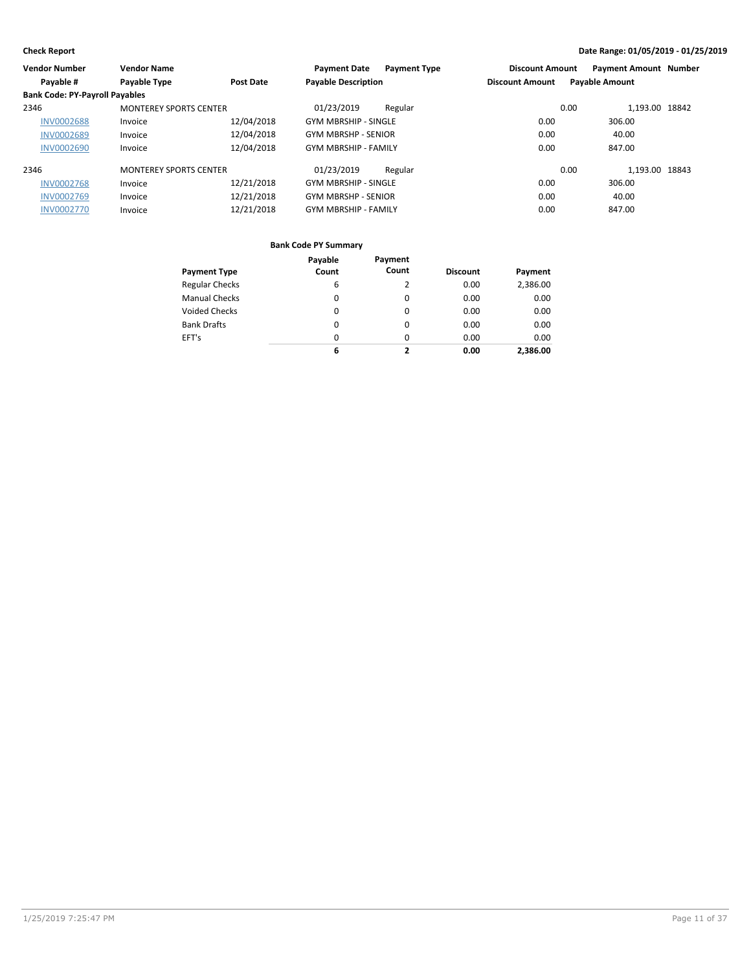| <b>Vendor Number</b>                  | <b>Vendor Name</b>            |            | <b>Payment Date</b><br><b>Payment Type</b> | <b>Discount Amount</b> | <b>Payment Amount Number</b> |
|---------------------------------------|-------------------------------|------------|--------------------------------------------|------------------------|------------------------------|
| Payable #                             | Payable Type                  | Post Date  | <b>Payable Description</b>                 | <b>Discount Amount</b> | <b>Payable Amount</b>        |
| <b>Bank Code: PY-Payroll Payables</b> |                               |            |                                            |                        |                              |
| 2346                                  | <b>MONTEREY SPORTS CENTER</b> |            | 01/23/2019<br>Regular                      | 0.00                   | 1.193.00 18842               |
| <b>INV0002688</b>                     | Invoice                       | 12/04/2018 | <b>GYM MBRSHIP - SINGLE</b>                | 0.00                   | 306.00                       |
| <b>INV0002689</b>                     | Invoice                       | 12/04/2018 | <b>GYM MBRSHP - SENIOR</b>                 | 0.00                   | 40.00                        |
| <b>INV0002690</b>                     | Invoice                       | 12/04/2018 | <b>GYM MBRSHIP - FAMILY</b>                | 0.00                   | 847.00                       |
| 2346                                  | <b>MONTEREY SPORTS CENTER</b> |            | 01/23/2019<br>Regular                      | 0.00                   | 1.193.00 18843               |
| <b>INV0002768</b>                     | Invoice                       | 12/21/2018 | <b>GYM MBRSHIP - SINGLE</b>                | 0.00                   | 306.00                       |
| <b>INV0002769</b>                     | Invoice                       | 12/21/2018 | <b>GYM MBRSHP - SENIOR</b>                 | 0.00                   | 40.00                        |
| <b>INV0002770</b>                     | Invoice                       | 12/21/2018 | <b>GYM MBRSHIP - FAMILY</b>                | 0.00                   | 847.00                       |
|                                       |                               |            |                                            |                        |                              |

|                       | Payable  | Payment  |                 |          |
|-----------------------|----------|----------|-----------------|----------|
| <b>Payment Type</b>   | Count    | Count    | <b>Discount</b> | Payment  |
| <b>Regular Checks</b> | 6        |          | 0.00            | 2,386.00 |
| <b>Manual Checks</b>  | 0        | $\Omega$ | 0.00            | 0.00     |
| <b>Voided Checks</b>  | 0        | $\Omega$ | 0.00            | 0.00     |
| <b>Bank Drafts</b>    | $\Omega$ | $\Omega$ | 0.00            | 0.00     |
| EFT's                 | 0        | $\Omega$ | 0.00            | 0.00     |
|                       | 6        | 2        | 0.00            | 2.386.00 |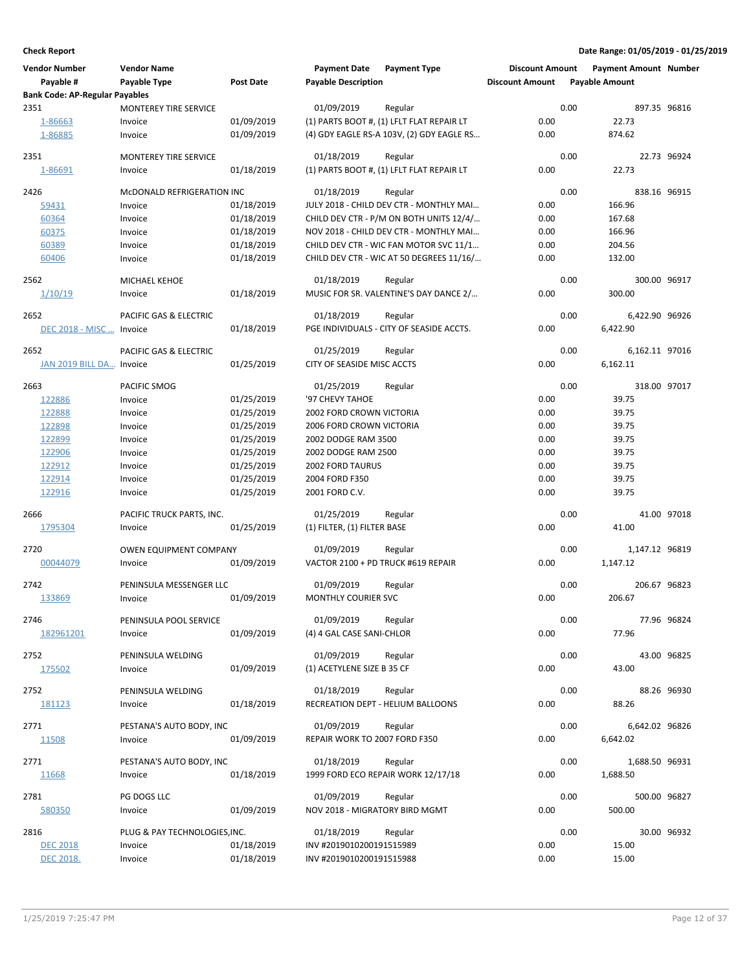| <b>Vendor Number</b>                  | <b>Vendor Name</b>            |            | <b>Payment Date</b>            | <b>Payment Type</b>                       | <b>Discount Amount</b> |      | <b>Payment Amount Number</b> |             |
|---------------------------------------|-------------------------------|------------|--------------------------------|-------------------------------------------|------------------------|------|------------------------------|-------------|
| Payable #                             | Payable Type                  | Post Date  | <b>Payable Description</b>     |                                           | <b>Discount Amount</b> |      | <b>Payable Amount</b>        |             |
| <b>Bank Code: AP-Regular Payables</b> |                               |            |                                |                                           |                        |      |                              |             |
| 2351                                  | <b>MONTEREY TIRE SERVICE</b>  |            | 01/09/2019                     | Regular                                   |                        | 0.00 | 897.35 96816                 |             |
| 1-86663                               | Invoice                       | 01/09/2019 |                                | (1) PARTS BOOT #, (1) LFLT FLAT REPAIR LT | 0.00                   |      | 22.73                        |             |
| 1-86885                               | Invoice                       | 01/09/2019 |                                | (4) GDY EAGLE RS-A 103V, (2) GDY EAGLE RS | 0.00                   |      | 874.62                       |             |
|                                       |                               |            |                                |                                           |                        |      |                              |             |
| 2351                                  | <b>MONTEREY TIRE SERVICE</b>  |            | 01/18/2019                     | Regular                                   |                        | 0.00 |                              | 22.73 96924 |
| 1-86691                               | Invoice                       | 01/18/2019 |                                | (1) PARTS BOOT #, (1) LFLT FLAT REPAIR LT | 0.00                   |      | 22.73                        |             |
|                                       |                               |            |                                |                                           |                        |      |                              |             |
| 2426                                  | MCDONALD REFRIGERATION INC    |            | 01/18/2019                     | Regular                                   |                        | 0.00 | 838.16 96915                 |             |
| 59431                                 | Invoice                       | 01/18/2019 |                                | JULY 2018 - CHILD DEV CTR - MONTHLY MAI   | 0.00                   |      | 166.96                       |             |
| 60364                                 | Invoice                       | 01/18/2019 |                                | CHILD DEV CTR - P/M ON BOTH UNITS 12/4/   | 0.00                   |      | 167.68                       |             |
| 60375                                 | Invoice                       | 01/18/2019 |                                | NOV 2018 - CHILD DEV CTR - MONTHLY MAI    | 0.00                   |      | 166.96                       |             |
| 60389                                 | Invoice                       | 01/18/2019 |                                | CHILD DEV CTR - WIC FAN MOTOR SVC 11/1    | 0.00                   |      | 204.56                       |             |
| 60406                                 | Invoice                       | 01/18/2019 |                                | CHILD DEV CTR - WIC AT 50 DEGREES 11/16/  | 0.00                   |      | 132.00                       |             |
|                                       |                               |            |                                |                                           |                        |      |                              |             |
| 2562                                  | MICHAEL KEHOE                 |            | 01/18/2019                     | Regular                                   |                        | 0.00 | 300.00 96917                 |             |
| 1/10/19                               | Invoice                       | 01/18/2019 |                                | MUSIC FOR SR. VALENTINE'S DAY DANCE 2/    | 0.00                   |      | 300.00                       |             |
|                                       |                               |            |                                |                                           |                        |      |                              |             |
| 2652                                  | PACIFIC GAS & ELECTRIC        |            | 01/18/2019                     | Regular                                   |                        | 0.00 | 6,422.90 96926               |             |
| DEC 2018 - MISC  Invoice              |                               | 01/18/2019 |                                | PGE INDIVIDUALS - CITY OF SEASIDE ACCTS.  | 0.00                   |      | 6,422.90                     |             |
|                                       |                               |            |                                |                                           |                        |      |                              |             |
| 2652                                  | PACIFIC GAS & ELECTRIC        |            | 01/25/2019                     | Regular                                   |                        | 0.00 | 6,162.11 97016               |             |
| JAN 2019 BILL DA Invoice              |                               | 01/25/2019 | CITY OF SEASIDE MISC ACCTS     |                                           | 0.00                   |      | 6,162.11                     |             |
| 2663                                  | PACIFIC SMOG                  |            | 01/25/2019                     | Regular                                   |                        | 0.00 | 318.00 97017                 |             |
|                                       |                               |            |                                |                                           |                        |      |                              |             |
| 122886                                | Invoice                       | 01/25/2019 | '97 CHEVY TAHOE                |                                           | 0.00                   |      | 39.75                        |             |
| 122888                                | Invoice                       | 01/25/2019 | 2002 FORD CROWN VICTORIA       |                                           | 0.00                   |      | 39.75                        |             |
| 122898                                | Invoice                       | 01/25/2019 | 2006 FORD CROWN VICTORIA       |                                           | 0.00                   |      | 39.75                        |             |
| 122899                                | Invoice                       | 01/25/2019 | 2002 DODGE RAM 3500            |                                           | 0.00                   |      | 39.75                        |             |
| 122906                                | Invoice                       | 01/25/2019 | 2002 DODGE RAM 2500            |                                           | 0.00                   |      | 39.75                        |             |
| 122912                                | Invoice                       | 01/25/2019 | <b>2002 FORD TAURUS</b>        |                                           | 0.00                   |      | 39.75                        |             |
| 122914                                | Invoice                       | 01/25/2019 | 2004 FORD F350                 |                                           | 0.00                   |      | 39.75                        |             |
| 122916                                | Invoice                       | 01/25/2019 | 2001 FORD C.V.                 |                                           | 0.00                   |      | 39.75                        |             |
|                                       |                               |            |                                |                                           |                        |      |                              |             |
| 2666                                  | PACIFIC TRUCK PARTS, INC.     |            | 01/25/2019                     | Regular                                   |                        | 0.00 |                              | 41.00 97018 |
| 1795304                               | Invoice                       | 01/25/2019 | (1) FILTER, (1) FILTER BASE    |                                           | 0.00                   |      | 41.00                        |             |
| 2720                                  | OWEN EQUIPMENT COMPANY        |            | 01/09/2019                     | Regular                                   |                        | 0.00 | 1,147.12 96819               |             |
| 00044079                              |                               | 01/09/2019 |                                | VACTOR 2100 + PD TRUCK #619 REPAIR        | 0.00                   |      | 1,147.12                     |             |
|                                       | Invoice                       |            |                                |                                           |                        |      |                              |             |
| 2742                                  | PENINSULA MESSENGER LLC       |            | 01/09/2019                     | Regular                                   |                        | 0.00 | 206.67 96823                 |             |
| 133869                                | Invoice                       | 01/09/2019 | <b>MONTHLY COURIER SVC</b>     |                                           | 0.00                   |      | 206.67                       |             |
|                                       |                               |            |                                |                                           |                        |      |                              |             |
| 2746                                  | PENINSULA POOL SERVICE        |            | 01/09/2019                     | Regular                                   |                        | 0.00 |                              | 77.96 96824 |
| 182961201                             | Invoice                       | 01/09/2019 | (4) 4 GAL CASE SANI-CHLOR      |                                           | 0.00                   |      | 77.96                        |             |
|                                       |                               |            |                                |                                           |                        |      |                              |             |
| 2752                                  | PENINSULA WELDING             |            | 01/09/2019                     | Regular                                   |                        | 0.00 |                              | 43.00 96825 |
| 175502                                | Invoice                       | 01/09/2019 | (1) ACETYLENE SIZE B 35 CF     |                                           | 0.00                   |      | 43.00                        |             |
|                                       |                               |            |                                |                                           |                        |      |                              |             |
| 2752                                  | PENINSULA WELDING             |            | 01/18/2019                     | Regular                                   |                        | 0.00 |                              | 88.26 96930 |
| 181123                                | Invoice                       | 01/18/2019 |                                | RECREATION DEPT - HELIUM BALLOONS         | 0.00                   |      | 88.26                        |             |
| 2771                                  |                               |            | 01/09/2019                     | Regular                                   |                        | 0.00 |                              |             |
|                                       | PESTANA'S AUTO BODY, INC      |            |                                |                                           |                        |      | 6,642.02 96826               |             |
| 11508                                 | Invoice                       | 01/09/2019 | REPAIR WORK TO 2007 FORD F350  |                                           | 0.00                   |      | 6,642.02                     |             |
| 2771                                  | PESTANA'S AUTO BODY, INC      |            | 01/18/2019                     | Regular                                   |                        | 0.00 | 1,688.50 96931               |             |
| 11668                                 | Invoice                       | 01/18/2019 |                                | 1999 FORD ECO REPAIR WORK 12/17/18        | 0.00                   |      | 1,688.50                     |             |
|                                       |                               |            |                                |                                           |                        |      |                              |             |
| 2781                                  | PG DOGS LLC                   |            | 01/09/2019                     | Regular                                   |                        | 0.00 | 500.00 96827                 |             |
| 580350                                | Invoice                       | 01/09/2019 | NOV 2018 - MIGRATORY BIRD MGMT |                                           | 0.00                   |      | 500.00                       |             |
|                                       |                               |            |                                |                                           |                        |      |                              |             |
| 2816                                  | PLUG & PAY TECHNOLOGIES, INC. |            | 01/18/2019                     | Regular                                   |                        | 0.00 |                              | 30.00 96932 |
| <b>DEC 2018</b>                       | Invoice                       | 01/18/2019 | INV #2019010200191515989       |                                           | 0.00                   |      | 15.00                        |             |
| DEC 2018.                             | Invoice                       | 01/18/2019 | INV #2019010200191515988       |                                           | 0.00                   |      | 15.00                        |             |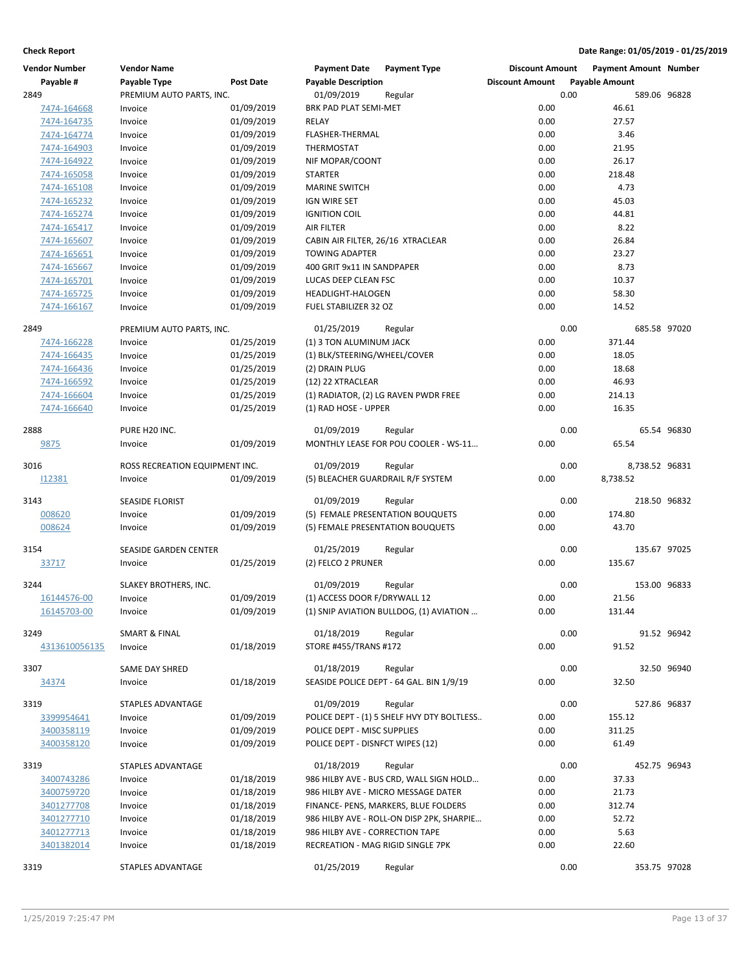| <b>Vendor Number</b> | <b>Vendor Name</b>             |                  | <b>Payment Date</b>               | <b>Payment Type</b>                        | <b>Discount Amount</b> |      | <b>Payment Amount Number</b> |             |
|----------------------|--------------------------------|------------------|-----------------------------------|--------------------------------------------|------------------------|------|------------------------------|-------------|
| Payable #            | Payable Type                   | <b>Post Date</b> | <b>Payable Description</b>        |                                            | <b>Discount Amount</b> |      | <b>Payable Amount</b>        |             |
| 2849                 | PREMIUM AUTO PARTS, INC.       |                  | 01/09/2019                        | Regular                                    |                        | 0.00 | 589.06 96828                 |             |
| 7474-164668          | Invoice                        | 01/09/2019       | BRK PAD PLAT SEMI-MET             |                                            | 0.00                   |      | 46.61                        |             |
| 7474-164735          | Invoice                        | 01/09/2019       | <b>RELAY</b>                      |                                            | 0.00                   |      | 27.57                        |             |
| 7474-164774          | Invoice                        | 01/09/2019       | FLASHER-THERMAL                   |                                            | 0.00                   |      | 3.46                         |             |
| 7474-164903          | Invoice                        | 01/09/2019       | THERMOSTAT                        |                                            | 0.00                   |      | 21.95                        |             |
| 7474-164922          | Invoice                        | 01/09/2019       | NIF MOPAR/COONT                   |                                            | 0.00                   |      | 26.17                        |             |
| 7474-165058          | Invoice                        | 01/09/2019       | <b>STARTER</b>                    |                                            | 0.00                   |      | 218.48                       |             |
| 7474-165108          | Invoice                        | 01/09/2019       | <b>MARINE SWITCH</b>              |                                            | 0.00                   |      | 4.73                         |             |
|                      |                                |                  | IGN WIRE SET                      |                                            | 0.00                   |      |                              |             |
| 7474-165232          | Invoice                        | 01/09/2019       |                                   |                                            |                        |      | 45.03                        |             |
| 7474-165274          | Invoice                        | 01/09/2019       | <b>IGNITION COIL</b>              |                                            | 0.00<br>0.00           |      | 44.81                        |             |
| 7474-165417          | Invoice                        | 01/09/2019       | <b>AIR FILTER</b>                 |                                            |                        |      | 8.22                         |             |
| 7474-165607          | Invoice                        | 01/09/2019       | CABIN AIR FILTER, 26/16 XTRACLEAR |                                            | 0.00                   |      | 26.84                        |             |
| 7474-165651          | Invoice                        | 01/09/2019       | <b>TOWING ADAPTER</b>             |                                            | 0.00                   |      | 23.27                        |             |
| 7474-165667          | Invoice                        | 01/09/2019       | 400 GRIT 9x11 IN SANDPAPER        |                                            | 0.00                   |      | 8.73                         |             |
| 7474-165701          | Invoice                        | 01/09/2019       | LUCAS DEEP CLEAN FSC              |                                            | 0.00                   |      | 10.37                        |             |
| 7474-165725          | Invoice                        | 01/09/2019       | HEADLIGHT-HALOGEN                 |                                            | 0.00                   |      | 58.30                        |             |
| 7474-166167          | Invoice                        | 01/09/2019       | FUEL STABILIZER 32 OZ             |                                            | 0.00                   |      | 14.52                        |             |
| 2849                 | PREMIUM AUTO PARTS, INC.       |                  | 01/25/2019                        | Regular                                    |                        | 0.00 | 685.58 97020                 |             |
| 7474-166228          | Invoice                        | 01/25/2019       | (1) 3 TON ALUMINUM JACK           |                                            | 0.00                   |      | 371.44                       |             |
| 7474-166435          | Invoice                        | 01/25/2019       | (1) BLK/STEERING/WHEEL/COVER      |                                            | 0.00                   |      | 18.05                        |             |
| 7474-166436          | Invoice                        | 01/25/2019       | (2) DRAIN PLUG                    |                                            | 0.00                   |      | 18.68                        |             |
| 7474-166592          | Invoice                        | 01/25/2019       | (12) 22 XTRACLEAR                 |                                            | 0.00                   |      | 46.93                        |             |
| 7474-166604          | Invoice                        | 01/25/2019       |                                   | (1) RADIATOR, (2) LG RAVEN PWDR FREE       | 0.00                   |      | 214.13                       |             |
| 7474-166640          | Invoice                        | 01/25/2019       | (1) RAD HOSE - UPPER              |                                            | 0.00                   |      | 16.35                        |             |
|                      |                                |                  |                                   |                                            |                        |      |                              |             |
| 2888                 | PURE H20 INC.                  |                  | 01/09/2019                        | Regular                                    |                        | 0.00 |                              | 65.54 96830 |
| <u>9875</u>          | Invoice                        | 01/09/2019       |                                   | MONTHLY LEASE FOR POU COOLER - WS-11       | 0.00                   |      | 65.54                        |             |
| 3016                 | ROSS RECREATION EQUIPMENT INC. |                  | 01/09/2019                        | Regular                                    |                        | 0.00 | 8,738.52 96831               |             |
| 112381               | Invoice                        | 01/09/2019       | (5) BLEACHER GUARDRAIL R/F SYSTEM |                                            | 0.00                   |      | 8,738.52                     |             |
|                      |                                |                  |                                   |                                            |                        |      |                              |             |
| 3143                 | <b>SEASIDE FLORIST</b>         |                  | 01/09/2019                        | Regular                                    |                        | 0.00 | 218.50 96832                 |             |
| 008620               | Invoice                        | 01/09/2019       | (5) FEMALE PRESENTATION BOUQUETS  |                                            | 0.00                   |      | 174.80                       |             |
| 008624               | Invoice                        | 01/09/2019       | (5) FEMALE PRESENTATION BOUQUETS  |                                            | 0.00                   |      | 43.70                        |             |
|                      |                                |                  |                                   |                                            |                        |      |                              |             |
| 3154                 | SEASIDE GARDEN CENTER          |                  | 01/25/2019                        | Regular                                    |                        | 0.00 | 135.67 97025                 |             |
| 33717                | Invoice                        | 01/25/2019       | (2) FELCO 2 PRUNER                |                                            | 0.00                   |      | 135.67                       |             |
| 3244                 | SLAKEY BROTHERS, INC.          |                  | 01/09/2019                        | Regular                                    |                        | 0.00 | 153.00 96833                 |             |
| 16144576-00          | Invoice                        | 01/09/2019       | (1) ACCESS DOOR F/DRYWALL 12      |                                            | 0.00                   |      | 21.56                        |             |
| 16145703-00          | Invoice                        | 01/09/2019       |                                   | (1) SNIP AVIATION BULLDOG, (1) AVIATION    | 0.00                   |      | 131.44                       |             |
|                      |                                |                  |                                   |                                            |                        |      |                              |             |
| 3249                 | <b>SMART &amp; FINAL</b>       |                  | 01/18/2019                        | Regular                                    |                        | 0.00 |                              | 91.52 96942 |
| 4313610056135        | Invoice                        | 01/18/2019       | STORE #455/TRANS #172             |                                            | 0.00                   |      | 91.52                        |             |
|                      |                                |                  |                                   |                                            |                        |      |                              |             |
| 3307                 | SAME DAY SHRED                 |                  | 01/18/2019                        | Regular                                    |                        | 0.00 |                              | 32.50 96940 |
| 34374                | Invoice                        | 01/18/2019       |                                   | SEASIDE POLICE DEPT - 64 GAL. BIN 1/9/19   | 0.00                   |      | 32.50                        |             |
| 3319                 | STAPLES ADVANTAGE              |                  | 01/09/2019                        | Regular                                    |                        | 0.00 | 527.86 96837                 |             |
| 3399954641           | Invoice                        | 01/09/2019       |                                   | POLICE DEPT - (1) 5 SHELF HVY DTY BOLTLESS | 0.00                   |      | 155.12                       |             |
| 3400358119           | Invoice                        | 01/09/2019       | POLICE DEPT - MISC SUPPLIES       |                                            | 0.00                   |      | 311.25                       |             |
| 3400358120           | Invoice                        | 01/09/2019       | POLICE DEPT - DISNFCT WIPES (12)  |                                            | 0.00                   |      | 61.49                        |             |
|                      |                                |                  |                                   |                                            |                        |      |                              |             |
| 3319                 | STAPLES ADVANTAGE              |                  | 01/18/2019                        | Regular                                    |                        | 0.00 | 452.75 96943                 |             |
| 3400743286           | Invoice                        | 01/18/2019       |                                   | 986 HILBY AVE - BUS CRD, WALL SIGN HOLD    | 0.00                   |      | 37.33                        |             |
| 3400759720           | Invoice                        | 01/18/2019       |                                   | 986 HILBY AVE - MICRO MESSAGE DATER        | 0.00                   |      | 21.73                        |             |
| 3401277708           | Invoice                        | 01/18/2019       |                                   | FINANCE- PENS, MARKERS, BLUE FOLDERS       | 0.00                   |      | 312.74                       |             |
| 3401277710           | Invoice                        | 01/18/2019       |                                   | 986 HILBY AVE - ROLL-ON DISP 2PK, SHARPIE  | 0.00                   |      | 52.72                        |             |
| 3401277713           | Invoice                        | 01/18/2019       | 986 HILBY AVE - CORRECTION TAPE   |                                            | 0.00                   |      | 5.63                         |             |
| 3401382014           | Invoice                        | 01/18/2019       | RECREATION - MAG RIGID SINGLE 7PK |                                            | 0.00                   |      | 22.60                        |             |
| 3319                 | STAPLES ADVANTAGE              |                  | 01/25/2019                        | Regular                                    |                        | 0.00 | 353.75 97028                 |             |
|                      |                                |                  |                                   |                                            |                        |      |                              |             |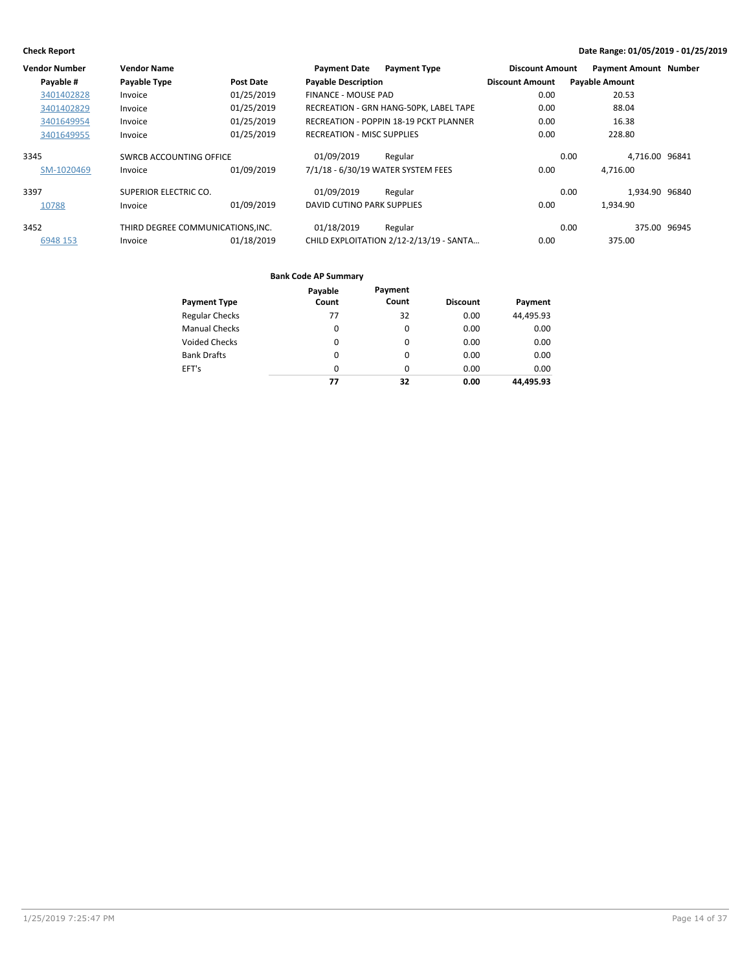| Vendor Number | <b>Vendor Name</b>               |            | <b>Payment Date</b><br><b>Payment Type</b>    | <b>Discount Amount</b> | <b>Payment Amount Number</b> |
|---------------|----------------------------------|------------|-----------------------------------------------|------------------------|------------------------------|
| Payable #     | Payable Type                     | Post Date  | <b>Payable Description</b>                    | <b>Discount Amount</b> | <b>Payable Amount</b>        |
| 3401402828    | Invoice                          | 01/25/2019 | <b>FINANCE - MOUSE PAD</b>                    | 0.00                   | 20.53                        |
| 3401402829    | Invoice                          | 01/25/2019 | RECREATION - GRN HANG-50PK, LABEL TAPE        | 0.00                   | 88.04                        |
| 3401649954    | Invoice                          | 01/25/2019 | <b>RECREATION - POPPIN 18-19 PCKT PLANNER</b> | 0.00                   | 16.38                        |
| 3401649955    | Invoice                          | 01/25/2019 | <b>RECREATION - MISC SUPPLIES</b>             | 0.00                   | 228.80                       |
| 3345          | SWRCB ACCOUNTING OFFICE          |            | 01/09/2019<br>Regular                         | 0.00                   | 4.716.00 96841               |
| SM-1020469    | Invoice                          | 01/09/2019 | 7/1/18 - 6/30/19 WATER SYSTEM FEES            | 0.00                   | 4.716.00                     |
| 3397          | SUPERIOR ELECTRIC CO.            |            | 01/09/2019<br>Regular                         | 0.00                   | 1.934.90 96840               |
| 10788         | Invoice                          | 01/09/2019 | DAVID CUTINO PARK SUPPLIES                    | 0.00                   | 1.934.90                     |
| 3452          | THIRD DEGREE COMMUNICATIONS.INC. |            | 01/18/2019<br>Regular                         | 0.00                   | 375.00 96945                 |
| 6948 153      | Invoice                          | 01/18/2019 | CHILD EXPLOITATION 2/12-2/13/19 - SANTA       | 0.00                   | 375.00                       |

|                       | Payable  | Payment  |                 |           |
|-----------------------|----------|----------|-----------------|-----------|
| <b>Payment Type</b>   | Count    | Count    | <b>Discount</b> | Payment   |
| <b>Regular Checks</b> | 77       | 32       | 0.00            | 44,495.93 |
| <b>Manual Checks</b>  | 0        | 0        | 0.00            | 0.00      |
| <b>Voided Checks</b>  | 0        | 0        | 0.00            | 0.00      |
| <b>Bank Drafts</b>    | 0        | $\Omega$ | 0.00            | 0.00      |
| EFT's                 | $\Omega$ | $\Omega$ | 0.00            | 0.00      |
|                       | 77       | 32       | 0.00            | 44.495.93 |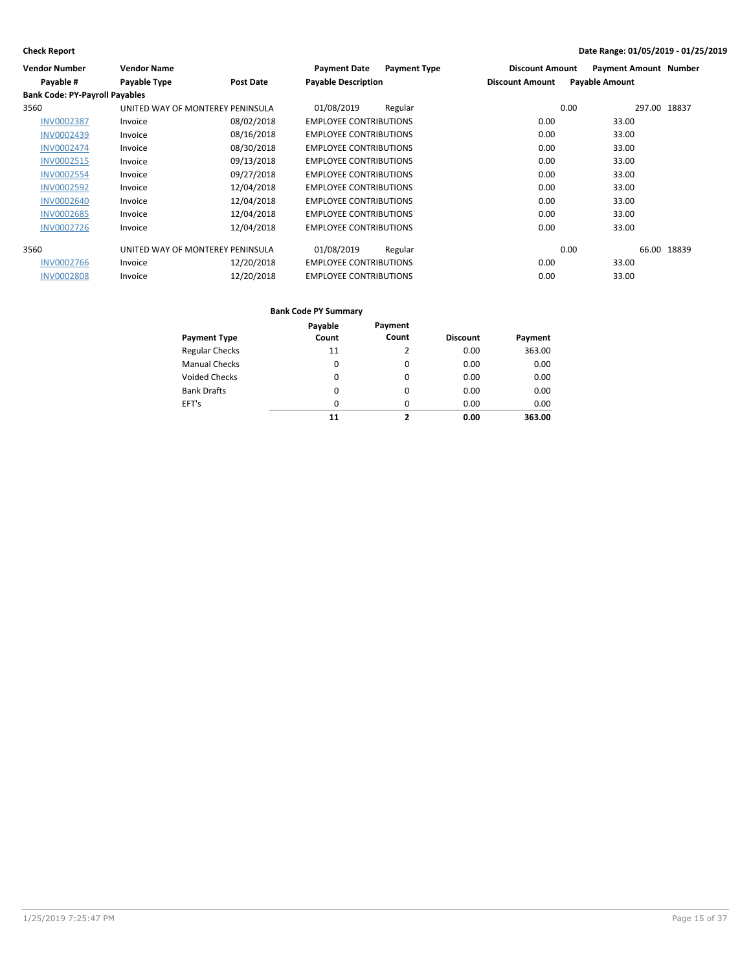| <b>Vendor Number</b>                  | <b>Vendor Name</b>               |                  | <b>Payment Date</b><br><b>Payment Type</b> | <b>Discount Amount</b> | <b>Payment Amount Number</b> |
|---------------------------------------|----------------------------------|------------------|--------------------------------------------|------------------------|------------------------------|
| Payable #                             | Payable Type                     | <b>Post Date</b> | <b>Payable Description</b>                 | <b>Discount Amount</b> | <b>Payable Amount</b>        |
| <b>Bank Code: PY-Payroll Payables</b> |                                  |                  |                                            |                        |                              |
| 3560                                  | UNITED WAY OF MONTEREY PENINSULA |                  | 01/08/2019<br>Regular                      | 0.00                   | 297.00 18837                 |
| <b>INV0002387</b>                     | Invoice                          | 08/02/2018       | <b>EMPLOYEE CONTRIBUTIONS</b>              | 0.00                   | 33.00                        |
| <b>INV0002439</b>                     | Invoice                          | 08/16/2018       | <b>EMPLOYEE CONTRIBUTIONS</b>              | 0.00                   | 33.00                        |
| <b>INV0002474</b>                     | Invoice                          | 08/30/2018       | <b>EMPLOYEE CONTRIBUTIONS</b>              | 0.00                   | 33.00                        |
| <b>INV0002515</b>                     | Invoice                          | 09/13/2018       | <b>EMPLOYEE CONTRIBUTIONS</b>              | 0.00                   | 33.00                        |
| <b>INV0002554</b>                     | Invoice                          | 09/27/2018       | <b>EMPLOYEE CONTRIBUTIONS</b>              | 0.00                   | 33.00                        |
| <b>INV0002592</b>                     | Invoice                          | 12/04/2018       | <b>EMPLOYEE CONTRIBUTIONS</b>              | 0.00                   | 33.00                        |
| <b>INV0002640</b>                     | Invoice                          | 12/04/2018       | <b>EMPLOYEE CONTRIBUTIONS</b>              | 0.00                   | 33.00                        |
| <b>INV0002685</b>                     | Invoice                          | 12/04/2018       | <b>EMPLOYEE CONTRIBUTIONS</b>              | 0.00                   | 33.00                        |
| <b>INV0002726</b>                     | Invoice                          | 12/04/2018       | <b>EMPLOYEE CONTRIBUTIONS</b>              | 0.00                   | 33.00                        |
| 3560                                  | UNITED WAY OF MONTEREY PENINSULA |                  | 01/08/2019<br>Regular                      | 0.00                   | 66.00 18839                  |
| <b>INV0002766</b>                     | Invoice                          | 12/20/2018       | <b>EMPLOYEE CONTRIBUTIONS</b>              | 0.00                   | 33.00                        |
| <b>INV0002808</b>                     | Invoice                          | 12/20/2018       | <b>EMPLOYEE CONTRIBUTIONS</b>              | 0.00                   | 33.00                        |
|                                       |                                  |                  |                                            |                        |                              |

|                       | Payable  | Payment  |                 |         |
|-----------------------|----------|----------|-----------------|---------|
| <b>Payment Type</b>   | Count    | Count    | <b>Discount</b> | Payment |
| <b>Regular Checks</b> | 11       | 2        | 0.00            | 363.00  |
| <b>Manual Checks</b>  | $\Omega$ | 0        | 0.00            | 0.00    |
| <b>Voided Checks</b>  | 0        | $\Omega$ | 0.00            | 0.00    |
| <b>Bank Drafts</b>    | 0        | $\Omega$ | 0.00            | 0.00    |
| EFT's                 | $\Omega$ | $\Omega$ | 0.00            | 0.00    |
|                       | 11       | 2        | 0.00            | 363.00  |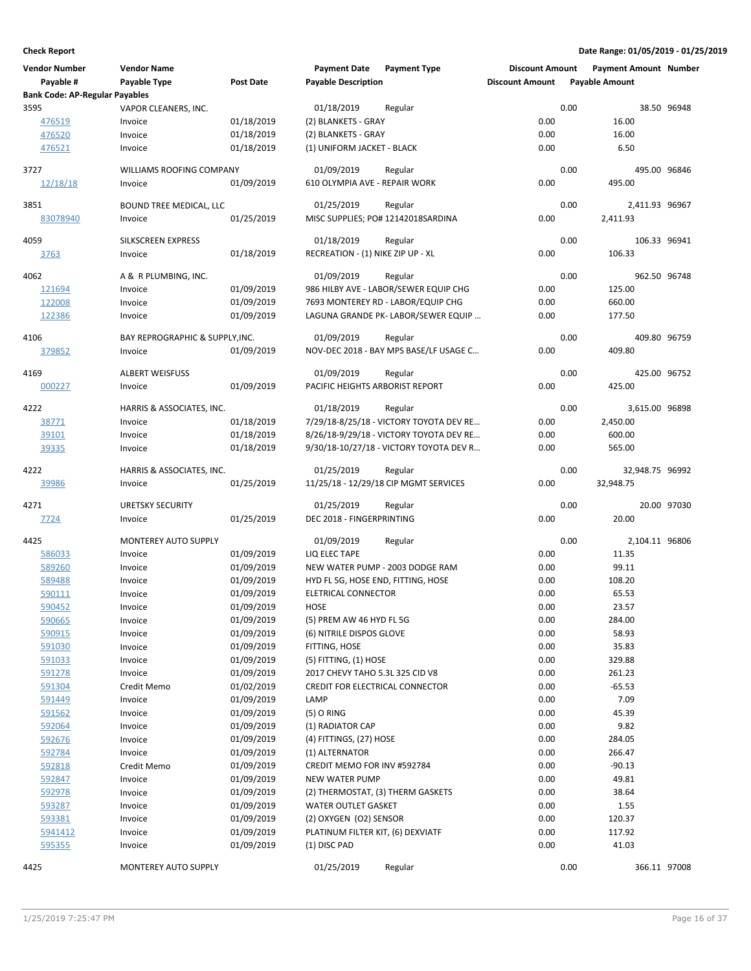| <b>Vendor Number</b>                  | <b>Vendor Name</b>              |                          | <b>Payment Date</b>                    | <b>Payment Type</b>                     | <b>Discount Amount</b> | <b>Payment Amount Number</b> |              |
|---------------------------------------|---------------------------------|--------------------------|----------------------------------------|-----------------------------------------|------------------------|------------------------------|--------------|
| Payable #                             | <b>Payable Type</b>             | <b>Post Date</b>         | <b>Payable Description</b>             |                                         | <b>Discount Amount</b> | <b>Payable Amount</b>        |              |
| <b>Bank Code: AP-Regular Payables</b> |                                 |                          |                                        |                                         |                        |                              |              |
| 3595                                  | VAPOR CLEANERS, INC.            |                          | 01/18/2019                             | Regular                                 | 0.00                   |                              | 38.50 96948  |
| 476519                                | Invoice                         | 01/18/2019               | (2) BLANKETS - GRAY                    |                                         | 0.00                   | 16.00                        |              |
| 476520                                | Invoice                         | 01/18/2019               | (2) BLANKETS - GRAY                    |                                         | 0.00                   | 16.00                        |              |
| 476521                                | Invoice                         | 01/18/2019               | (1) UNIFORM JACKET - BLACK             |                                         | 0.00                   | 6.50                         |              |
|                                       |                                 |                          |                                        |                                         |                        |                              |              |
| 3727                                  | WILLIAMS ROOFING COMPANY        |                          | 01/09/2019                             | Regular                                 | 0.00                   | 495.00 96846                 |              |
| 12/18/18                              | Invoice                         | 01/09/2019               | 610 OLYMPIA AVE - REPAIR WORK          |                                         | 0.00                   | 495.00                       |              |
|                                       |                                 |                          |                                        |                                         |                        |                              |              |
| 3851                                  | <b>BOUND TREE MEDICAL, LLC</b>  |                          | 01/25/2019                             | Regular                                 | 0.00                   | 2,411.93 96967               |              |
| 83078940                              | Invoice                         | 01/25/2019               |                                        | MISC SUPPLIES; PO# 12142018SARDINA      | 0.00                   | 2,411.93                     |              |
| 4059                                  | SILKSCREEN EXPRESS              |                          | 01/18/2019                             | Regular                                 | 0.00                   | 106.33 96941                 |              |
| <u>3763</u>                           | Invoice                         | 01/18/2019               | RECREATION - (1) NIKE ZIP UP - XL      |                                         | 0.00                   | 106.33                       |              |
|                                       |                                 |                          |                                        |                                         |                        |                              |              |
| 4062                                  | A & R PLUMBING, INC.            |                          | 01/09/2019                             | Regular                                 | 0.00                   | 962.50 96748                 |              |
| 121694                                | Invoice                         | 01/09/2019               |                                        | 986 HILBY AVE - LABOR/SEWER EQUIP CHG   | 0.00                   | 125.00                       |              |
| 122008                                | Invoice                         | 01/09/2019               |                                        | 7693 MONTEREY RD - LABOR/EQUIP CHG      | 0.00                   | 660.00                       |              |
| 122386                                | Invoice                         | 01/09/2019               |                                        | LAGUNA GRANDE PK- LABOR/SEWER EQUIP     | 0.00                   | 177.50                       |              |
|                                       |                                 |                          |                                        |                                         |                        |                              |              |
| 4106                                  | BAY REPROGRAPHIC & SUPPLY, INC. |                          | 01/09/2019                             | Regular                                 | 0.00                   | 409.80 96759                 |              |
| 379852                                | Invoice                         | 01/09/2019               |                                        | NOV-DEC 2018 - BAY MPS BASE/LF USAGE C  | 0.00                   | 409.80                       |              |
|                                       |                                 |                          |                                        |                                         |                        |                              |              |
| 4169                                  | <b>ALBERT WEISFUSS</b>          |                          | 01/09/2019                             | Regular                                 | 0.00                   | 425.00 96752                 |              |
| 000227                                | Invoice                         | 01/09/2019               | PACIFIC HEIGHTS ARBORIST REPORT        |                                         | 0.00                   | 425.00                       |              |
| 4222                                  | HARRIS & ASSOCIATES, INC.       |                          | 01/18/2019                             | Regular                                 | 0.00                   | 3,615.00 96898               |              |
| 38771                                 | Invoice                         | 01/18/2019               |                                        | 7/29/18-8/25/18 - VICTORY TOYOTA DEV RE | 0.00                   | 2,450.00                     |              |
| 39101                                 | Invoice                         | 01/18/2019               |                                        | 8/26/18-9/29/18 - VICTORY TOYOTA DEV RE | 0.00                   | 600.00                       |              |
| <u>39335</u>                          | Invoice                         | 01/18/2019               |                                        | 9/30/18-10/27/18 - VICTORY TOYOTA DEV R | 0.00                   | 565.00                       |              |
|                                       |                                 |                          |                                        |                                         |                        |                              |              |
| 4222                                  | HARRIS & ASSOCIATES, INC.       |                          | 01/25/2019                             | Regular                                 | 0.00                   | 32,948.75 96992              |              |
| 39986                                 | Invoice                         | 01/25/2019               |                                        | 11/25/18 - 12/29/18 CIP MGMT SERVICES   | 0.00                   | 32,948.75                    |              |
|                                       |                                 |                          |                                        |                                         |                        |                              |              |
| 4271                                  | <b>URETSKY SECURITY</b>         |                          | 01/25/2019                             | Regular                                 | 0.00                   |                              | 20.00 97030  |
| 7724                                  | Invoice                         | 01/25/2019               | DEC 2018 - FINGERPRINTING              |                                         | 0.00                   | 20.00                        |              |
| 4425                                  | MONTEREY AUTO SUPPLY            |                          | 01/09/2019                             | Regular                                 | 0.00                   | 2,104.11 96806               |              |
| 586033                                | Invoice                         | 01/09/2019               | LIQ ELEC TAPE                          |                                         | 0.00                   | 11.35                        |              |
| 589260                                | Invoice                         | 01/09/2019               |                                        | NEW WATER PUMP - 2003 DODGE RAM         | 0.00                   | 99.11                        |              |
| 589488                                | Invoice                         | 01/09/2019               | HYD FL 5G, HOSE END, FITTING, HOSE     |                                         | 0.00                   | 108.20                       |              |
| 590111                                | Invoice                         | 01/09/2019               | ELETRICAL CONNECTOR                    |                                         | 0.00                   | 65.53                        |              |
| 590452                                |                                 | 01/09/2019               |                                        |                                         | 0.00                   |                              |              |
|                                       | Invoice                         |                          | HOSE                                   |                                         |                        | 23.57<br>284.00              |              |
| 590665                                | Invoice                         | 01/09/2019<br>01/09/2019 | (5) PREM AW 46 HYD FL 5G               |                                         | 0.00                   |                              |              |
| 590915                                | Invoice                         |                          | (6) NITRILE DISPOS GLOVE               |                                         | 0.00                   | 58.93                        |              |
| 591030                                | Invoice                         | 01/09/2019               | FITTING, HOSE                          |                                         | 0.00<br>0.00           | 35.83<br>329.88              |              |
| 591033                                | Invoice                         | 01/09/2019               | (5) FITTING, (1) HOSE                  |                                         |                        |                              |              |
| 591278                                | Invoice                         | 01/09/2019               | 2017 CHEVY TAHO 5.3L 325 CID V8        |                                         | 0.00                   | 261.23                       |              |
| 591304                                | Credit Memo                     | 01/02/2019               | <b>CREDIT FOR ELECTRICAL CONNECTOR</b> |                                         | 0.00                   | $-65.53$                     |              |
| 591449                                | Invoice                         | 01/09/2019               | LAMP                                   |                                         | 0.00                   | 7.09                         |              |
| 591562                                | Invoice                         | 01/09/2019               | $(5)$ O RING                           |                                         | 0.00                   | 45.39                        |              |
| 592064                                | Invoice                         | 01/09/2019               | (1) RADIATOR CAP                       |                                         | 0.00                   | 9.82                         |              |
| 592676                                | Invoice                         | 01/09/2019               | (4) FITTINGS, (27) HOSE                |                                         | 0.00                   | 284.05                       |              |
| 592784                                | Invoice                         | 01/09/2019               | (1) ALTERNATOR                         |                                         | 0.00                   | 266.47                       |              |
| 592818                                | Credit Memo                     | 01/09/2019               | CREDIT MEMO FOR INV #592784            |                                         | 0.00                   | $-90.13$                     |              |
| 592847                                | Invoice                         | 01/09/2019               | <b>NEW WATER PUMP</b>                  |                                         | 0.00                   | 49.81                        |              |
| 592978                                | Invoice                         | 01/09/2019               | (2) THERMOSTAT, (3) THERM GASKETS      |                                         | 0.00                   | 38.64                        |              |
| 593287                                | Invoice                         | 01/09/2019               | WATER OUTLET GASKET                    |                                         | 0.00                   | 1.55                         |              |
| 593381                                | Invoice                         | 01/09/2019               | (2) OXYGEN (O2) SENSOR                 |                                         | 0.00                   | 120.37                       |              |
| 5941412                               | Invoice                         | 01/09/2019               | PLATINUM FILTER KIT, (6) DEXVIATF      |                                         | 0.00                   | 117.92                       |              |
| 595355                                | Invoice                         | 01/09/2019               | (1) DISC PAD                           |                                         | 0.00                   | 41.03                        |              |
| 4425                                  |                                 |                          | 01/25/2019                             |                                         | 0.00                   |                              | 366.11 97008 |
|                                       | MONTEREY AUTO SUPPLY            |                          |                                        | Regular                                 |                        |                              |              |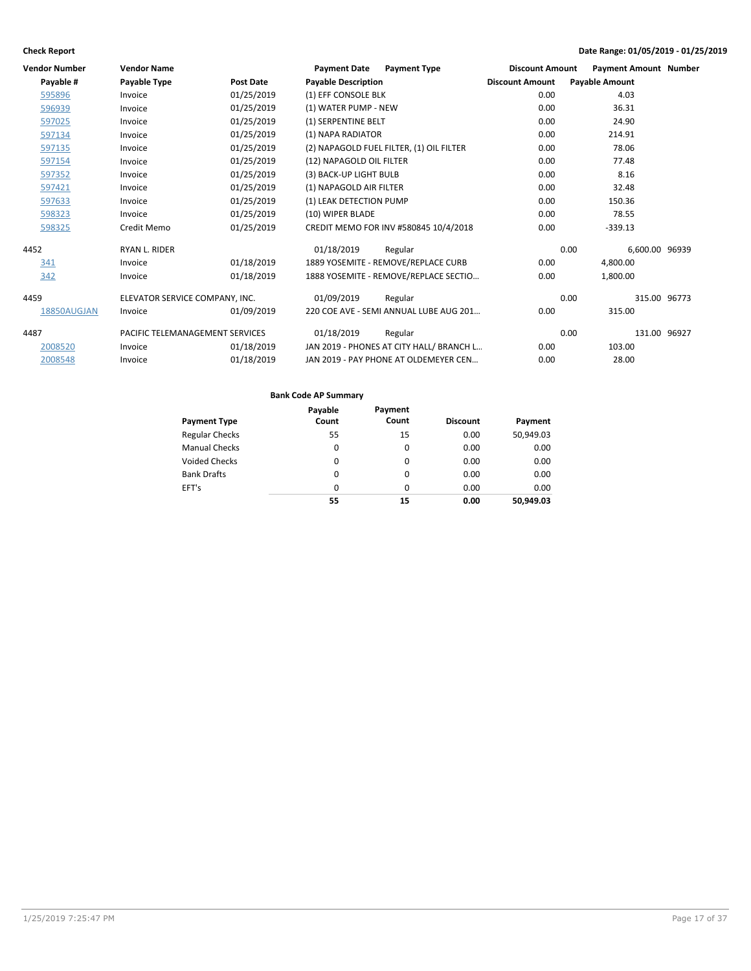| <b>Vendor Number</b> | <b>Vendor Name</b>              |                  | <b>Payment Date</b><br><b>Payment Type</b> | <b>Discount Amount</b> | <b>Payment Amount Number</b> |
|----------------------|---------------------------------|------------------|--------------------------------------------|------------------------|------------------------------|
| Payable #            | Payable Type                    | <b>Post Date</b> | <b>Payable Description</b>                 | <b>Discount Amount</b> | <b>Payable Amount</b>        |
| 595896               | Invoice                         | 01/25/2019       | (1) EFF CONSOLE BLK                        | 0.00                   | 4.03                         |
| 596939               | Invoice                         | 01/25/2019       | (1) WATER PUMP - NEW                       | 0.00                   | 36.31                        |
| 597025               | Invoice                         | 01/25/2019       | (1) SERPENTINE BELT                        | 0.00                   | 24.90                        |
| 597134               | Invoice                         | 01/25/2019       | (1) NAPA RADIATOR                          | 0.00                   | 214.91                       |
| 597135               | Invoice                         | 01/25/2019       | (2) NAPAGOLD FUEL FILTER, (1) OIL FILTER   | 0.00                   | 78.06                        |
| 597154               | Invoice                         | 01/25/2019       | (12) NAPAGOLD OIL FILTER                   | 0.00                   | 77.48                        |
| 597352               | Invoice                         | 01/25/2019       | (3) BACK-UP LIGHT BULB                     | 0.00                   | 8.16                         |
| 597421               | Invoice                         | 01/25/2019       | (1) NAPAGOLD AIR FILTER                    | 0.00                   | 32.48                        |
| 597633               | Invoice                         | 01/25/2019       | (1) LEAK DETECTION PUMP                    | 0.00                   | 150.36                       |
| 598323               | Invoice                         | 01/25/2019       | (10) WIPER BLADE                           | 0.00                   | 78.55                        |
| 598325               | Credit Memo                     | 01/25/2019       | CREDIT MEMO FOR INV #580845 10/4/2018      | 0.00                   | $-339.13$                    |
| 4452                 | RYAN L. RIDER                   |                  | 01/18/2019<br>Regular                      | 0.00                   | 6,600.00 96939               |
| 341                  | Invoice                         | 01/18/2019       | 1889 YOSEMITE - REMOVE/REPLACE CURB        | 0.00                   | 4,800.00                     |
| 342                  | Invoice                         | 01/18/2019       | 1888 YOSEMITE - REMOVE/REPLACE SECTIO      | 0.00                   | 1.800.00                     |
| 4459                 | ELEVATOR SERVICE COMPANY, INC.  |                  | 01/09/2019<br>Regular                      | 0.00                   | 315.00 96773                 |
| 18850AUGJAN          | Invoice                         | 01/09/2019       | 220 COE AVE - SEMI ANNUAL LUBE AUG 201     | 0.00                   | 315.00                       |
| 4487                 | PACIFIC TELEMANAGEMENT SERVICES |                  | 01/18/2019<br>Regular                      | 0.00                   | 131.00 96927                 |
| 2008520              | Invoice                         | 01/18/2019       | JAN 2019 - PHONES AT CITY HALL/ BRANCH L   | 0.00                   | 103.00                       |
| 2008548              | Invoice                         | 01/18/2019       | JAN 2019 - PAY PHONE AT OLDEMEYER CEN      | 0.00                   | 28.00                        |

|                       | Payable | Payment |                 |           |
|-----------------------|---------|---------|-----------------|-----------|
| <b>Payment Type</b>   | Count   | Count   | <b>Discount</b> | Payment   |
| <b>Regular Checks</b> | 55      | 15      | 0.00            | 50,949.03 |
| <b>Manual Checks</b>  | 0       | 0       | 0.00            | 0.00      |
| <b>Voided Checks</b>  | 0       | 0       | 0.00            | 0.00      |
| <b>Bank Drafts</b>    | 0       | 0       | 0.00            | 0.00      |
| EFT's                 | 0       | 0       | 0.00            | 0.00      |
|                       | 55      | 15      | 0.00            | 50.949.03 |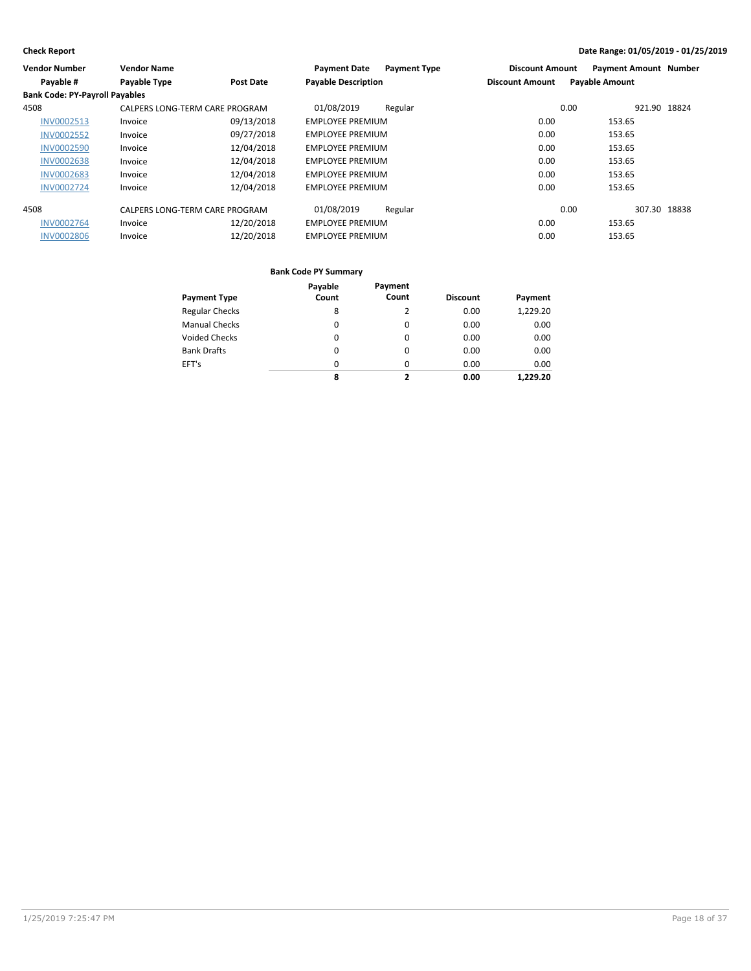| <b>Vendor Number</b>                  | <b>Vendor Name</b>             |            | <b>Payment Date</b>        | <b>Payment Type</b> | <b>Discount Amount</b> | <b>Payment Amount Number</b> |              |
|---------------------------------------|--------------------------------|------------|----------------------------|---------------------|------------------------|------------------------------|--------------|
| Payable #                             | Payable Type                   | Post Date  | <b>Payable Description</b> |                     | <b>Discount Amount</b> | <b>Payable Amount</b>        |              |
| <b>Bank Code: PY-Payroll Payables</b> |                                |            |                            |                     |                        |                              |              |
| 4508                                  | CALPERS LONG-TERM CARE PROGRAM |            | 01/08/2019                 | Regular             |                        | 0.00                         | 921.90 18824 |
| <b>INV0002513</b>                     | Invoice                        | 09/13/2018 | <b>EMPLOYEE PREMIUM</b>    |                     | 0.00                   | 153.65                       |              |
| <b>INV0002552</b>                     | Invoice                        | 09/27/2018 | <b>EMPLOYEE PREMIUM</b>    |                     | 0.00                   | 153.65                       |              |
| <b>INV0002590</b>                     | Invoice                        | 12/04/2018 | <b>EMPLOYEE PREMIUM</b>    |                     | 0.00                   | 153.65                       |              |
| <b>INV0002638</b>                     | Invoice                        | 12/04/2018 | <b>EMPLOYEE PREMIUM</b>    |                     | 0.00                   | 153.65                       |              |
| <b>INV0002683</b>                     | Invoice                        | 12/04/2018 | <b>EMPLOYEE PREMIUM</b>    |                     | 0.00                   | 153.65                       |              |
| <b>INV0002724</b>                     | Invoice                        | 12/04/2018 | <b>EMPLOYEE PREMIUM</b>    |                     | 0.00                   | 153.65                       |              |
| 4508                                  | CALPERS LONG-TERM CARE PROGRAM |            | 01/08/2019                 | Regular             |                        | 0.00                         | 307.30 18838 |
| <b>INV0002764</b>                     | Invoice                        | 12/20/2018 | <b>EMPLOYEE PREMIUM</b>    |                     | 0.00                   | 153.65                       |              |
| <b>INV0002806</b>                     | Invoice                        | 12/20/2018 | <b>EMPLOYEE PREMIUM</b>    |                     | 0.00                   | 153.65                       |              |

|                       | Payable  | Payment |                 |          |
|-----------------------|----------|---------|-----------------|----------|
| <b>Payment Type</b>   | Count    | Count   | <b>Discount</b> | Payment  |
| <b>Regular Checks</b> | 8        | 2       | 0.00            | 1.229.20 |
| <b>Manual Checks</b>  | 0        | 0       | 0.00            | 0.00     |
| Voided Checks         | $\Omega$ | 0       | 0.00            | 0.00     |
| <b>Bank Drafts</b>    | $\Omega$ | 0       | 0.00            | 0.00     |
| EFT's                 | $\Omega$ | 0       | 0.00            | 0.00     |
|                       | 8        | 2       | 0.00            | 1.229.20 |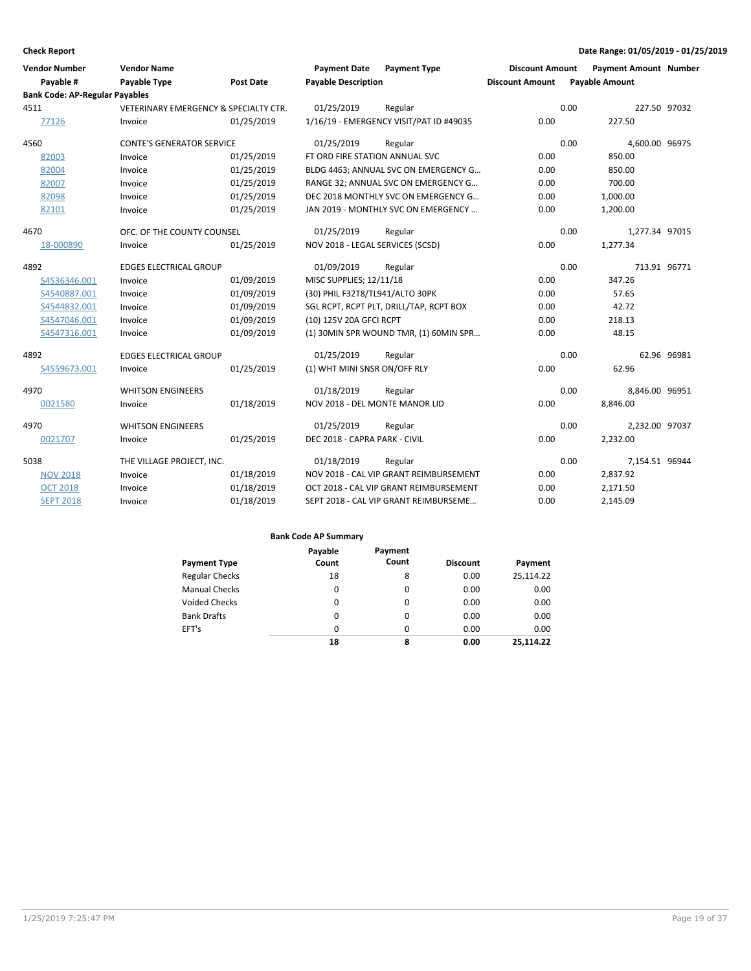| <b>Vendor Number</b><br>Payable #     | <b>Vendor Name</b><br><b>Payable Type</b>        | Post Date  | <b>Payment Date</b><br><b>Payable Description</b> | <b>Payment Type</b>                      | <b>Discount Amount</b><br><b>Discount Amount</b> | <b>Payment Amount Number</b><br><b>Payable Amount</b> |              |
|---------------------------------------|--------------------------------------------------|------------|---------------------------------------------------|------------------------------------------|--------------------------------------------------|-------------------------------------------------------|--------------|
| <b>Bank Code: AP-Regular Payables</b> |                                                  |            |                                                   |                                          |                                                  |                                                       |              |
| 4511                                  | <b>VETERINARY EMERGENCY &amp; SPECIALTY CTR.</b> |            | 01/25/2019                                        | Regular                                  |                                                  | 0.00                                                  | 227.50 97032 |
| 77126                                 | Invoice                                          | 01/25/2019 |                                                   | 1/16/19 - EMERGENCY VISIT/PAT ID #49035  | 0.00                                             | 227.50                                                |              |
| 4560                                  | <b>CONTE'S GENERATOR SERVICE</b>                 |            | 01/25/2019                                        | Regular                                  |                                                  | 0.00<br>4,600.00 96975                                |              |
| 82003                                 | Invoice                                          | 01/25/2019 | FT ORD FIRE STATION ANNUAL SVC                    |                                          | 0.00                                             | 850.00                                                |              |
| 82004                                 | Invoice                                          | 01/25/2019 |                                                   | BLDG 4463; ANNUAL SVC ON EMERGENCY G     | 0.00                                             | 850.00                                                |              |
| 82007                                 | Invoice                                          | 01/25/2019 |                                                   | RANGE 32; ANNUAL SVC ON EMERGENCY G      | 0.00                                             | 700.00                                                |              |
| 82098                                 | Invoice                                          | 01/25/2019 |                                                   | DEC 2018 MONTHLY SVC ON EMERGENCY G      | 0.00                                             | 1,000.00                                              |              |
| 82101                                 | Invoice                                          | 01/25/2019 |                                                   | JAN 2019 - MONTHLY SVC ON EMERGENCY      | 0.00                                             | 1,200.00                                              |              |
| 4670                                  | OFC. OF THE COUNTY COUNSEL                       |            | 01/25/2019                                        | Regular                                  |                                                  | 0.00<br>1,277.34 97015                                |              |
| 18-000890                             | Invoice                                          | 01/25/2019 | NOV 2018 - LEGAL SERVICES (SCSD)                  |                                          | 0.00                                             | 1,277.34                                              |              |
| 4892                                  | <b>EDGES ELECTRICAL GROUP</b>                    |            | 01/09/2019                                        | Regular                                  |                                                  | 0.00                                                  | 713.91 96771 |
| S4536346.001                          | Invoice                                          | 01/09/2019 | MISC SUPPLIES; 12/11/18                           |                                          | 0.00                                             | 347.26                                                |              |
| S4540887.001                          | Invoice                                          | 01/09/2019 | (30) PHIL F32T8/TL941/ALTO 30PK                   |                                          | 0.00                                             | 57.65                                                 |              |
| S4544832.001                          | Invoice                                          | 01/09/2019 |                                                   | SGL RCPT, RCPT PLT, DRILL/TAP, RCPT BOX  | 0.00                                             | 42.72                                                 |              |
| S4547046.001                          | Invoice                                          | 01/09/2019 | (10) 125V 20A GFCI RCPT                           |                                          | 0.00                                             | 218.13                                                |              |
| S4547316.001                          | Invoice                                          | 01/09/2019 |                                                   | (1) 30 MIN SPR WOUND TMR, (1) 60 MIN SPR | 0.00                                             | 48.15                                                 |              |
| 4892                                  | <b>EDGES ELECTRICAL GROUP</b>                    |            | 01/25/2019                                        | Regular                                  |                                                  | 0.00                                                  | 62.96 96981  |
| S4559673.001                          | Invoice                                          | 01/25/2019 | (1) WHT MINI SNSR ON/OFF RLY                      |                                          | 0.00                                             | 62.96                                                 |              |
| 4970                                  | <b>WHITSON ENGINEERS</b>                         |            | 01/18/2019                                        | Regular                                  |                                                  | 0.00<br>8,846.00 96951                                |              |
| 0021580                               | Invoice                                          | 01/18/2019 | NOV 2018 - DEL MONTE MANOR LID                    |                                          | 0.00                                             | 8,846.00                                              |              |
| 4970                                  | <b>WHITSON ENGINEERS</b>                         |            | 01/25/2019                                        | Regular                                  |                                                  | 0.00<br>2,232.00 97037                                |              |
| 0021707                               | Invoice                                          | 01/25/2019 | DEC 2018 - CAPRA PARK - CIVIL                     |                                          | 0.00                                             | 2,232.00                                              |              |
| 5038                                  | THE VILLAGE PROJECT, INC.                        |            | 01/18/2019                                        | Regular                                  |                                                  | 0.00<br>7,154.51 96944                                |              |
| <b>NOV 2018</b>                       | Invoice                                          | 01/18/2019 |                                                   | NOV 2018 - CAL VIP GRANT REIMBURSEMENT   | 0.00                                             | 2,837.92                                              |              |
| <b>OCT 2018</b>                       | Invoice                                          | 01/18/2019 |                                                   | OCT 2018 - CAL VIP GRANT REIMBURSEMENT   | 0.00                                             | 2,171.50                                              |              |
| <b>SEPT 2018</b>                      | Invoice                                          | 01/18/2019 |                                                   | SEPT 2018 - CAL VIP GRANT REIMBURSEME    | 0.00                                             | 2.145.09                                              |              |

|                       | Payable  | Payment  |                 |           |
|-----------------------|----------|----------|-----------------|-----------|
| <b>Payment Type</b>   | Count    | Count    | <b>Discount</b> | Payment   |
| <b>Regular Checks</b> | 18       | 8        | 0.00            | 25,114.22 |
| <b>Manual Checks</b>  | 0        | 0        | 0.00            | 0.00      |
| Voided Checks         | 0        | $\Omega$ | 0.00            | 0.00      |
| <b>Bank Drafts</b>    | $\Omega$ | $\Omega$ | 0.00            | 0.00      |
| EFT's                 | 0        | 0        | 0.00            | 0.00      |
|                       | 18       | 8        | 0.00            | 25.114.22 |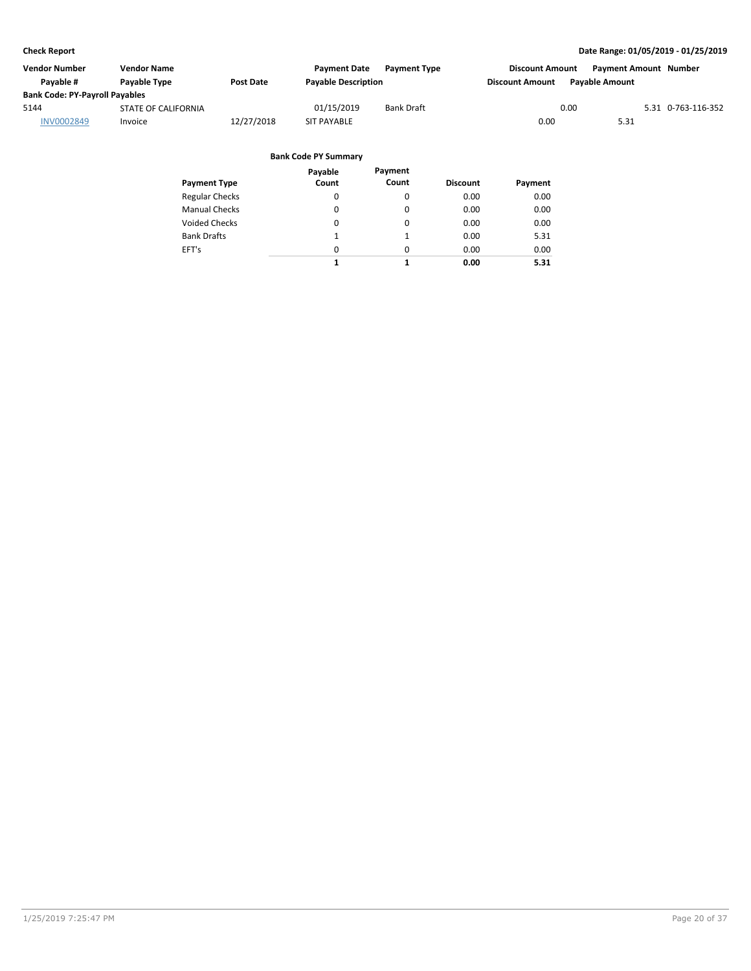| Vendor Number                         | <b>Vendor Name</b>         |                  | <b>Payment Date</b>        | <b>Payment Type</b> | <b>Discount Amount</b> | <b>Payment Amount Number</b> |                    |
|---------------------------------------|----------------------------|------------------|----------------------------|---------------------|------------------------|------------------------------|--------------------|
| Payable #                             | Payable Type               | <b>Post Date</b> | <b>Payable Description</b> |                     | <b>Discount Amount</b> | <b>Pavable Amount</b>        |                    |
| <b>Bank Code: PY-Payroll Payables</b> |                            |                  |                            |                     |                        |                              |                    |
| 5144                                  | <b>STATE OF CALIFORNIA</b> |                  | 01/15/2019                 | <b>Bank Draft</b>   | 0.00                   |                              | 5.31 0-763-116-352 |
| <b>INV0002849</b>                     | Invoice                    | 12/27/2018       | <b>SIT PAYABLE</b>         |                     | 0.00                   | 5.31                         |                    |
|                                       |                            |                  |                            |                     |                        |                              |                    |

| Payment Type          | Payable<br>Count | Payment<br>Count | <b>Discount</b> | Payment |
|-----------------------|------------------|------------------|-----------------|---------|
| <b>Regular Checks</b> | 0                | 0                | 0.00            | 0.00    |
| Manual Checks         | 0                | 0                | 0.00            | 0.00    |
| Voided Checks         | 0                | 0                | 0.00            | 0.00    |
| Bank Drafts           | 1                | 1                | 0.00            | 5.31    |
| EFT's                 | 0                | $\Omega$         | 0.00            | 0.00    |
|                       | 1                | 1                | 0.00            | 5.31    |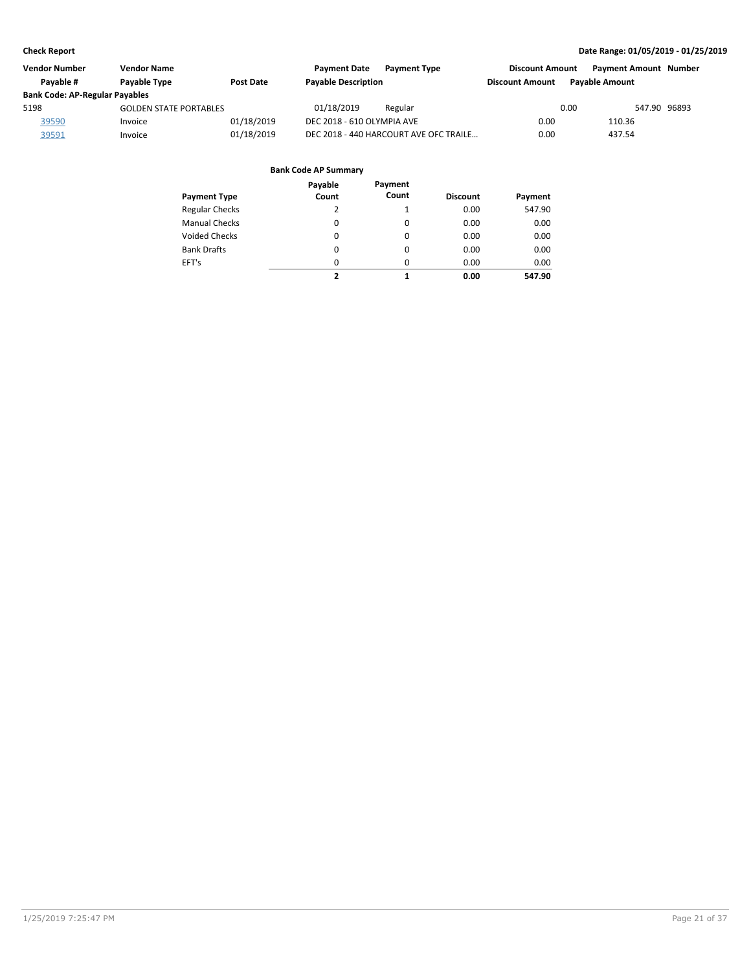| <b>Vendor Number</b>                  | Vendor Name                   |                  | <b>Payment Date</b><br><b>Payment Type</b> | <b>Discount Amount</b> | <b>Payment Amount Number</b> |
|---------------------------------------|-------------------------------|------------------|--------------------------------------------|------------------------|------------------------------|
| Pavable #                             | Payable Type                  | <b>Post Date</b> | <b>Payable Description</b>                 | <b>Discount Amount</b> | <b>Pavable Amount</b>        |
| <b>Bank Code: AP-Regular Payables</b> |                               |                  |                                            |                        |                              |
| 5198                                  | <b>GOLDEN STATE PORTABLES</b> |                  | 01/18/2019<br>Regular                      | 0.00                   | 547.90 96893                 |
| 39590                                 | Invoice                       | 01/18/2019       | DEC 2018 - 610 OLYMPIA AVE                 | 0.00                   | 110.36                       |
| 39591                                 | Invoice                       | 01/18/2019       | DEC 2018 - 440 HARCOURT AVE OFC TRAILE     | 0.00                   | 437.54                       |

| Payment Type          | Payable<br>Count | Payment<br>Count | <b>Discount</b> | Payment |
|-----------------------|------------------|------------------|-----------------|---------|
| <b>Regular Checks</b> | 2                | 1                | 0.00            | 547.90  |
| <b>Manual Checks</b>  | 0                | 0                | 0.00            | 0.00    |
| Voided Checks         | 0                | 0                | 0.00            | 0.00    |
| <b>Bank Drafts</b>    | 0                | 0                | 0.00            | 0.00    |
| EFT's                 | 0                | 0                | 0.00            | 0.00    |
|                       | 2                | 1                | 0.00            | 547.90  |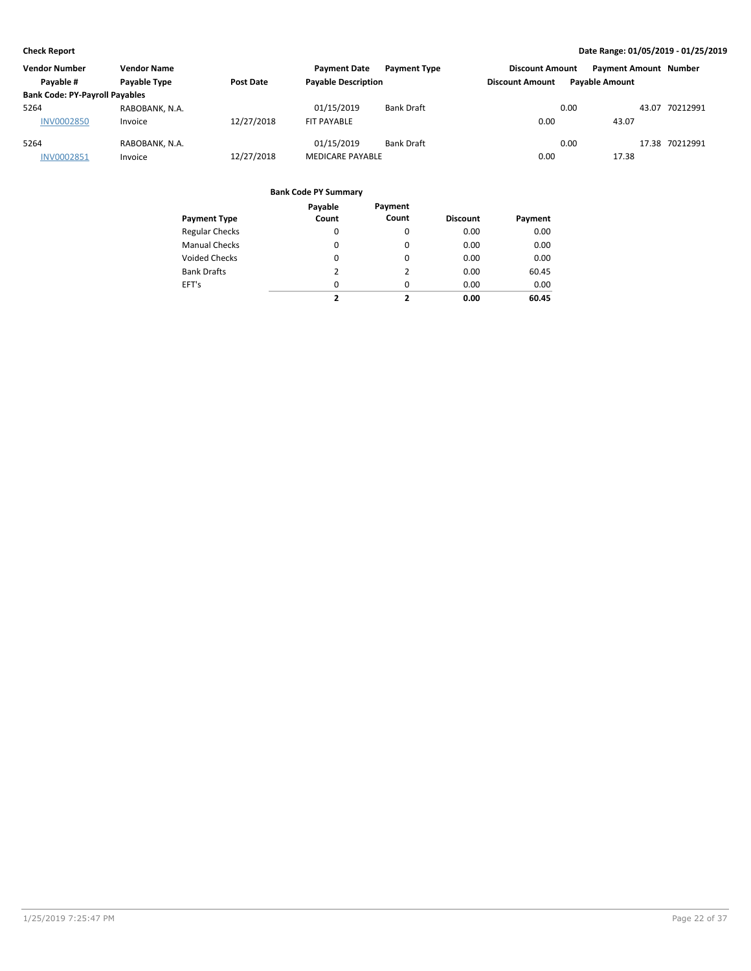| <b>Vendor Number</b>                  | <b>Vendor Name</b>  |            | <b>Payment Date</b>        | <b>Payment Type</b> | <b>Discount Amount</b> |                       | <b>Payment Amount Number</b> |                |
|---------------------------------------|---------------------|------------|----------------------------|---------------------|------------------------|-----------------------|------------------------------|----------------|
| Pavable #                             | <b>Pavable Type</b> | Post Date  | <b>Payable Description</b> |                     | <b>Discount Amount</b> | <b>Pavable Amount</b> |                              |                |
| <b>Bank Code: PY-Payroll Payables</b> |                     |            |                            |                     |                        |                       |                              |                |
| 5264                                  | RABOBANK, N.A.      |            | 01/15/2019                 | <b>Bank Draft</b>   |                        | 0.00                  |                              | 43.07 70212991 |
| <b>INV0002850</b>                     | Invoice             | 12/27/2018 | FIT PAYABLE                |                     | 0.00                   |                       | 43.07                        |                |
| 5264                                  | RABOBANK, N.A.      |            | 01/15/2019                 | <b>Bank Draft</b>   |                        | 0.00                  |                              | 17.38 70212991 |
| <b>INV0002851</b>                     | Invoice             | 12/27/2018 | <b>MEDICARE PAYABLE</b>    |                     | 0.00                   |                       | 17.38                        |                |

|                       | Payable       | Payment        |                 |         |
|-----------------------|---------------|----------------|-----------------|---------|
| <b>Payment Type</b>   | Count         | Count          | <b>Discount</b> | Payment |
| <b>Regular Checks</b> | 0             | 0              | 0.00            | 0.00    |
| <b>Manual Checks</b>  | 0             | $\Omega$       | 0.00            | 0.00    |
| <b>Voided Checks</b>  | 0             | $\Omega$       | 0.00            | 0.00    |
| <b>Bank Drafts</b>    | $\mathcal{P}$ | $\overline{2}$ | 0.00            | 60.45   |
| EFT's                 | 0             | $\Omega$       | 0.00            | 0.00    |
|                       | ,             | 7              | 0.00            | 60.45   |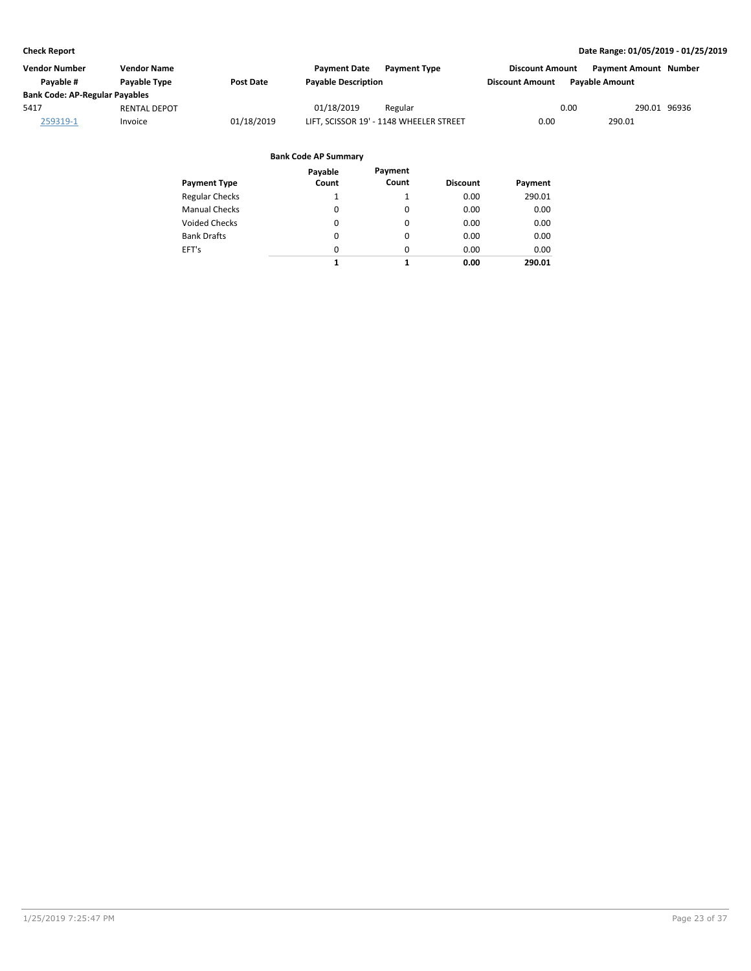| Vendor Number                         | <b>Vendor Name</b>  |                  | <b>Payment Date</b>        | <b>Payment Type</b>                     | <b>Discount Amount</b> | <b>Payment Amount Number</b> |  |
|---------------------------------------|---------------------|------------------|----------------------------|-----------------------------------------|------------------------|------------------------------|--|
| Pavable #                             | Payable Type        | <b>Post Date</b> | <b>Payable Description</b> |                                         | <b>Discount Amount</b> | <b>Payable Amount</b>        |  |
| <b>Bank Code: AP-Regular Payables</b> |                     |                  |                            |                                         |                        |                              |  |
| 5417                                  | <b>RENTAL DEPOT</b> |                  | 01/18/2019                 | Regular                                 |                        | 0.00<br>290.01 96936         |  |
| 259319-1                              | Invoice             | 01/18/2019       |                            | LIFT, SCISSOR 19' - 1148 WHEELER STREET | 0.00                   | 290.01                       |  |

| Payment Type          | Payable<br>Count | Payment<br>Count | <b>Discount</b> | Payment |
|-----------------------|------------------|------------------|-----------------|---------|
| <b>Regular Checks</b> | 1                |                  | 0.00            | 290.01  |
| <b>Manual Checks</b>  | $\Omega$         | $\Omega$         | 0.00            | 0.00    |
| Voided Checks         | 0                | 0                | 0.00            | 0.00    |
| <b>Bank Drafts</b>    | 0                | 0                | 0.00            | 0.00    |
| EFT's                 | 0                | $\Omega$         | 0.00            | 0.00    |
|                       | 1                | 1                | 0.00            | 290.01  |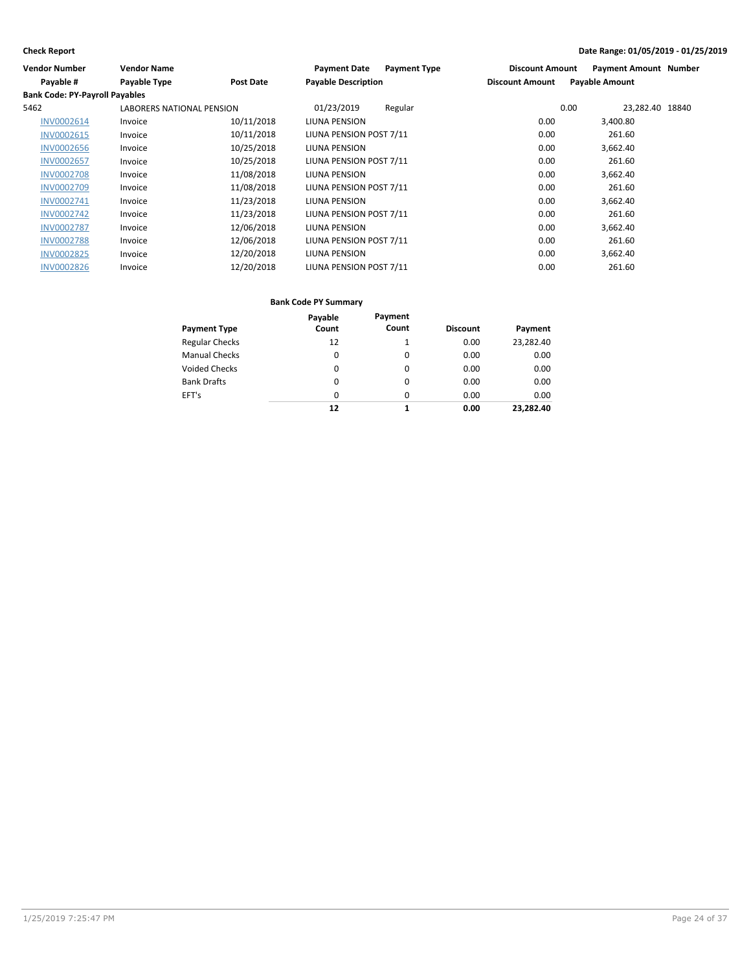| Vendor Number                         | <b>Vendor Name</b>               |                  | <b>Payment Type</b><br><b>Payment Date</b> | <b>Discount Amount</b> | <b>Payment Amount Number</b> |  |
|---------------------------------------|----------------------------------|------------------|--------------------------------------------|------------------------|------------------------------|--|
| Payable #                             | <b>Payable Type</b>              | <b>Post Date</b> | <b>Payable Description</b>                 | <b>Discount Amount</b> | <b>Payable Amount</b>        |  |
| <b>Bank Code: PY-Payroll Payables</b> |                                  |                  |                                            |                        |                              |  |
| 5462                                  | <b>LABORERS NATIONAL PENSION</b> |                  | 01/23/2019<br>Regular                      |                        | 0.00<br>23,282.40 18840      |  |
| INV0002614                            | Invoice                          | 10/11/2018       | LIUNA PENSION                              | 0.00                   | 3,400.80                     |  |
| <b>INV0002615</b>                     | Invoice                          | 10/11/2018       | LIUNA PENSION POST 7/11                    | 0.00                   | 261.60                       |  |
| <b>INV0002656</b>                     | Invoice                          | 10/25/2018       | LIUNA PENSION                              | 0.00                   | 3,662.40                     |  |
| <b>INV0002657</b>                     | Invoice                          | 10/25/2018       | LIUNA PENSION POST 7/11                    | 0.00                   | 261.60                       |  |
| <b>INV0002708</b>                     | Invoice                          | 11/08/2018       | LIUNA PENSION                              | 0.00                   | 3,662.40                     |  |
| <b>INV0002709</b>                     | Invoice                          | 11/08/2018       | LIUNA PENSION POST 7/11                    | 0.00                   | 261.60                       |  |
| INV0002741                            | Invoice                          | 11/23/2018       | LIUNA PENSION                              | 0.00                   | 3,662.40                     |  |
| <b>INV0002742</b>                     | Invoice                          | 11/23/2018       | LIUNA PENSION POST 7/11                    | 0.00                   | 261.60                       |  |
| <b>INV0002787</b>                     | Invoice                          | 12/06/2018       | LIUNA PENSION                              | 0.00                   | 3,662.40                     |  |
| <b>INV0002788</b>                     | Invoice                          | 12/06/2018       | LIUNA PENSION POST 7/11                    | 0.00                   | 261.60                       |  |
| <b>INV0002825</b>                     | Invoice                          | 12/20/2018       | LIUNA PENSION                              | 0.00                   | 3,662.40                     |  |
| <b>INV0002826</b>                     | Invoice                          | 12/20/2018       | LIUNA PENSION POST 7/11                    | 0.00                   | 261.60                       |  |

|                       | Payable  | Payment  |                 |           |
|-----------------------|----------|----------|-----------------|-----------|
| <b>Payment Type</b>   | Count    | Count    | <b>Discount</b> | Payment   |
| <b>Regular Checks</b> | 12       | 1        | 0.00            | 23,282.40 |
| <b>Manual Checks</b>  | 0        | 0        | 0.00            | 0.00      |
| <b>Voided Checks</b>  | 0        | $\Omega$ | 0.00            | 0.00      |
| <b>Bank Drafts</b>    | 0        | 0        | 0.00            | 0.00      |
| EFT's                 | $\Omega$ | $\Omega$ | 0.00            | 0.00      |
|                       | 12       | 1        | 0.00            | 23.282.40 |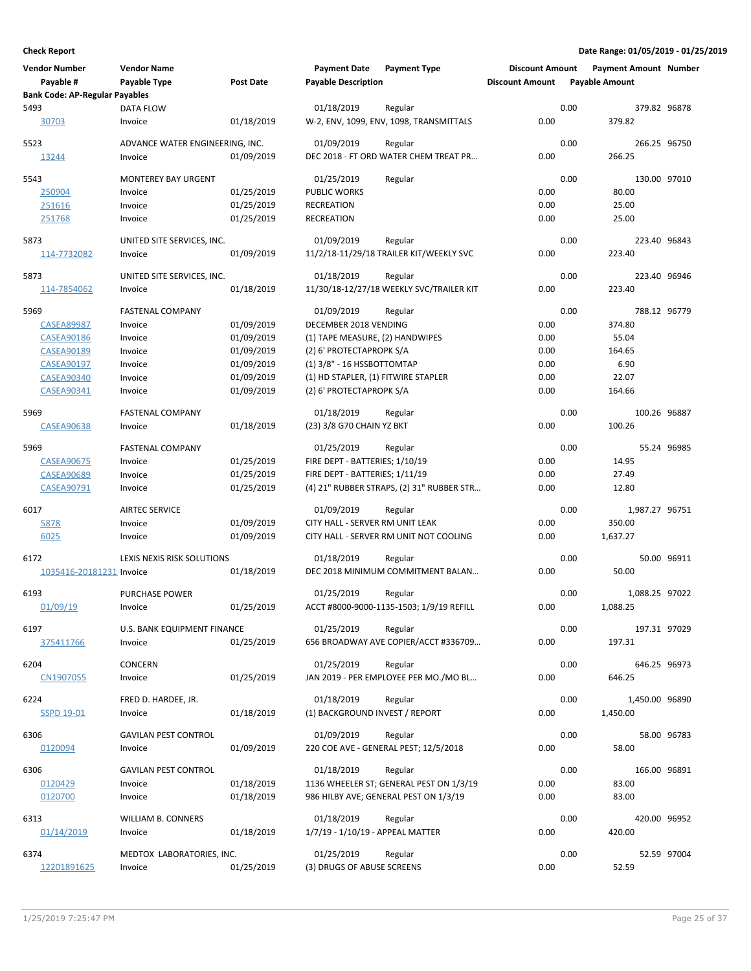| <b>Vendor Number</b><br>Payable #<br><b>Bank Code: AP-Regular Payables</b> | <b>Vendor Name</b><br>Payable Type     | Post Date  | <b>Payment Date</b><br><b>Payable Description</b> | <b>Payment Type</b>                              | <b>Discount Amount</b><br><b>Discount Amount</b> |      | <b>Payment Amount Number</b><br><b>Payable Amount</b> |             |
|----------------------------------------------------------------------------|----------------------------------------|------------|---------------------------------------------------|--------------------------------------------------|--------------------------------------------------|------|-------------------------------------------------------|-------------|
| 5493                                                                       | <b>DATA FLOW</b>                       |            | 01/18/2019                                        | Regular                                          |                                                  | 0.00 | 379.82 96878                                          |             |
| 30703                                                                      | Invoice                                | 01/18/2019 |                                                   | W-2, ENV, 1099, ENV, 1098, TRANSMITTALS          | 0.00                                             |      | 379.82                                                |             |
| 5523                                                                       | ADVANCE WATER ENGINEERING, INC.        |            | 01/09/2019                                        | Regular                                          |                                                  | 0.00 | 266.25 96750                                          |             |
| 13244                                                                      | Invoice                                | 01/09/2019 |                                                   | DEC 2018 - FT ORD WATER CHEM TREAT PR            | 0.00                                             |      | 266.25                                                |             |
| 5543                                                                       | <b>MONTEREY BAY URGENT</b>             |            | 01/25/2019                                        | Regular                                          |                                                  | 0.00 | 130.00 97010                                          |             |
| 250904                                                                     | Invoice                                | 01/25/2019 | <b>PUBLIC WORKS</b>                               |                                                  | 0.00                                             |      | 80.00                                                 |             |
| 251616                                                                     | Invoice                                | 01/25/2019 | <b>RECREATION</b>                                 |                                                  | 0.00                                             |      | 25.00                                                 |             |
| 251768                                                                     | Invoice                                | 01/25/2019 | <b>RECREATION</b>                                 |                                                  | 0.00                                             |      | 25.00                                                 |             |
| 5873                                                                       | UNITED SITE SERVICES, INC.             |            | 01/09/2019                                        | Regular                                          |                                                  | 0.00 | 223.40 96843                                          |             |
| 114-7732082                                                                | Invoice                                | 01/09/2019 |                                                   | 11/2/18-11/29/18 TRAILER KIT/WEEKLY SVC          | 0.00                                             |      | 223.40                                                |             |
| 5873                                                                       | UNITED SITE SERVICES, INC.             |            | 01/18/2019                                        | Regular                                          |                                                  | 0.00 | 223.40 96946                                          |             |
| 114-7854062                                                                | Invoice                                | 01/18/2019 |                                                   | 11/30/18-12/27/18 WEEKLY SVC/TRAILER KIT         | 0.00                                             |      | 223.40                                                |             |
| 5969                                                                       | <b>FASTENAL COMPANY</b>                |            | 01/09/2019                                        | Regular                                          |                                                  | 0.00 | 788.12 96779                                          |             |
| <b>CASEA89987</b>                                                          | Invoice                                | 01/09/2019 | DECEMBER 2018 VENDING                             |                                                  | 0.00                                             |      | 374.80                                                |             |
| <b>CASEA90186</b>                                                          | Invoice                                | 01/09/2019 | (1) TAPE MEASURE, (2) HANDWIPES                   |                                                  | 0.00                                             |      | 55.04                                                 |             |
| <b>CASEA90189</b>                                                          | Invoice                                | 01/09/2019 | (2) 6' PROTECTAPROPK S/A                          |                                                  | 0.00                                             |      | 164.65                                                |             |
| <b>CASEA90197</b>                                                          | Invoice                                | 01/09/2019 | (1) 3/8" - 16 HSSBOTTOMTAP                        |                                                  | 0.00                                             |      | 6.90                                                  |             |
| <b>CASEA90340</b>                                                          | Invoice                                | 01/09/2019 | (1) HD STAPLER, (1) FITWIRE STAPLER               |                                                  | 0.00                                             |      | 22.07                                                 |             |
| <b>CASEA90341</b>                                                          | Invoice                                | 01/09/2019 | (2) 6' PROTECTAPROPK S/A                          |                                                  | 0.00                                             |      | 164.66                                                |             |
| 5969                                                                       | <b>FASTENAL COMPANY</b>                |            | 01/18/2019                                        | Regular                                          |                                                  | 0.00 | 100.26 96887                                          |             |
| CASEA90638                                                                 | Invoice                                | 01/18/2019 | (23) 3/8 G70 CHAIN YZ BKT                         |                                                  | 0.00                                             |      | 100.26                                                |             |
| 5969                                                                       | <b>FASTENAL COMPANY</b>                |            | 01/25/2019                                        | Regular                                          |                                                  | 0.00 |                                                       | 55.24 96985 |
| <b>CASEA90675</b>                                                          | Invoice                                | 01/25/2019 | FIRE DEPT - BATTERIES; 1/10/19                    |                                                  | 0.00                                             |      | 14.95                                                 |             |
| <b>CASEA90689</b>                                                          | Invoice                                | 01/25/2019 | FIRE DEPT - BATTERIES; 1/11/19                    |                                                  | 0.00                                             |      | 27.49                                                 |             |
| <b>CASEA90791</b>                                                          | Invoice                                | 01/25/2019 |                                                   | (4) 21" RUBBER STRAPS, (2) 31" RUBBER STR        | 0.00                                             |      | 12.80                                                 |             |
| 6017                                                                       | <b>AIRTEC SERVICE</b>                  |            | 01/09/2019                                        | Regular                                          |                                                  | 0.00 | 1,987.27 96751                                        |             |
| 5878                                                                       | Invoice                                | 01/09/2019 | CITY HALL - SERVER RM UNIT LEAK                   |                                                  | 0.00                                             |      | 350.00                                                |             |
| 6025                                                                       | Invoice                                | 01/09/2019 |                                                   | CITY HALL - SERVER RM UNIT NOT COOLING           | 0.00                                             |      | 1,637.27                                              |             |
| 6172                                                                       | LEXIS NEXIS RISK SOLUTIONS             |            | 01/18/2019                                        | Regular                                          |                                                  | 0.00 |                                                       | 50.00 96911 |
| 1035416-20181231 Invoice                                                   |                                        | 01/18/2019 |                                                   | DEC 2018 MINIMUM COMMITMENT BALAN                | 0.00                                             |      | 50.00                                                 |             |
| 6193                                                                       | <b>PURCHASE POWER</b>                  |            | 01/25/2019                                        | Regular                                          |                                                  | 0.00 | 1,088.25 97022                                        |             |
| 01/09/19                                                                   | Invoice                                | 01/25/2019 |                                                   | ACCT #8000-9000-1135-1503; 1/9/19 REFILL         | 0.00                                             |      | 1,088.25                                              |             |
| 6197                                                                       | U.S. BANK EQUIPMENT FINANCE            |            | 01/25/2019                                        | Regular                                          |                                                  | 0.00 | 197.31 97029                                          |             |
| 375411766                                                                  | Invoice                                | 01/25/2019 |                                                   | 656 BROADWAY AVE COPIER/ACCT #336709             | 0.00                                             |      | 197.31                                                |             |
| 6204                                                                       | <b>CONCERN</b>                         |            | 01/25/2019                                        | Regular                                          |                                                  | 0.00 | 646.25 96973                                          |             |
| CN1907055                                                                  | Invoice                                | 01/25/2019 |                                                   | JAN 2019 - PER EMPLOYEE PER MO./MO BL            | 0.00                                             |      | 646.25                                                |             |
| 6224                                                                       | FRED D. HARDEE, JR.                    |            | 01/18/2019                                        | Regular                                          |                                                  | 0.00 | 1,450.00 96890                                        |             |
| <b>SSPD 19-01</b>                                                          | Invoice                                | 01/18/2019 | (1) BACKGROUND INVEST / REPORT                    |                                                  | 0.00                                             |      | 1,450.00                                              |             |
|                                                                            |                                        |            |                                                   |                                                  |                                                  |      |                                                       |             |
| 6306<br>0120094                                                            | <b>GAVILAN PEST CONTROL</b><br>Invoice | 01/09/2019 | 01/09/2019                                        | Regular<br>220 COE AVE - GENERAL PEST; 12/5/2018 | 0.00                                             | 0.00 | 58.00                                                 | 58.00 96783 |
|                                                                            |                                        |            |                                                   |                                                  |                                                  |      |                                                       |             |
| 6306                                                                       | <b>GAVILAN PEST CONTROL</b>            |            | 01/18/2019                                        | Regular                                          |                                                  | 0.00 | 166.00 96891                                          |             |
| 0120429                                                                    | Invoice                                | 01/18/2019 |                                                   | 1136 WHEELER ST; GENERAL PEST ON 1/3/19          | 0.00                                             |      | 83.00                                                 |             |
| 0120700                                                                    | Invoice                                | 01/18/2019 |                                                   | 986 HILBY AVE; GENERAL PEST ON 1/3/19            | 0.00                                             |      | 83.00                                                 |             |
| 6313                                                                       | WILLIAM B. CONNERS                     |            | 01/18/2019                                        | Regular                                          |                                                  | 0.00 | 420.00 96952                                          |             |
| 01/14/2019                                                                 | Invoice                                | 01/18/2019 | 1/7/19 - 1/10/19 - APPEAL MATTER                  |                                                  | 0.00                                             |      | 420.00                                                |             |
| 6374                                                                       | MEDTOX LABORATORIES, INC.              |            | 01/25/2019                                        | Regular                                          |                                                  | 0.00 |                                                       | 52.59 97004 |
| 12201891625                                                                | Invoice                                | 01/25/2019 | (3) DRUGS OF ABUSE SCREENS                        |                                                  | 0.00                                             |      | 52.59                                                 |             |
|                                                                            |                                        |            |                                                   |                                                  |                                                  |      |                                                       |             |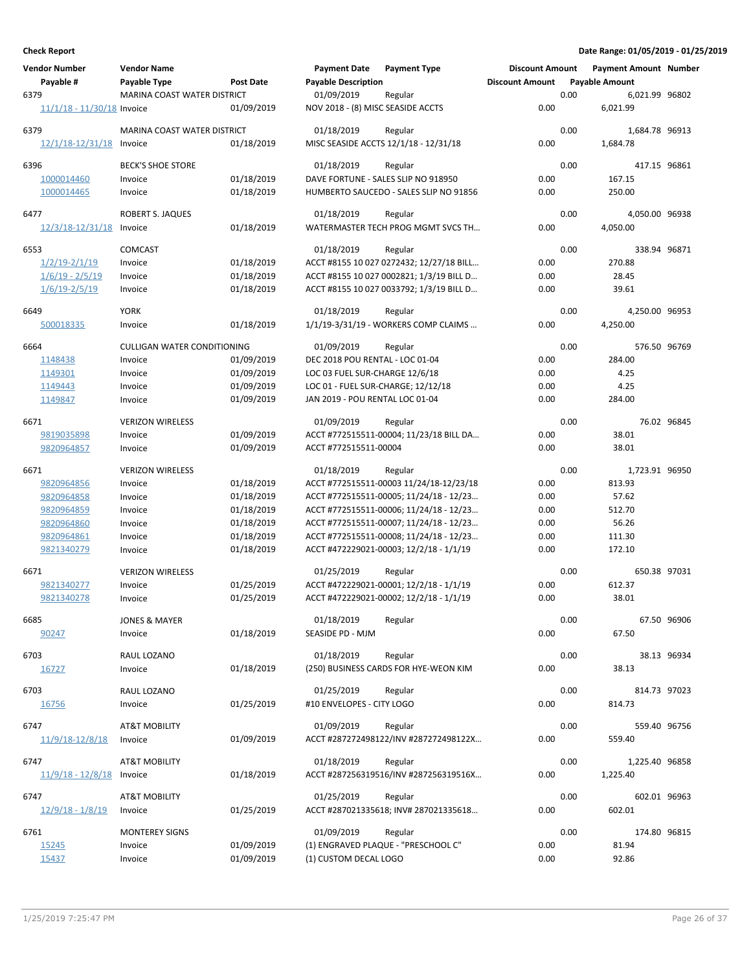| <b>Vendor Number</b>        | <b>Vendor Name</b>                 |                  | <b>Payment Date</b>                | <b>Payment Type</b>                      | <b>Discount Amount</b> |      | <b>Payment Amount Number</b> |             |
|-----------------------------|------------------------------------|------------------|------------------------------------|------------------------------------------|------------------------|------|------------------------------|-------------|
| Payable #                   | Payable Type                       | <b>Post Date</b> | <b>Payable Description</b>         |                                          | <b>Discount Amount</b> |      | <b>Payable Amount</b>        |             |
| 6379                        | MARINA COAST WATER DISTRICT        |                  | 01/09/2019                         | Regular                                  |                        | 0.00 | 6,021.99 96802               |             |
| 11/1/18 - 11/30/18 Invoice  |                                    | 01/09/2019       | NOV 2018 - (8) MISC SEASIDE ACCTS  |                                          | 0.00                   |      | 6,021.99                     |             |
|                             |                                    |                  |                                    |                                          |                        |      |                              |             |
| 6379                        | MARINA COAST WATER DISTRICT        |                  | 01/18/2019                         | Regular                                  |                        | 0.00 | 1.684.78 96913               |             |
| $12/1/18 - 12/31/18$        | Invoice                            | 01/18/2019       |                                    | MISC SEASIDE ACCTS 12/1/18 - 12/31/18    | 0.00                   |      | 1,684.78                     |             |
| 6396                        | <b>BECK'S SHOE STORE</b>           |                  | 01/18/2019                         | Regular                                  |                        | 0.00 | 417.15 96861                 |             |
|                             |                                    |                  |                                    |                                          |                        |      |                              |             |
| 1000014460                  | Invoice                            | 01/18/2019       |                                    | DAVE FORTUNE - SALES SLIP NO 918950      | 0.00                   |      | 167.15                       |             |
| 1000014465                  | Invoice                            | 01/18/2019       |                                    | HUMBERTO SAUCEDO - SALES SLIP NO 91856   | 0.00                   |      | 250.00                       |             |
| 6477                        | <b>ROBERT S. JAQUES</b>            |                  | 01/18/2019                         | Regular                                  |                        | 0.00 | 4,050.00 96938               |             |
| 12/3/18-12/31/18            | Invoice                            | 01/18/2019       |                                    | WATERMASTER TECH PROG MGMT SVCS TH       | 0.00                   |      | 4,050.00                     |             |
|                             |                                    |                  |                                    |                                          |                        |      |                              |             |
| 6553                        | <b>COMCAST</b>                     |                  | 01/18/2019                         | Regular                                  |                        | 0.00 | 338.94 96871                 |             |
| $1/2/19 - 2/1/19$           | Invoice                            | 01/18/2019       |                                    | ACCT #8155 10 027 0272432; 12/27/18 BILL | 0.00                   |      | 270.88                       |             |
| $1/6/19 - 2/5/19$           | Invoice                            | 01/18/2019       |                                    | ACCT #8155 10 027 0002821; 1/3/19 BILL D | 0.00                   |      | 28.45                        |             |
| $1/6/19 - 2/5/19$           | Invoice                            | 01/18/2019       |                                    | ACCT #8155 10 027 0033792; 1/3/19 BILL D | 0.00                   |      | 39.61                        |             |
|                             |                                    |                  |                                    |                                          |                        |      |                              |             |
| 6649                        | <b>YORK</b>                        |                  | 01/18/2019                         | Regular                                  |                        | 0.00 | 4,250.00 96953               |             |
| 500018335                   | Invoice                            | 01/18/2019       |                                    | 1/1/19-3/31/19 - WORKERS COMP CLAIMS     | 0.00                   |      | 4,250.00                     |             |
| 6664                        | <b>CULLIGAN WATER CONDITIONING</b> |                  | 01/09/2019                         | Regular                                  |                        | 0.00 | 576.50 96769                 |             |
| 1148438                     | Invoice                            | 01/09/2019       | DEC 2018 POU RENTAL - LOC 01-04    |                                          | 0.00                   |      | 284.00                       |             |
| 1149301                     | Invoice                            | 01/09/2019       | LOC 03 FUEL SUR-CHARGE 12/6/18     |                                          | 0.00                   |      | 4.25                         |             |
| 1149443                     | Invoice                            | 01/09/2019       | LOC 01 - FUEL SUR-CHARGE; 12/12/18 |                                          | 0.00                   |      | 4.25                         |             |
| 1149847                     | Invoice                            | 01/09/2019       | JAN 2019 - POU RENTAL LOC 01-04    |                                          | 0.00                   |      | 284.00                       |             |
|                             |                                    |                  |                                    |                                          |                        |      |                              |             |
| 6671                        | <b>VERIZON WIRELESS</b>            |                  | 01/09/2019                         | Regular                                  |                        | 0.00 |                              | 76.02 96845 |
| 9819035898                  | Invoice                            | 01/09/2019       |                                    | ACCT #772515511-00004; 11/23/18 BILL DA  | 0.00                   |      | 38.01                        |             |
| 9820964857                  | Invoice                            | 01/09/2019       | ACCT #772515511-00004              |                                          | 0.00                   |      | 38.01                        |             |
|                             |                                    |                  |                                    |                                          |                        |      |                              |             |
| 6671                        | <b>VERIZON WIRELESS</b>            |                  | 01/18/2019                         | Regular                                  |                        | 0.00 | 1,723.91 96950               |             |
| 9820964856                  | Invoice                            | 01/18/2019       |                                    | ACCT #772515511-00003 11/24/18-12/23/18  | 0.00                   |      | 813.93                       |             |
| 9820964858                  | Invoice                            | 01/18/2019       |                                    | ACCT #772515511-00005; 11/24/18 - 12/23  | 0.00                   |      | 57.62                        |             |
| 9820964859                  | Invoice                            | 01/18/2019       |                                    | ACCT #772515511-00006; 11/24/18 - 12/23  | 0.00                   |      | 512.70                       |             |
| 9820964860                  | Invoice                            | 01/18/2019       |                                    | ACCT #772515511-00007; 11/24/18 - 12/23  | 0.00                   |      | 56.26                        |             |
| 9820964861                  | Invoice                            | 01/18/2019       |                                    | ACCT #772515511-00008; 11/24/18 - 12/23  | 0.00                   |      | 111.30                       |             |
| 9821340279                  | Invoice                            | 01/18/2019       |                                    | ACCT #472229021-00003; 12/2/18 - 1/1/19  | 0.00                   |      | 172.10                       |             |
|                             |                                    |                  |                                    |                                          |                        |      |                              |             |
| 6671                        | <b>VERIZON WIRELESS</b>            |                  | 01/25/2019                         | Regular                                  |                        | 0.00 | 650.38 97031                 |             |
| 9821340277                  | Invoice                            | 01/25/2019       |                                    | ACCT #472229021-00001; 12/2/18 - 1/1/19  | 0.00                   |      | 612.37                       |             |
| 9821340278                  | Invoice                            | 01/25/2019       |                                    | ACCT #472229021-00002; 12/2/18 - 1/1/19  | 0.00                   |      | 38.01                        |             |
| 6685                        | <b>JONES &amp; MAYER</b>           |                  | 01/18/2019                         | Regular                                  |                        | 0.00 |                              | 67.50 96906 |
| 90247                       | Invoice                            | 01/18/2019       | SEASIDE PD - MJM                   |                                          | 0.00                   |      | 67.50                        |             |
|                             |                                    |                  |                                    |                                          |                        |      |                              |             |
| 6703                        | RAUL LOZANO                        |                  | 01/18/2019                         | Regular                                  |                        | 0.00 |                              | 38.13 96934 |
| 16727                       | Invoice                            | 01/18/2019       |                                    | (250) BUSINESS CARDS FOR HYE-WEON KIM    | 0.00                   |      | 38.13                        |             |
|                             |                                    |                  |                                    |                                          |                        |      |                              |             |
| 6703                        | RAUL LOZANO                        |                  | 01/25/2019                         | Regular                                  |                        | 0.00 | 814.73 97023                 |             |
| 16756                       | Invoice                            | 01/25/2019       | #10 ENVELOPES - CITY LOGO          |                                          | 0.00                   |      | 814.73                       |             |
| 6747                        | <b>AT&amp;T MOBILITY</b>           |                  | 01/09/2019                         | Regular                                  |                        | 0.00 | 559.40 96756                 |             |
| 11/9/18-12/8/18             | Invoice                            | 01/09/2019       |                                    | ACCT #287272498122/INV #287272498122X    | 0.00                   |      | 559.40                       |             |
|                             |                                    |                  |                                    |                                          |                        |      |                              |             |
| 6747                        | <b>AT&amp;T MOBILITY</b>           |                  | 01/18/2019                         | Regular                                  |                        | 0.00 | 1,225.40 96858               |             |
| $11/9/18 - 12/8/18$ Invoice |                                    | 01/18/2019       |                                    | ACCT #287256319516/INV #287256319516X    | 0.00                   |      | 1,225.40                     |             |
|                             |                                    |                  |                                    |                                          |                        |      |                              |             |
| 6747                        | <b>AT&amp;T MOBILITY</b>           |                  | 01/25/2019                         | Regular                                  |                        | 0.00 | 602.01 96963                 |             |
| $12/9/18 - 1/8/19$          | Invoice                            | 01/25/2019       |                                    | ACCT #287021335618; INV# 287021335618    | 0.00                   |      | 602.01                       |             |
| 6761                        | <b>MONTEREY SIGNS</b>              |                  | 01/09/2019                         | Regular                                  |                        | 0.00 | 174.80 96815                 |             |
| 15245                       | Invoice                            | 01/09/2019       |                                    | (1) ENGRAVED PLAQUE - "PRESCHOOL C"      | 0.00                   |      | 81.94                        |             |
| 15437                       | Invoice                            | 01/09/2019       | (1) CUSTOM DECAL LOGO              |                                          | 0.00                   |      | 92.86                        |             |
|                             |                                    |                  |                                    |                                          |                        |      |                              |             |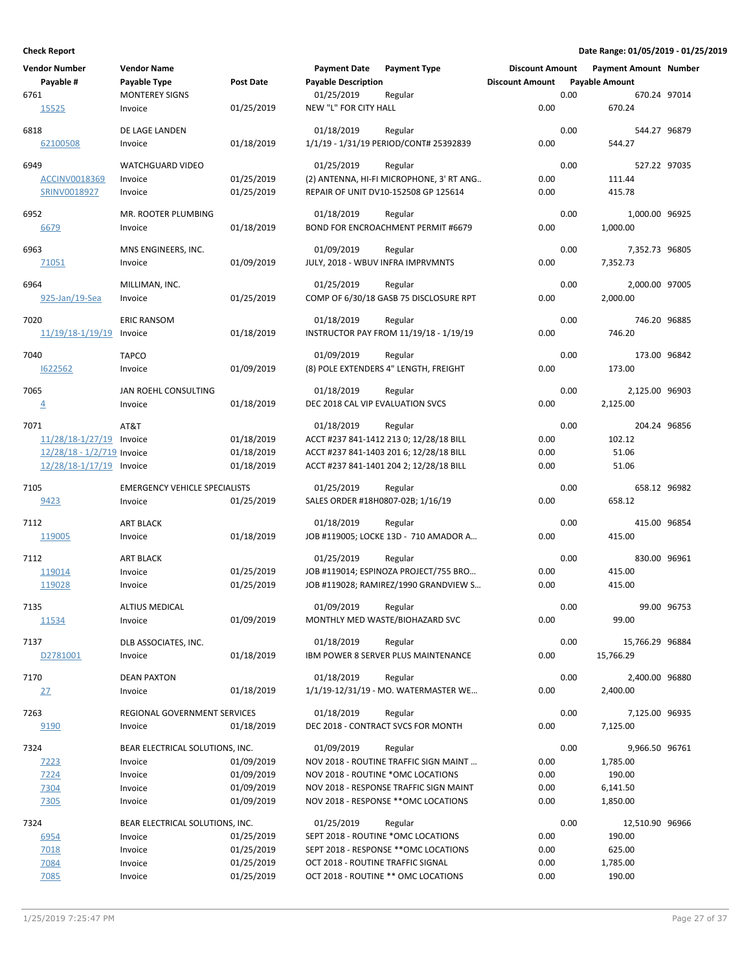| <b>Vendor Number</b>       | <b>Vendor Name</b>                   |                  | <b>Payment Date</b>               | <b>Payment Type</b>                             | <b>Discount Amount</b> |      | <b>Payment Amount Number</b> |             |
|----------------------------|--------------------------------------|------------------|-----------------------------------|-------------------------------------------------|------------------------|------|------------------------------|-------------|
| Payable #                  | Payable Type                         | <b>Post Date</b> | <b>Payable Description</b>        |                                                 | <b>Discount Amount</b> |      | <b>Payable Amount</b>        |             |
| 6761                       | <b>MONTEREY SIGNS</b>                |                  | 01/25/2019                        | Regular                                         |                        | 0.00 | 670.24 97014                 |             |
| 15525                      | Invoice                              | 01/25/2019       | NEW "L" FOR CITY HALL             |                                                 | 0.00                   |      | 670.24                       |             |
|                            |                                      |                  |                                   |                                                 |                        |      |                              |             |
| 6818                       | DE LAGE LANDEN                       |                  | 01/18/2019                        | Regular                                         |                        | 0.00 | 544.27 96879                 |             |
| 62100508                   | Invoice                              | 01/18/2019       |                                   | 1/1/19 - 1/31/19 PERIOD/CONT# 25392839          | 0.00                   |      | 544.27                       |             |
| 6949                       | <b>WATCHGUARD VIDEO</b>              |                  | 01/25/2019                        | Regular                                         |                        | 0.00 | 527.22 97035                 |             |
| <b>ACCINV0018369</b>       | Invoice                              | 01/25/2019       |                                   | (2) ANTENNA, HI-FI MICROPHONE, 3' RT ANG        | 0.00                   |      | 111.44                       |             |
| SRINV0018927               | Invoice                              | 01/25/2019       |                                   | REPAIR OF UNIT DV10-152508 GP 125614            | 0.00                   |      | 415.78                       |             |
|                            |                                      |                  |                                   |                                                 |                        |      |                              |             |
| 6952                       | MR. ROOTER PLUMBING                  |                  | 01/18/2019                        | Regular                                         |                        | 0.00 | 1,000.00 96925               |             |
| 6679                       | Invoice                              | 01/18/2019       |                                   | BOND FOR ENCROACHMENT PERMIT #6679              | 0.00                   |      | 1,000.00                     |             |
|                            |                                      |                  |                                   |                                                 |                        |      |                              |             |
| 6963                       | MNS ENGINEERS, INC.                  |                  | 01/09/2019                        | Regular                                         |                        | 0.00 | 7,352.73 96805               |             |
| 71051                      | Invoice                              | 01/09/2019       | JULY, 2018 - WBUV INFRA IMPRVMNTS |                                                 | 0.00                   |      | 7,352.73                     |             |
| 6964                       | MILLIMAN, INC.                       |                  | 01/25/2019                        | Regular                                         |                        | 0.00 | 2,000.00 97005               |             |
| 925-Jan/19-Sea             | Invoice                              | 01/25/2019       |                                   | COMP OF 6/30/18 GASB 75 DISCLOSURE RPT          | 0.00                   |      | 2,000.00                     |             |
|                            |                                      |                  |                                   |                                                 |                        |      |                              |             |
| 7020                       | <b>ERIC RANSOM</b>                   |                  | 01/18/2019                        | Regular                                         |                        | 0.00 | 746.20 96885                 |             |
| 11/19/18-1/19/19           | Invoice                              | 01/18/2019       |                                   | INSTRUCTOR PAY FROM 11/19/18 - 1/19/19          | 0.00                   |      | 746.20                       |             |
|                            |                                      |                  | 01/09/2019                        |                                                 |                        |      |                              |             |
| 7040<br>1622562            | <b>TAPCO</b>                         | 01/09/2019       |                                   | Regular                                         |                        | 0.00 | 173.00 96842                 |             |
|                            | Invoice                              |                  |                                   | (8) POLE EXTENDERS 4" LENGTH, FREIGHT           | 0.00                   |      | 173.00                       |             |
| 7065                       | JAN ROEHL CONSULTING                 |                  | 01/18/2019                        | Regular                                         |                        | 0.00 | 2,125.00 96903               |             |
| $\overline{4}$             | Invoice                              | 01/18/2019       | DEC 2018 CAL VIP EVALUATION SVCS  |                                                 | 0.00                   |      | 2,125.00                     |             |
|                            |                                      |                  |                                   |                                                 |                        |      |                              |             |
| 7071                       | AT&T                                 |                  | 01/18/2019                        | Regular                                         |                        | 0.00 | 204.24 96856                 |             |
| 11/28/18-1/27/19           | Invoice                              | 01/18/2019       |                                   | ACCT #237 841-1412 213 0; 12/28/18 BILL         | 0.00                   |      | 102.12                       |             |
| 12/28/18 - 1/2/719 Invoice |                                      | 01/18/2019       |                                   | ACCT #237 841-1403 201 6; 12/28/18 BILL         | 0.00                   |      | 51.06                        |             |
| 12/28/18-1/17/19 Invoice   |                                      | 01/18/2019       |                                   | ACCT #237 841-1401 204 2; 12/28/18 BILL         | 0.00                   |      | 51.06                        |             |
| 7105                       | <b>EMERGENCY VEHICLE SPECIALISTS</b> |                  | 01/25/2019                        | Regular                                         |                        | 0.00 | 658.12 96982                 |             |
| 9423                       | Invoice                              | 01/25/2019       | SALES ORDER #18H0807-02B; 1/16/19 |                                                 | 0.00                   |      | 658.12                       |             |
|                            |                                      |                  |                                   |                                                 |                        |      |                              |             |
| 7112                       | ART BLACK                            |                  | 01/18/2019                        | Regular                                         |                        | 0.00 | 415.00 96854                 |             |
| 119005                     | Invoice                              | 01/18/2019       |                                   | JOB #119005; LOCKE 13D - 710 AMADOR A           | 0.00                   |      | 415.00                       |             |
|                            |                                      |                  |                                   |                                                 |                        |      |                              |             |
| 7112                       | <b>ART BLACK</b>                     |                  | 01/25/2019                        | Regular                                         |                        | 0.00 | 830.00 96961                 |             |
| 119014                     | Invoice                              | 01/25/2019       |                                   | JOB #119014; ESPINOZA PROJECT/755 BRO           | 0.00                   |      | 415.00                       |             |
| 119028                     | Invoice                              | 01/25/2019       |                                   | JOB #119028; RAMIREZ/1990 GRANDVIEW S           | 0.00                   |      | 415.00                       |             |
| 7135                       | <b>ALTIUS MEDICAL</b>                |                  | 01/09/2019                        | Regular                                         |                        | 0.00 |                              | 99.00 96753 |
| 11534                      | Invoice                              | 01/09/2019       |                                   | MONTHLY MED WASTE/BIOHAZARD SVC                 | 0.00                   |      | 99.00                        |             |
|                            |                                      |                  |                                   |                                                 |                        |      |                              |             |
| 7137                       | DLB ASSOCIATES, INC.                 |                  | 01/18/2019                        | Regular                                         |                        | 0.00 | 15,766.29 96884              |             |
| D2781001                   | Invoice                              | 01/18/2019       |                                   | IBM POWER 8 SERVER PLUS MAINTENANCE             | 0.00                   |      | 15,766.29                    |             |
| 7170                       | <b>DEAN PAXTON</b>                   |                  | 01/18/2019                        |                                                 |                        | 0.00 | 2,400.00 96880               |             |
|                            |                                      | 01/18/2019       |                                   | Regular<br>1/1/19-12/31/19 - MO. WATERMASTER WE | 0.00                   |      | 2,400.00                     |             |
| <u>27</u>                  | Invoice                              |                  |                                   |                                                 |                        |      |                              |             |
| 7263                       | REGIONAL GOVERNMENT SERVICES         |                  | 01/18/2019                        | Regular                                         |                        | 0.00 | 7,125.00 96935               |             |
| 9190                       | Invoice                              | 01/18/2019       |                                   | DEC 2018 - CONTRACT SVCS FOR MONTH              | 0.00                   |      | 7,125.00                     |             |
|                            |                                      |                  |                                   |                                                 |                        |      |                              |             |
| 7324                       | BEAR ELECTRICAL SOLUTIONS, INC.      |                  | 01/09/2019                        | Regular                                         |                        | 0.00 | 9,966.50 96761               |             |
| <u>7223</u>                | Invoice                              | 01/09/2019       |                                   | NOV 2018 - ROUTINE TRAFFIC SIGN MAINT           | 0.00                   |      | 1,785.00                     |             |
| 7224                       | Invoice                              | 01/09/2019       |                                   | NOV 2018 - ROUTINE *OMC LOCATIONS               | 0.00                   |      | 190.00                       |             |
| 7304                       | Invoice                              | 01/09/2019       |                                   | NOV 2018 - RESPONSE TRAFFIC SIGN MAINT          | 0.00                   |      | 6,141.50                     |             |
| 7305                       | Invoice                              | 01/09/2019       |                                   | NOV 2018 - RESPONSE ** OMC LOCATIONS            | 0.00                   |      | 1,850.00                     |             |
| 7324                       | BEAR ELECTRICAL SOLUTIONS, INC.      |                  | 01/25/2019                        | Regular                                         |                        | 0.00 | 12,510.90 96966              |             |
| 6954                       | Invoice                              | 01/25/2019       |                                   | SEPT 2018 - ROUTINE *OMC LOCATIONS              | 0.00                   |      | 190.00                       |             |
| 7018                       | Invoice                              | 01/25/2019       |                                   | SEPT 2018 - RESPONSE ** OMC LOCATIONS           | 0.00                   |      | 625.00                       |             |
| 7084                       | Invoice                              | 01/25/2019       | OCT 2018 - ROUTINE TRAFFIC SIGNAL |                                                 | 0.00                   |      | 1,785.00                     |             |
| 7085                       | Invoice                              | 01/25/2019       |                                   | OCT 2018 - ROUTINE ** OMC LOCATIONS             | 0.00                   |      | 190.00                       |             |
|                            |                                      |                  |                                   |                                                 |                        |      |                              |             |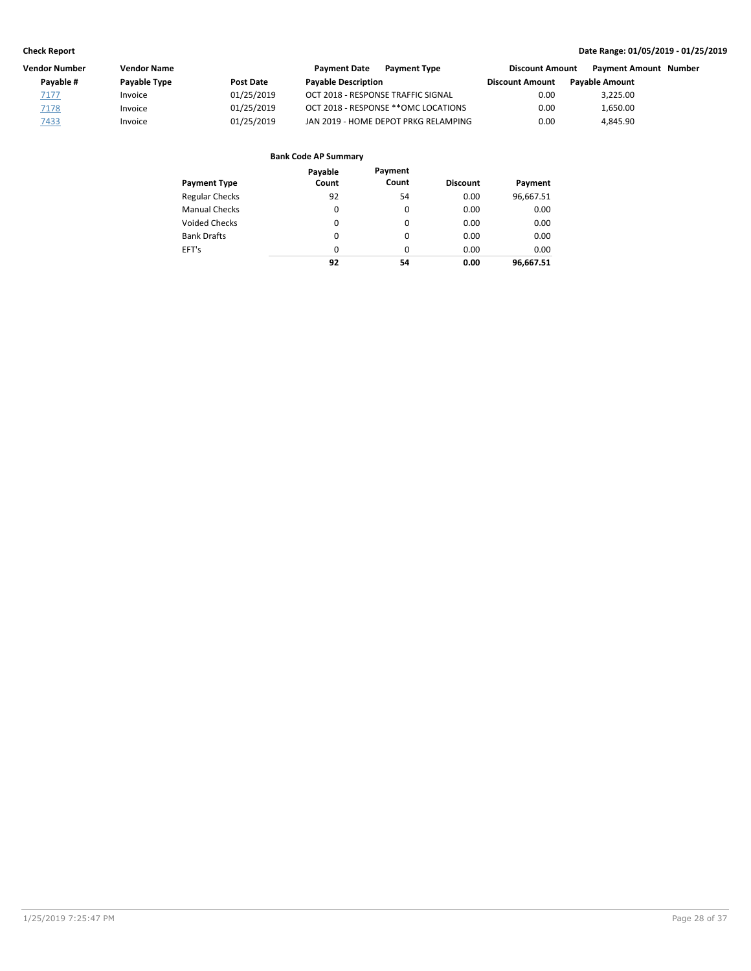| Vendor Number | <b>Vendor Name</b> |                  | <b>Payment Date</b><br><b>Payment Type</b> |                        | <b>Payment Amount Number</b> |                        |
|---------------|--------------------|------------------|--------------------------------------------|------------------------|------------------------------|------------------------|
| Pavable #     | Payable Type       | <b>Post Date</b> | <b>Payable Description</b>                 | <b>Discount Amount</b> | <b>Pavable Amount</b>        |                        |
| 7177          | Invoice            | 01/25/2019       | OCT 2018 - RESPONSE TRAFFIC SIGNAL         | 0.00                   | 3,225.00                     |                        |
| 7178          | Invoice            | 01/25/2019       | OCT 2018 - RESPONSE **OMC LOCATIONS        | 0.00                   | 1,650.00                     |                        |
| <u>7433</u>   | Invoice            | 01/25/2019       | JAN 2019 - HOME DEPOT PRKG RELAMPING       | 0.00                   | 4.845.90                     |                        |
|               |                    |                  |                                            |                        |                              | <b>Discount Amount</b> |

| <b>Payment Type</b>   | Payable<br>Count | Payment<br>Count | <b>Discount</b> | Payment   |
|-----------------------|------------------|------------------|-----------------|-----------|
| <b>Regular Checks</b> | 92               | 54               | 0.00            | 96,667.51 |
| <b>Manual Checks</b>  | 0                | 0                | 0.00            | 0.00      |
| <b>Voided Checks</b>  | 0                | 0                | 0.00            | 0.00      |
| <b>Bank Drafts</b>    | 0                | 0                | 0.00            | 0.00      |
| EFT's                 | $\Omega$         | $\Omega$         | 0.00            | 0.00      |
|                       | 92               | 54               | 0.00            | 96,667.51 |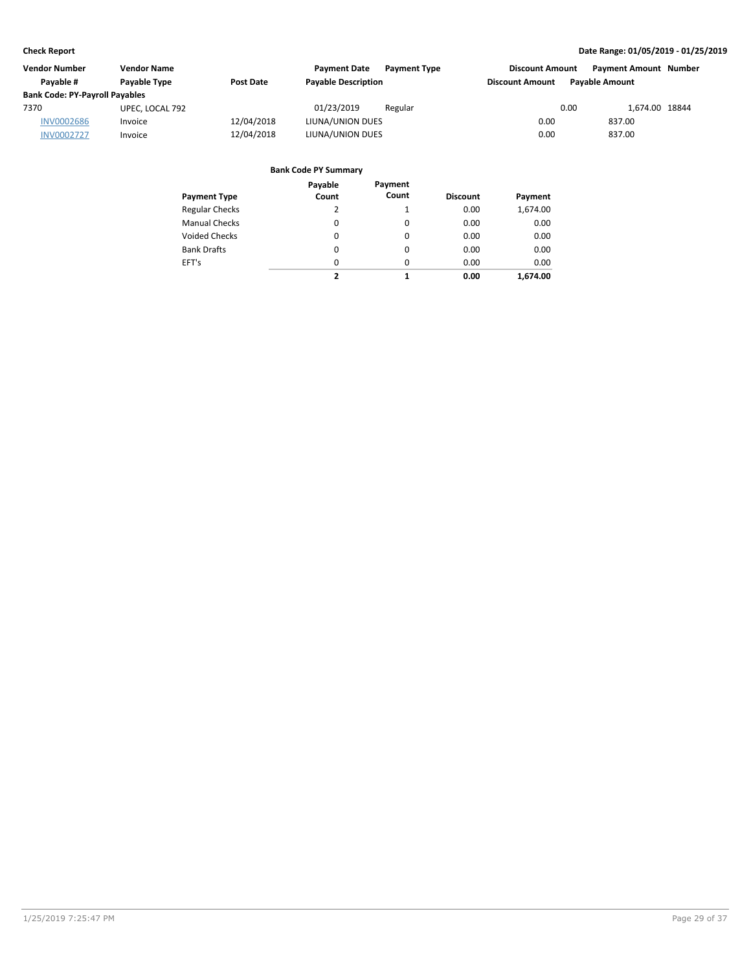| <b>Vendor Number</b>                  | <b>Vendor Name</b>  |            | <b>Payment Date</b><br><b>Payment Type</b> | <b>Discount Amount</b>                          | <b>Payment Amount Number</b> |
|---------------------------------------|---------------------|------------|--------------------------------------------|-------------------------------------------------|------------------------------|
| Pavable #                             | <b>Pavable Type</b> | Post Date  | <b>Payable Description</b>                 | <b>Pavable Amount</b><br><b>Discount Amount</b> |                              |
| <b>Bank Code: PY-Payroll Payables</b> |                     |            |                                            |                                                 |                              |
| 7370                                  | UPEC, LOCAL 792     |            | 01/23/2019<br>Regular                      | 0.00                                            | 1.674.00 18844               |
| <b>INV0002686</b>                     | Invoice             | 12/04/2018 | LIUNA/UNION DUES                           | 0.00                                            | 837.00                       |
| <b>INV0002727</b>                     | Invoice             | 12/04/2018 | LIUNA/UNION DUES                           | 0.00                                            | 837.00                       |

| Payment Type          | Payable<br>Count | Payment<br>Count | <b>Discount</b> | Payment  |
|-----------------------|------------------|------------------|-----------------|----------|
| <b>Regular Checks</b> | 2                | $\mathbf{1}$     | 0.00            | 1,674.00 |
| <b>Manual Checks</b>  | 0                | 0                | 0.00            | 0.00     |
| <b>Voided Checks</b>  | 0                | 0                | 0.00            | 0.00     |
| <b>Bank Drafts</b>    | 0                | $\Omega$         | 0.00            | 0.00     |
| EFT's                 | 0                | $\Omega$         | 0.00            | 0.00     |
|                       | 2                | 1                | 0.00            | 1.674.00 |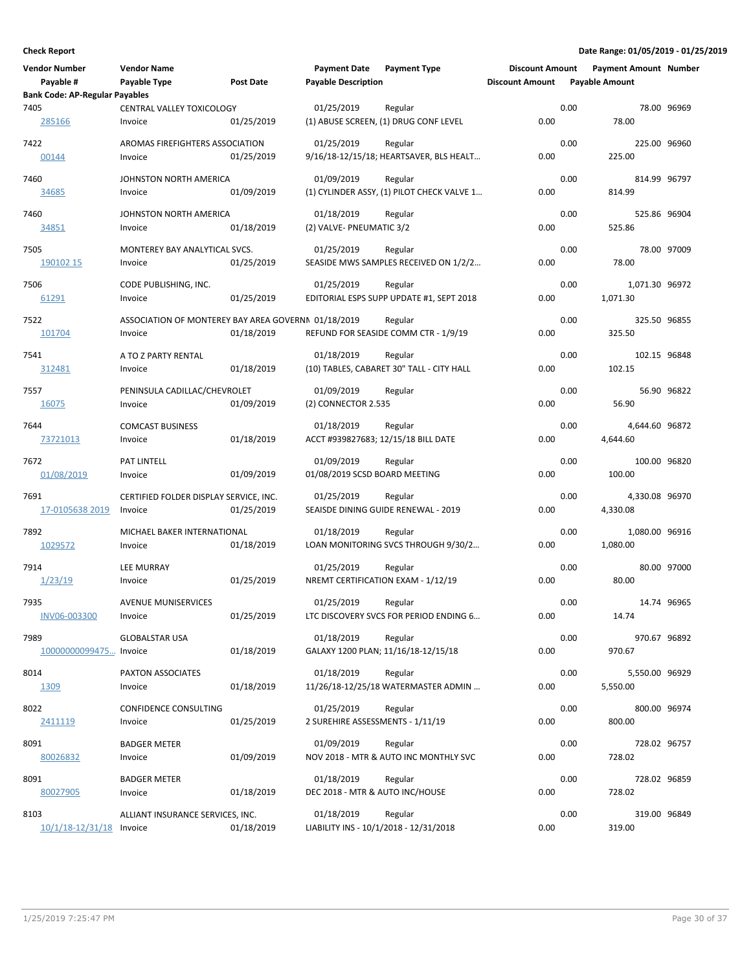| Vendor Number<br>Payable #            | <b>Vendor Name</b><br>Payable Type                             | Post Date  | <b>Payment Date</b><br><b>Payable Description</b>    | <b>Payment Type</b>                                   | <b>Discount Amount</b><br><b>Discount Amount</b> |      | <b>Payment Amount Number</b><br><b>Payable Amount</b> |              |
|---------------------------------------|----------------------------------------------------------------|------------|------------------------------------------------------|-------------------------------------------------------|--------------------------------------------------|------|-------------------------------------------------------|--------------|
| <b>Bank Code: AP-Regular Payables</b> |                                                                |            |                                                      |                                                       |                                                  |      |                                                       |              |
| 7405<br>285166                        | CENTRAL VALLEY TOXICOLOGY<br>Invoice                           | 01/25/2019 | 01/25/2019                                           | Regular<br>(1) ABUSE SCREEN, (1) DRUG CONF LEVEL      | 0.00                                             | 0.00 | 78.00                                                 | 78.00 96969  |
| 7422<br>00144                         | AROMAS FIREFIGHTERS ASSOCIATION<br>Invoice                     | 01/25/2019 | 01/25/2019                                           | Regular<br>9/16/18-12/15/18; HEARTSAVER, BLS HEALT    | 0.00                                             | 0.00 | 225.00 96960<br>225.00                                |              |
| 7460<br><u>34685</u>                  | JOHNSTON NORTH AMERICA<br>Invoice                              | 01/09/2019 | 01/09/2019                                           | Regular<br>(1) CYLINDER ASSY, (1) PILOT CHECK VALVE 1 | 0.00                                             | 0.00 | 814.99                                                | 814.99 96797 |
| 7460<br>34851                         | JOHNSTON NORTH AMERICA<br>Invoice                              | 01/18/2019 | 01/18/2019<br>(2) VALVE- PNEUMATIC 3/2               | Regular                                               | 0.00                                             | 0.00 | 525.86 96904<br>525.86                                |              |
| 7505<br>190102 15                     | MONTEREY BAY ANALYTICAL SVCS.<br>Invoice                       | 01/25/2019 | 01/25/2019                                           | Regular<br>SEASIDE MWS SAMPLES RECEIVED ON 1/2/2      | 0.00                                             | 0.00 | 78.00                                                 | 78.00 97009  |
| 7506<br>61291                         | CODE PUBLISHING, INC.<br>Invoice                               | 01/25/2019 | 01/25/2019                                           | Regular<br>EDITORIAL ESPS SUPP UPDATE #1, SEPT 2018   | 0.00                                             | 0.00 | 1,071.30 96972<br>1,071.30                            |              |
| 7522<br>101704                        | ASSOCIATION OF MONTEREY BAY AREA GOVERNN 01/18/2019<br>Invoice | 01/18/2019 |                                                      | Regular<br>REFUND FOR SEASIDE COMM CTR - 1/9/19       | 0.00                                             | 0.00 | 325.50                                                | 325.50 96855 |
| 7541<br>312481                        | A TO Z PARTY RENTAL<br>Invoice                                 | 01/18/2019 | 01/18/2019                                           | Regular<br>(10) TABLES, CABARET 30" TALL - CITY HALL  | 0.00                                             | 0.00 | 102.15 96848<br>102.15                                |              |
| 7557<br>16075                         | PENINSULA CADILLAC/CHEVROLET<br>Invoice                        | 01/09/2019 | 01/09/2019<br>(2) CONNECTOR 2.535                    | Regular                                               | 0.00                                             | 0.00 | 56.90                                                 | 56.90 96822  |
| 7644<br>73721013                      | <b>COMCAST BUSINESS</b><br>Invoice                             | 01/18/2019 | 01/18/2019                                           | Regular<br>ACCT #939827683; 12/15/18 BILL DATE        | 0.00                                             | 0.00 | 4,644.60 96872<br>4,644.60                            |              |
| 7672<br>01/08/2019                    | PAT LINTELL<br>Invoice                                         | 01/09/2019 | 01/09/2019<br>01/08/2019 SCSD BOARD MEETING          | Regular                                               | 0.00                                             | 0.00 | 100.00 96820<br>100.00                                |              |
| 7691<br>17-0105638 2019               | CERTIFIED FOLDER DISPLAY SERVICE, INC.<br>Invoice              | 01/25/2019 | 01/25/2019                                           | Regular<br>SEAISDE DINING GUIDE RENEWAL - 2019        | 0.00                                             | 0.00 | 4,330.08 96970<br>4,330.08                            |              |
| 7892<br>1029572                       | MICHAEL BAKER INTERNATIONAL<br>Invoice                         | 01/18/2019 | 01/18/2019                                           | Regular<br>LOAN MONITORING SVCS THROUGH 9/30/2        | 0.00                                             | 0.00 | 1,080.00 96916<br>1,080.00                            |              |
| 7914<br>1/23/19                       | <b>LEE MURRAY</b><br>Invoice                                   | 01/25/2019 | 01/25/2019                                           | Regular<br>NREMT CERTIFICATION EXAM - 1/12/19         | 0.00                                             | 0.00 | 80.00                                                 | 80.00 97000  |
| 7935<br>INV06-003300                  | <b>AVENUE MUNISERVICES</b><br>Invoice                          | 01/25/2019 | 01/25/2019                                           | Regular<br>LTC DISCOVERY SVCS FOR PERIOD ENDING 6     | 0.00                                             | 0.00 | 14.74                                                 | 14.74 96965  |
| 7989<br>10000000099475 Invoice        | <b>GLOBALSTAR USA</b>                                          | 01/18/2019 | 01/18/2019                                           | Regular<br>GALAXY 1200 PLAN; 11/16/18-12/15/18        | 0.00                                             | 0.00 | 970.67                                                | 970.67 96892 |
| 8014<br>1309                          | PAXTON ASSOCIATES<br>Invoice                                   | 01/18/2019 | 01/18/2019                                           | Regular<br>11/26/18-12/25/18 WATERMASTER ADMIN        | 0.00                                             | 0.00 | 5,550.00 96929<br>5,550.00                            |              |
| 8022<br>2411119                       | CONFIDENCE CONSULTING<br>Invoice                               | 01/25/2019 | 01/25/2019<br>2 SUREHIRE ASSESSMENTS - 1/11/19       | Regular                                               | 0.00                                             | 0.00 | 800.00                                                | 800.00 96974 |
| 8091<br>80026832                      | <b>BADGER METER</b><br>Invoice                                 | 01/09/2019 | 01/09/2019                                           | Regular<br>NOV 2018 - MTR & AUTO INC MONTHLY SVC      | 0.00                                             | 0.00 | 728.02                                                | 728.02 96757 |
| 8091<br>80027905                      | <b>BADGER METER</b><br>Invoice                                 | 01/18/2019 | 01/18/2019<br>DEC 2018 - MTR & AUTO INC/HOUSE        | Regular                                               | 0.00                                             | 0.00 | 728.02                                                | 728.02 96859 |
| 8103<br>$10/1/18 - 12/31/18$ Invoice  | ALLIANT INSURANCE SERVICES, INC.                               | 01/18/2019 | 01/18/2019<br>LIABILITY INS - 10/1/2018 - 12/31/2018 | Regular                                               | 0.00                                             | 0.00 | 319.00                                                | 319.00 96849 |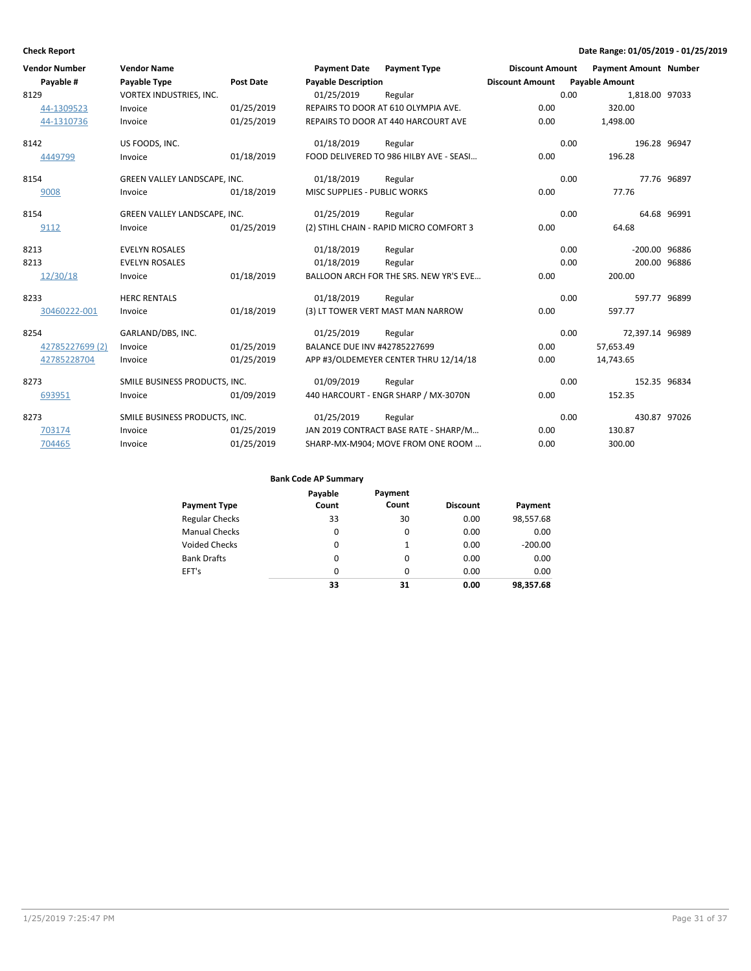| Vendor Number   | <b>Vendor Name</b>            |                  | <b>Payment Date</b>                 | <b>Payment Type</b>                     | <b>Discount Amount</b> |      | <b>Payment Amount Number</b> |             |
|-----------------|-------------------------------|------------------|-------------------------------------|-----------------------------------------|------------------------|------|------------------------------|-------------|
| Payable #       | Payable Type                  | <b>Post Date</b> | <b>Payable Description</b>          |                                         | <b>Discount Amount</b> |      | <b>Payable Amount</b>        |             |
| 8129            | VORTEX INDUSTRIES, INC.       |                  | 01/25/2019                          | Regular                                 |                        | 0.00 | 1,818.00 97033               |             |
| 44-1309523      | Invoice                       | 01/25/2019       |                                     | REPAIRS TO DOOR AT 610 OLYMPIA AVE.     | 0.00                   |      | 320.00                       |             |
| 44-1310736      | Invoice                       | 01/25/2019       |                                     | REPAIRS TO DOOR AT 440 HARCOURT AVE     | 0.00                   |      | 1,498.00                     |             |
| 8142            | US FOODS, INC.                |                  | 01/18/2019                          | Regular                                 |                        | 0.00 | 196.28 96947                 |             |
| 4449799         | Invoice                       | 01/18/2019       |                                     | FOOD DELIVERED TO 986 HILBY AVE - SEASI | 0.00                   |      | 196.28                       |             |
| 8154            | GREEN VALLEY LANDSCAPE, INC.  |                  | 01/18/2019                          | Regular                                 |                        | 0.00 |                              | 77.76 96897 |
| 9008            | Invoice                       | 01/18/2019       | <b>MISC SUPPLIES - PUBLIC WORKS</b> |                                         | 0.00                   |      | 77.76                        |             |
| 8154            | GREEN VALLEY LANDSCAPE, INC.  |                  | 01/25/2019                          | Regular                                 |                        | 0.00 |                              | 64.68 96991 |
| 9112            | Invoice                       | 01/25/2019       |                                     | (2) STIHL CHAIN - RAPID MICRO COMFORT 3 | 0.00                   |      | 64.68                        |             |
| 8213            | <b>EVELYN ROSALES</b>         |                  | 01/18/2019                          | Regular                                 |                        | 0.00 | -200.00 96886                |             |
| 8213            | <b>EVELYN ROSALES</b>         |                  | 01/18/2019                          | Regular                                 |                        | 0.00 | 200.00 96886                 |             |
| 12/30/18        | Invoice                       | 01/18/2019       |                                     | BALLOON ARCH FOR THE SRS. NEW YR'S EVE  | 0.00                   |      | 200.00                       |             |
| 8233            | <b>HERC RENTALS</b>           |                  | 01/18/2019                          | Regular                                 |                        | 0.00 | 597.77 96899                 |             |
| 30460222-001    | Invoice                       | 01/18/2019       |                                     | (3) LT TOWER VERT MAST MAN NARROW       | 0.00                   |      | 597.77                       |             |
| 8254            | GARLAND/DBS, INC.             |                  | 01/25/2019                          | Regular                                 |                        | 0.00 | 72,397.14 96989              |             |
| 42785227699 (2) | Invoice                       | 01/25/2019       | BALANCE DUE INV #42785227699        |                                         | 0.00                   |      | 57,653.49                    |             |
| 42785228704     | Invoice                       | 01/25/2019       |                                     | APP #3/OLDEMEYER CENTER THRU 12/14/18   | 0.00                   |      | 14,743.65                    |             |
| 8273            | SMILE BUSINESS PRODUCTS, INC. |                  | 01/09/2019                          | Regular                                 |                        | 0.00 | 152.35 96834                 |             |
| 693951          | Invoice                       | 01/09/2019       |                                     | 440 HARCOURT - ENGR SHARP / MX-3070N    | 0.00                   |      | 152.35                       |             |
| 8273            | SMILE BUSINESS PRODUCTS, INC. |                  | 01/25/2019                          | Regular                                 |                        | 0.00 | 430.87 97026                 |             |
| 703174          | Invoice                       | 01/25/2019       |                                     | JAN 2019 CONTRACT BASE RATE - SHARP/M   | 0.00                   |      | 130.87                       |             |
| 704465          | Invoice                       | 01/25/2019       |                                     | SHARP-MX-M904; MOVE FROM ONE ROOM       | 0.00                   |      | 300.00                       |             |

|                       | Payable  | Payment |                 |           |
|-----------------------|----------|---------|-----------------|-----------|
| <b>Payment Type</b>   | Count    | Count   | <b>Discount</b> | Payment   |
| <b>Regular Checks</b> | 33       | 30      | 0.00            | 98,557.68 |
| <b>Manual Checks</b>  | 0        | 0       | 0.00            | 0.00      |
| <b>Voided Checks</b>  | 0        | 1       | 0.00            | $-200.00$ |
| <b>Bank Drafts</b>    | $\Omega$ | 0       | 0.00            | 0.00      |
| EFT's                 | 0        | 0       | 0.00            | 0.00      |
|                       | 33       | 31      | 0.00            | 98,357.68 |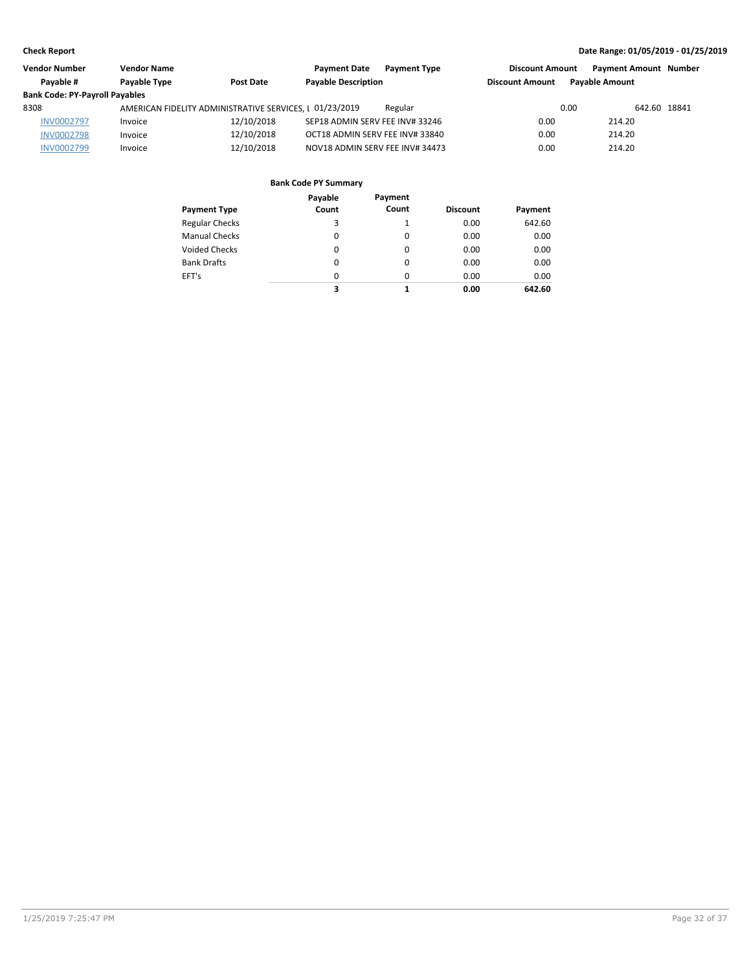| Vendor Number                         | <b>Vendor Name</b> |                                                         | <b>Payment Date</b><br><b>Payment Type</b> | <b>Discount Amount</b> | <b>Payment Amount Number</b> |  |
|---------------------------------------|--------------------|---------------------------------------------------------|--------------------------------------------|------------------------|------------------------------|--|
| Pavable #                             | Payable Type       | <b>Post Date</b>                                        | <b>Payable Description</b>                 | <b>Discount Amount</b> | <b>Pavable Amount</b>        |  |
| <b>Bank Code: PY-Payroll Payables</b> |                    |                                                         |                                            |                        |                              |  |
| 8308                                  |                    | AMERICAN FIDELITY ADMINISTRATIVE SERVICES, I 01/23/2019 | Regular                                    | 0.00                   | 642.60 18841                 |  |
| <b>INV0002797</b>                     | Invoice            | 12/10/2018                                              | SEP18 ADMIN SERV FEE INV# 33246            | 0.00                   | 214.20                       |  |
| <b>INV0002798</b>                     | Invoice            | 12/10/2018                                              | OCT18 ADMIN SERV FEE INV# 33840            | 0.00                   | 214.20                       |  |
| <b>INV0002799</b>                     | Invoice            | 12/10/2018                                              | NOV18 ADMIN SERV FEE INV# 34473            | 0.00                   | 214.20                       |  |

|                       | Payable  | Payment  |                 |         |
|-----------------------|----------|----------|-----------------|---------|
| <b>Payment Type</b>   | Count    | Count    | <b>Discount</b> | Payment |
| <b>Regular Checks</b> | 3        | 1        | 0.00            | 642.60  |
| <b>Manual Checks</b>  | $\Omega$ | 0        | 0.00            | 0.00    |
| Voided Checks         | 0        | 0        | 0.00            | 0.00    |
| <b>Bank Drafts</b>    | 0        | 0        | 0.00            | 0.00    |
| EFT's                 | $\Omega$ | $\Omega$ | 0.00            | 0.00    |
|                       | 3        |          | 0.00            | 642.60  |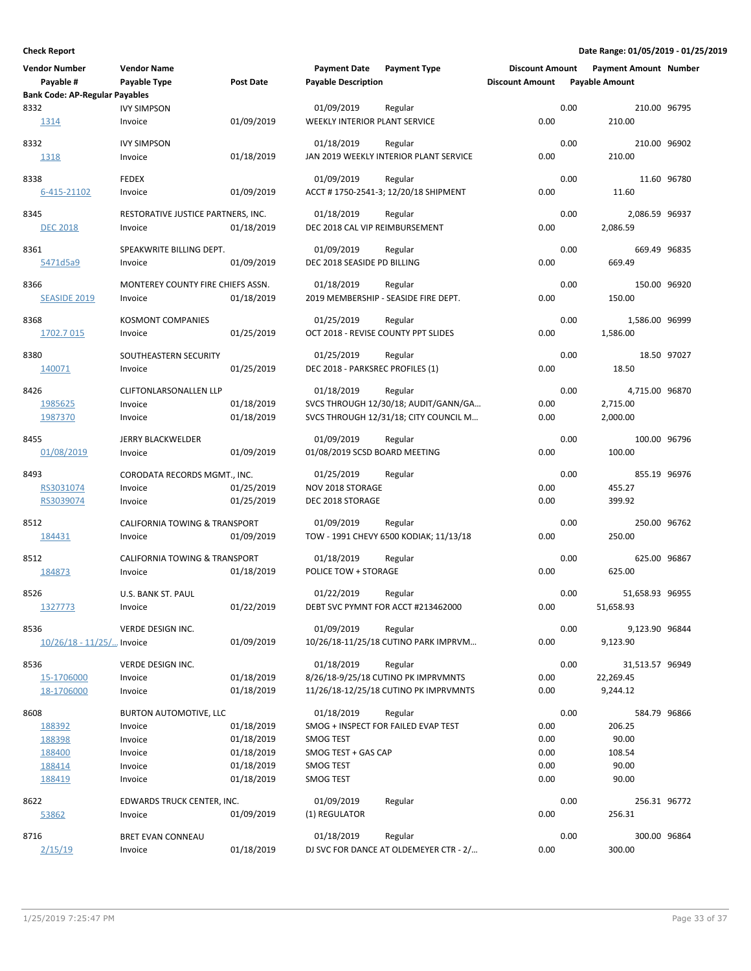| <b>Vendor Number</b>                  | <b>Vendor Name</b>                       |                          | <b>Payment Date</b>                 | <b>Payment Type</b>                    | <b>Discount Amount</b> |      | <b>Payment Amount Number</b> |             |
|---------------------------------------|------------------------------------------|--------------------------|-------------------------------------|----------------------------------------|------------------------|------|------------------------------|-------------|
| Payable #                             | Payable Type                             | <b>Post Date</b>         | <b>Payable Description</b>          |                                        | <b>Discount Amount</b> |      | <b>Payable Amount</b>        |             |
| <b>Bank Code: AP-Regular Payables</b> |                                          |                          |                                     |                                        |                        |      |                              |             |
| 8332                                  | <b>IVY SIMPSON</b>                       |                          | 01/09/2019                          | Regular                                |                        | 0.00 | 210.00 96795                 |             |
| 1314                                  | Invoice                                  | 01/09/2019               | WEEKLY INTERIOR PLANT SERVICE       |                                        | 0.00                   |      | 210.00                       |             |
| 8332                                  | <b>IVY SIMPSON</b>                       |                          | 01/18/2019                          | Regular                                |                        | 0.00 | 210.00 96902                 |             |
| 1318                                  | Invoice                                  | 01/18/2019               |                                     | JAN 2019 WEEKLY INTERIOR PLANT SERVICE | 0.00                   |      | 210.00                       |             |
|                                       |                                          |                          |                                     |                                        |                        |      |                              |             |
| 8338                                  | <b>FEDEX</b>                             |                          | 01/09/2019                          | Regular                                |                        | 0.00 |                              | 11.60 96780 |
| 6-415-21102                           | Invoice                                  | 01/09/2019               |                                     | ACCT #1750-2541-3; 12/20/18 SHIPMENT   | 0.00                   |      | 11.60                        |             |
| 8345                                  | RESTORATIVE JUSTICE PARTNERS, INC.       |                          | 01/18/2019                          | Regular                                |                        | 0.00 | 2,086.59 96937               |             |
| <b>DEC 2018</b>                       | Invoice                                  | 01/18/2019               | DEC 2018 CAL VIP REIMBURSEMENT      |                                        | 0.00                   |      | 2,086.59                     |             |
|                                       |                                          |                          |                                     |                                        |                        |      |                              |             |
| 8361                                  | SPEAKWRITE BILLING DEPT.                 |                          | 01/09/2019                          | Regular                                |                        | 0.00 | 669.49 96835                 |             |
| 5471d5a9                              | Invoice                                  | 01/09/2019               | DEC 2018 SEASIDE PD BILLING         |                                        | 0.00                   |      | 669.49                       |             |
| 8366                                  | MONTEREY COUNTY FIRE CHIEFS ASSN.        |                          | 01/18/2019                          | Regular                                |                        | 0.00 | 150.00 96920                 |             |
| <b>SEASIDE 2019</b>                   | Invoice                                  | 01/18/2019               |                                     | 2019 MEMBERSHIP - SEASIDE FIRE DEPT.   | 0.00                   |      | 150.00                       |             |
|                                       |                                          |                          |                                     |                                        |                        |      |                              |             |
| 8368                                  | <b>KOSMONT COMPANIES</b>                 |                          | 01/25/2019                          | Regular                                |                        | 0.00 | 1,586.00 96999               |             |
| 1702.7 015                            | Invoice                                  | 01/25/2019               | OCT 2018 - REVISE COUNTY PPT SLIDES |                                        | 0.00                   |      | 1,586.00                     |             |
| 8380                                  | SOUTHEASTERN SECURITY                    |                          | 01/25/2019                          | Regular                                |                        | 0.00 |                              | 18.50 97027 |
| 140071                                | Invoice                                  | 01/25/2019               | DEC 2018 - PARKSREC PROFILES (1)    |                                        | 0.00                   |      | 18.50                        |             |
|                                       |                                          |                          |                                     |                                        |                        |      |                              |             |
| 8426                                  | <b>CLIFTONLARSONALLEN LLP</b>            |                          | 01/18/2019                          | Regular                                |                        | 0.00 | 4.715.00 96870               |             |
| 1985625                               | Invoice                                  | 01/18/2019               |                                     | SVCS THROUGH 12/30/18; AUDIT/GANN/GA   | 0.00                   |      | 2,715.00                     |             |
| 1987370                               | Invoice                                  | 01/18/2019               |                                     | SVCS THROUGH 12/31/18; CITY COUNCIL M  | 0.00                   |      | 2,000.00                     |             |
| 8455                                  | <b>JERRY BLACKWELDER</b>                 |                          | 01/09/2019                          | Regular                                |                        | 0.00 | 100.00 96796                 |             |
| 01/08/2019                            | Invoice                                  | 01/09/2019               | 01/08/2019 SCSD BOARD MEETING       |                                        | 0.00                   |      | 100.00                       |             |
|                                       |                                          |                          |                                     |                                        |                        |      |                              |             |
| 8493                                  | CORODATA RECORDS MGMT., INC.             |                          | 01/25/2019                          | Regular                                |                        | 0.00 | 855.19 96976                 |             |
| RS3031074                             | Invoice                                  | 01/25/2019               | NOV 2018 STORAGE                    |                                        | 0.00                   |      | 455.27                       |             |
| RS3039074                             | Invoice                                  | 01/25/2019               | DEC 2018 STORAGE                    |                                        | 0.00                   |      | 399.92                       |             |
| 8512                                  | <b>CALIFORNIA TOWING &amp; TRANSPORT</b> |                          | 01/09/2019                          | Regular                                |                        | 0.00 | 250.00 96762                 |             |
| 184431                                | Invoice                                  | 01/09/2019               |                                     | TOW - 1991 CHEVY 6500 KODIAK; 11/13/18 | 0.00                   |      | 250.00                       |             |
|                                       |                                          |                          |                                     |                                        |                        |      |                              |             |
| 8512                                  | <b>CALIFORNIA TOWING &amp; TRANSPORT</b> |                          | 01/18/2019                          | Regular                                |                        | 0.00 | 625.00 96867                 |             |
| 184873                                | Invoice                                  | 01/18/2019               | POLICE TOW + STORAGE                |                                        | 0.00                   |      | 625.00                       |             |
| 8526                                  | U.S. BANK ST. PAUL                       |                          | 01/22/2019                          | Regular                                |                        | 0.00 | 51,658.93 96955              |             |
| 1327773                               | Invoice                                  | 01/22/2019               |                                     | DEBT SVC PYMNT FOR ACCT #213462000     | 0.00                   |      | 51,658.93                    |             |
|                                       |                                          |                          |                                     |                                        |                        |      |                              |             |
| 8536                                  | VERDE DESIGN INC.                        |                          | 01/09/2019                          | Regular                                |                        | 0.00 | 9,123.90 96844               |             |
| $10/26/18 - 11/25/$ Invoice           |                                          | 01/09/2019               |                                     | 10/26/18-11/25/18 CUTINO PARK IMPRVM   | 0.00                   |      | 9,123.90                     |             |
| 8536                                  | VERDE DESIGN INC.                        |                          | 01/18/2019                          | Regular                                |                        | 0.00 | 31,513.57 96949              |             |
| 15-1706000                            | Invoice                                  | 01/18/2019               |                                     | 8/26/18-9/25/18 CUTINO PK IMPRVMNTS    | 0.00                   |      | 22,269.45                    |             |
| 18-1706000                            | Invoice                                  | 01/18/2019               |                                     | 11/26/18-12/25/18 CUTINO PK IMPRVMNTS  | 0.00                   |      | 9,244.12                     |             |
|                                       |                                          |                          |                                     |                                        |                        |      |                              |             |
| 8608                                  | BURTON AUTOMOTIVE, LLC                   |                          | 01/18/2019                          | Regular                                |                        | 0.00 | 584.79 96866                 |             |
| 188392                                | Invoice                                  | 01/18/2019               | <b>SMOG TEST</b>                    | SMOG + INSPECT FOR FAILED EVAP TEST    | 0.00                   |      | 206.25                       |             |
| 188398<br>188400                      | Invoice<br>Invoice                       | 01/18/2019<br>01/18/2019 | SMOG TEST + GAS CAP                 |                                        | 0.00<br>0.00           |      | 90.00<br>108.54              |             |
| 188414                                | Invoice                                  | 01/18/2019               | <b>SMOG TEST</b>                    |                                        | 0.00                   |      | 90.00                        |             |
| 188419                                | Invoice                                  | 01/18/2019               | <b>SMOG TEST</b>                    |                                        | 0.00                   |      | 90.00                        |             |
|                                       |                                          |                          |                                     |                                        |                        |      |                              |             |
| 8622                                  | EDWARDS TRUCK CENTER, INC.               |                          | 01/09/2019                          | Regular                                |                        | 0.00 | 256.31 96772                 |             |
| 53862                                 | Invoice                                  | 01/09/2019               | (1) REGULATOR                       |                                        | 0.00                   |      | 256.31                       |             |
| 8716                                  | BRET EVAN CONNEAU                        |                          | 01/18/2019                          | Regular                                |                        | 0.00 | 300.00 96864                 |             |
| 2/15/19                               | Invoice                                  | 01/18/2019               |                                     | DJ SVC FOR DANCE AT OLDEMEYER CTR - 2/ | 0.00                   |      | 300.00                       |             |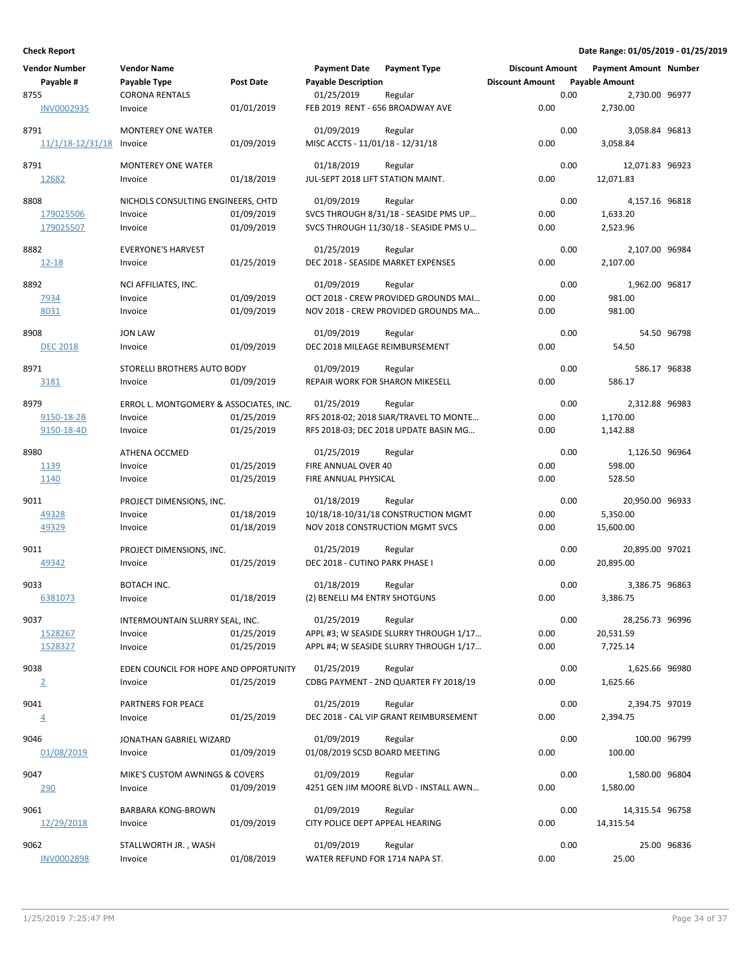| <b>Vendor Number</b> | <b>Vendor Name</b>                               |            | <b>Payment Date</b>                | <b>Payment Type</b>                              | <b>Discount Amount</b> |      | <b>Payment Amount Number</b> |             |
|----------------------|--------------------------------------------------|------------|------------------------------------|--------------------------------------------------|------------------------|------|------------------------------|-------------|
| Payable #            | Payable Type                                     | Post Date  | <b>Payable Description</b>         |                                                  | <b>Discount Amount</b> |      | <b>Payable Amount</b>        |             |
| 8755                 | <b>CORONA RENTALS</b>                            |            | 01/25/2019                         | Regular                                          |                        | 0.00 | 2,730.00 96977               |             |
| <b>INV0002935</b>    | Invoice                                          | 01/01/2019 | FEB 2019 RENT - 656 BROADWAY AVE   |                                                  | 0.00                   |      | 2,730.00                     |             |
| 8791                 | <b>MONTEREY ONE WATER</b>                        |            | 01/09/2019                         | Regular                                          |                        | 0.00 | 3,058.84 96813               |             |
| 11/1/18-12/31/18     | Invoice                                          | 01/09/2019 | MISC ACCTS - 11/01/18 - 12/31/18   |                                                  | 0.00                   |      | 3,058.84                     |             |
|                      |                                                  |            |                                    |                                                  |                        |      |                              |             |
| 8791                 | <b>MONTEREY ONE WATER</b>                        |            | 01/18/2019                         | Regular                                          |                        | 0.00 | 12,071.83 96923              |             |
| 12682                | Invoice                                          | 01/18/2019 | JUL-SEPT 2018 LIFT STATION MAINT.  |                                                  | 0.00                   |      | 12,071.83                    |             |
|                      |                                                  |            |                                    |                                                  |                        |      |                              |             |
| 8808                 | NICHOLS CONSULTING ENGINEERS, CHTD               |            | 01/09/2019                         | Regular                                          |                        | 0.00 | 4,157.16 96818               |             |
| 179025506            | Invoice                                          | 01/09/2019 |                                    | SVCS THROUGH 8/31/18 - SEASIDE PMS UP            | 0.00                   |      | 1,633.20                     |             |
| 179025507            | Invoice                                          | 01/09/2019 |                                    | SVCS THROUGH 11/30/18 - SEASIDE PMS U            | 0.00                   |      | 2,523.96                     |             |
| 8882                 | <b>EVERYONE'S HARVEST</b>                        |            | 01/25/2019                         | Regular                                          |                        | 0.00 | 2,107.00 96984               |             |
| <u>12-18</u>         | Invoice                                          | 01/25/2019 | DEC 2018 - SEASIDE MARKET EXPENSES |                                                  | 0.00                   |      | 2,107.00                     |             |
|                      |                                                  |            |                                    |                                                  |                        |      |                              |             |
| 8892                 | NCI AFFILIATES, INC.                             |            | 01/09/2019                         | Regular                                          |                        | 0.00 | 1,962.00 96817               |             |
| <u>7934</u>          | Invoice                                          | 01/09/2019 |                                    | OCT 2018 - CREW PROVIDED GROUNDS MAI             | 0.00                   |      | 981.00                       |             |
| 8031                 | Invoice                                          | 01/09/2019 |                                    | NOV 2018 - CREW PROVIDED GROUNDS MA              | 0.00                   |      | 981.00                       |             |
|                      |                                                  |            |                                    |                                                  |                        |      |                              |             |
| 8908                 | <b>JON LAW</b>                                   |            | 01/09/2019                         | Regular                                          |                        | 0.00 |                              | 54.50 96798 |
| <b>DEC 2018</b>      | Invoice                                          | 01/09/2019 | DEC 2018 MILEAGE REIMBURSEMENT     |                                                  | 0.00                   |      | 54.50                        |             |
| 8971                 | STORELLI BROTHERS AUTO BODY                      |            | 01/09/2019                         | Regular                                          |                        | 0.00 | 586.17 96838                 |             |
| 3181                 | Invoice                                          | 01/09/2019 | REPAIR WORK FOR SHARON MIKESELL    |                                                  | 0.00                   |      | 586.17                       |             |
|                      |                                                  |            |                                    |                                                  |                        |      |                              |             |
| 8979                 | ERROL L. MONTGOMERY & ASSOCIATES, INC.           |            | 01/25/2019                         | Regular                                          |                        | 0.00 | 2,312.88 96983               |             |
| 9150-18-2B           | Invoice                                          | 01/25/2019 |                                    | RFS 2018-02; 2018 SIAR/TRAVEL TO MONTE           | 0.00                   |      | 1,170.00                     |             |
| 9150-18-4D           | Invoice                                          | 01/25/2019 |                                    | RFS 2018-03; DEC 2018 UPDATE BASIN MG            | 0.00                   |      | 1,142.88                     |             |
|                      |                                                  |            |                                    |                                                  |                        |      |                              |             |
| 8980                 | ATHENA OCCMED                                    |            | 01/25/2019                         | Regular                                          |                        | 0.00 | 1,126.50 96964               |             |
| 1139                 | Invoice                                          | 01/25/2019 | FIRE ANNUAL OVER 40                |                                                  | 0.00                   |      | 598.00                       |             |
| 1140                 | Invoice                                          | 01/25/2019 | FIRE ANNUAL PHYSICAL               |                                                  | 0.00                   |      | 528.50                       |             |
| 9011                 | PROJECT DIMENSIONS, INC.                         |            | 01/18/2019                         | Regular                                          |                        | 0.00 | 20,950.00 96933              |             |
| 49328                | Invoice                                          | 01/18/2019 |                                    | 10/18/18-10/31/18 CONSTRUCTION MGMT              | 0.00                   |      | 5,350.00                     |             |
| 49329                | Invoice                                          | 01/18/2019 | NOV 2018 CONSTRUCTION MGMT SVCS    |                                                  | 0.00                   |      | 15,600.00                    |             |
|                      |                                                  |            |                                    |                                                  |                        |      |                              |             |
| 9011                 | PROJECT DIMENSIONS, INC.                         |            | 01/25/2019                         | Regular                                          |                        | 0.00 | 20,895.00 97021              |             |
| 49342                | Invoice                                          | 01/25/2019 | DEC 2018 - CUTINO PARK PHASE I     |                                                  | 0.00                   |      | 20,895.00                    |             |
| 9033                 | BOTACH INC.                                      |            | 01/18/2019                         | Regular                                          |                        | 0.00 | 3,386.75 96863               |             |
| 6381073              | Invoice                                          | 01/18/2019 | (2) BENELLI M4 ENTRY SHOTGUNS      |                                                  | 0.00                   |      | 3,386.75                     |             |
|                      |                                                  |            |                                    |                                                  |                        |      |                              |             |
| 9037                 | INTERMOUNTAIN SLURRY SEAL, INC.                  |            | 01/25/2019                         | Regular                                          |                        | 0.00 | 28,256.73 96996              |             |
| 1528267              | Invoice                                          | 01/25/2019 |                                    | APPL #3; W SEASIDE SLURRY THROUGH 1/17           | 0.00                   |      | 20,531.59                    |             |
| 1528327              | Invoice                                          | 01/25/2019 |                                    | APPL #4; W SEASIDE SLURRY THROUGH 1/17           | 0.00                   |      | 7,725.14                     |             |
| 9038                 |                                                  |            | 01/25/2019                         |                                                  |                        | 0.00 | 1,625.66 96980               |             |
|                      | EDEN COUNCIL FOR HOPE AND OPPORTUNITY<br>Invoice | 01/25/2019 |                                    | Regular<br>CDBG PAYMENT - 2ND QUARTER FY 2018/19 | 0.00                   |      | 1,625.66                     |             |
| $\overline{2}$       |                                                  |            |                                    |                                                  |                        |      |                              |             |
| 9041                 | PARTNERS FOR PEACE                               |            | 01/25/2019                         | Regular                                          |                        | 0.00 | 2,394.75 97019               |             |
| $\overline{4}$       | Invoice                                          | 01/25/2019 |                                    | DEC 2018 - CAL VIP GRANT REIMBURSEMENT           | 0.00                   |      | 2,394.75                     |             |
|                      |                                                  |            |                                    |                                                  |                        |      |                              |             |
| 9046                 | JONATHAN GABRIEL WIZARD                          |            | 01/09/2019                         | Regular                                          |                        | 0.00 | 100.00 96799                 |             |
| 01/08/2019           | Invoice                                          | 01/09/2019 | 01/08/2019 SCSD BOARD MEETING      |                                                  | 0.00                   |      | 100.00                       |             |
| 9047                 | MIKE'S CUSTOM AWNINGS & COVERS                   |            | 01/09/2019                         | Regular                                          |                        | 0.00 | 1,580.00 96804               |             |
| 290                  | Invoice                                          | 01/09/2019 |                                    | 4251 GEN JIM MOORE BLVD - INSTALL AWN            | 0.00                   |      | 1,580.00                     |             |
|                      |                                                  |            |                                    |                                                  |                        |      |                              |             |
| 9061                 | <b>BARBARA KONG-BROWN</b>                        |            | 01/09/2019                         | Regular                                          |                        | 0.00 | 14,315.54 96758              |             |
| 12/29/2018           | Invoice                                          | 01/09/2019 | CITY POLICE DEPT APPEAL HEARING    |                                                  | 0.00                   |      | 14,315.54                    |             |
|                      |                                                  |            |                                    |                                                  |                        |      |                              |             |
| 9062                 | STALLWORTH JR., WASH                             |            | 01/09/2019                         | Regular                                          |                        | 0.00 |                              | 25.00 96836 |
| INV0002898           | Invoice                                          | 01/08/2019 | WATER REFUND FOR 1714 NAPA ST.     |                                                  | 0.00                   |      | 25.00                        |             |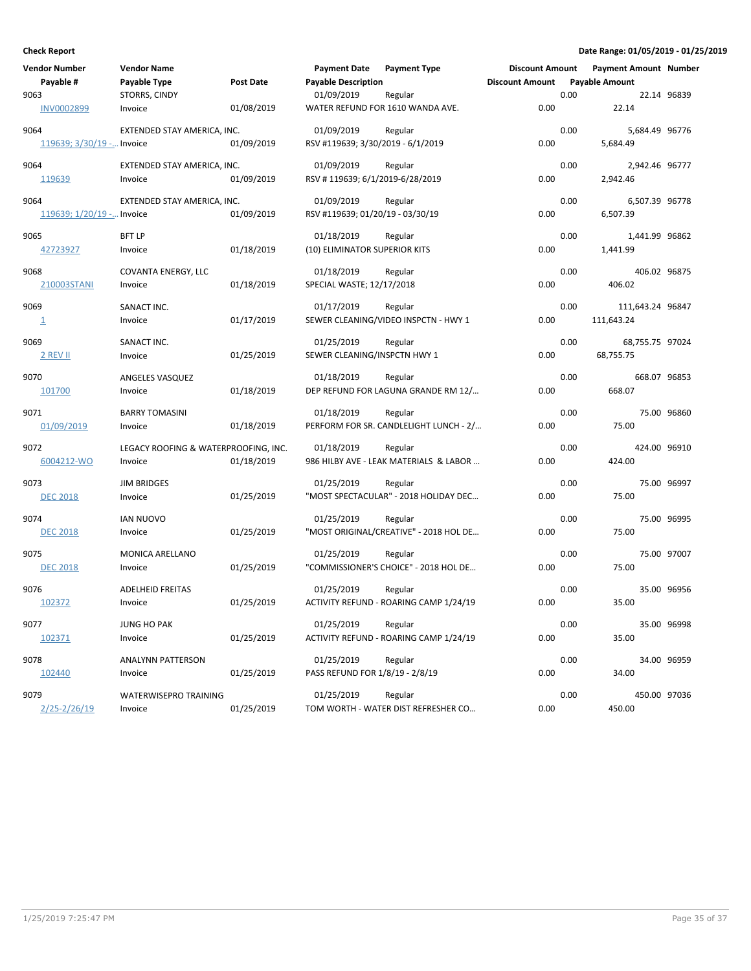| Vendor Number             | <b>Vendor Name</b>                   |            | <b>Payment Date</b>               | <b>Payment Type</b>                    | <b>Discount Amount</b> |      | <b>Payment Amount Number</b> |             |
|---------------------------|--------------------------------------|------------|-----------------------------------|----------------------------------------|------------------------|------|------------------------------|-------------|
| Payable #                 | Payable Type                         | Post Date  | <b>Payable Description</b>        |                                        | <b>Discount Amount</b> |      | <b>Payable Amount</b>        |             |
| 9063                      | STORRS, CINDY                        |            | 01/09/2019                        | Regular                                |                        | 0.00 |                              | 22.14 96839 |
| <b>INV0002899</b>         | Invoice                              | 01/08/2019 |                                   | WATER REFUND FOR 1610 WANDA AVE.       | 0.00                   |      | 22.14                        |             |
| 9064                      | EXTENDED STAY AMERICA, INC.          |            | 01/09/2019                        | Regular                                |                        | 0.00 | 5,684.49 96776               |             |
| 119639; 3/30/19 - Invoice |                                      | 01/09/2019 | RSV #119639; 3/30/2019 - 6/1/2019 |                                        | 0.00                   |      | 5,684.49                     |             |
| 9064                      | EXTENDED STAY AMERICA, INC.          |            | 01/09/2019                        | Regular                                |                        | 0.00 | 2,942.46 96777               |             |
| 119639                    | Invoice                              | 01/09/2019 | RSV #119639; 6/1/2019-6/28/2019   |                                        | 0.00                   |      | 2,942.46                     |             |
| 9064                      | EXTENDED STAY AMERICA, INC.          |            | 01/09/2019                        | Regular                                |                        | 0.00 | 6,507.39 96778               |             |
| 119639; 1/20/19 - Invoice |                                      | 01/09/2019 | RSV #119639; 01/20/19 - 03/30/19  |                                        | 0.00                   |      | 6,507.39                     |             |
| 9065                      | <b>BFT LP</b>                        |            | 01/18/2019                        | Regular                                |                        | 0.00 | 1,441.99 96862               |             |
| 42723927                  | Invoice                              | 01/18/2019 | (10) ELIMINATOR SUPERIOR KITS     |                                        | 0.00                   |      | 1,441.99                     |             |
| 9068                      | COVANTA ENERGY, LLC                  |            | 01/18/2019                        | Regular                                |                        | 0.00 | 406.02 96875                 |             |
| 210003STANI               | Invoice                              | 01/18/2019 | SPECIAL WASTE; 12/17/2018         |                                        | 0.00                   |      | 406.02                       |             |
| 9069                      | SANACT INC.                          |            | 01/17/2019                        | Regular                                |                        | 0.00 | 111,643.24 96847             |             |
| $\mathbf{\underline{1}}$  | Invoice                              | 01/17/2019 |                                   | SEWER CLEANING/VIDEO INSPCTN - HWY 1   | 0.00                   |      | 111,643.24                   |             |
| 9069                      | SANACT INC.                          |            | 01/25/2019                        | Regular                                |                        | 0.00 | 68,755.75 97024              |             |
| 2 REV II                  | Invoice                              | 01/25/2019 | SEWER CLEANING/INSPCTN HWY 1      |                                        | 0.00                   |      | 68,755.75                    |             |
| 9070                      | ANGELES VASQUEZ                      |            | 01/18/2019                        | Regular                                |                        | 0.00 | 668.07 96853                 |             |
| 101700                    | Invoice                              | 01/18/2019 |                                   | DEP REFUND FOR LAGUNA GRANDE RM 12/    | 0.00                   |      | 668.07                       |             |
| 9071                      | <b>BARRY TOMASINI</b>                |            | 01/18/2019                        | Regular                                |                        | 0.00 |                              | 75.00 96860 |
| 01/09/2019                | Invoice                              | 01/18/2019 |                                   | PERFORM FOR SR. CANDLELIGHT LUNCH - 2/ | 0.00                   |      | 75.00                        |             |
| 9072                      | LEGACY ROOFING & WATERPROOFING, INC. |            | 01/18/2019                        | Regular                                |                        | 0.00 | 424.00 96910                 |             |
| 6004212-WO                | Invoice                              | 01/18/2019 |                                   | 986 HILBY AVE - LEAK MATERIALS & LABOR | 0.00                   |      | 424.00                       |             |
| 9073                      | <b>JIM BRIDGES</b>                   |            | 01/25/2019                        | Regular                                |                        | 0.00 |                              | 75.00 96997 |
| <b>DEC 2018</b>           | Invoice                              | 01/25/2019 |                                   | "MOST SPECTACULAR" - 2018 HOLIDAY DEC  | 0.00                   |      | 75.00                        |             |
| 9074                      | <b>IAN NUOVO</b>                     |            | 01/25/2019                        | Regular                                |                        | 0.00 |                              | 75.00 96995 |
| <b>DEC 2018</b>           | Invoice                              | 01/25/2019 |                                   | "MOST ORIGINAL/CREATIVE" - 2018 HOL DE | 0.00                   |      | 75.00                        |             |
| 9075                      | MONICA ARELLANO                      |            | 01/25/2019                        | Regular                                |                        | 0.00 |                              | 75.00 97007 |
| <b>DEC 2018</b>           | Invoice                              | 01/25/2019 |                                   | "COMMISSIONER'S CHOICE" - 2018 HOL DE  | 0.00                   |      | 75.00                        |             |
| 9076                      | <b>ADELHEID FREITAS</b>              |            | 01/25/2019                        | Regular                                |                        | 0.00 |                              | 35.00 96956 |
| 102372                    | Invoice                              | 01/25/2019 |                                   | ACTIVITY REFUND - ROARING CAMP 1/24/19 | 0.00                   |      | 35.00                        |             |
| 9077                      | JUNG HO PAK                          |            | 01/25/2019                        | Regular                                |                        | 0.00 |                              | 35.00 96998 |
| 102371                    | Invoice                              | 01/25/2019 |                                   | ACTIVITY REFUND - ROARING CAMP 1/24/19 | 0.00                   |      | 35.00                        |             |
| 9078                      | <b>ANALYNN PATTERSON</b>             |            | 01/25/2019                        | Regular                                |                        | 0.00 |                              | 34.00 96959 |
| 102440                    | Invoice                              | 01/25/2019 | PASS REFUND FOR 1/8/19 - 2/8/19   |                                        | 0.00                   |      | 34.00                        |             |
| 9079                      | WATERWISEPRO TRAINING                |            | 01/25/2019                        | Regular                                |                        | 0.00 | 450.00 97036                 |             |
| $2/25 - 2/26/19$          | Invoice                              | 01/25/2019 |                                   | TOM WORTH - WATER DIST REFRESHER CO    | 0.00                   |      | 450.00                       |             |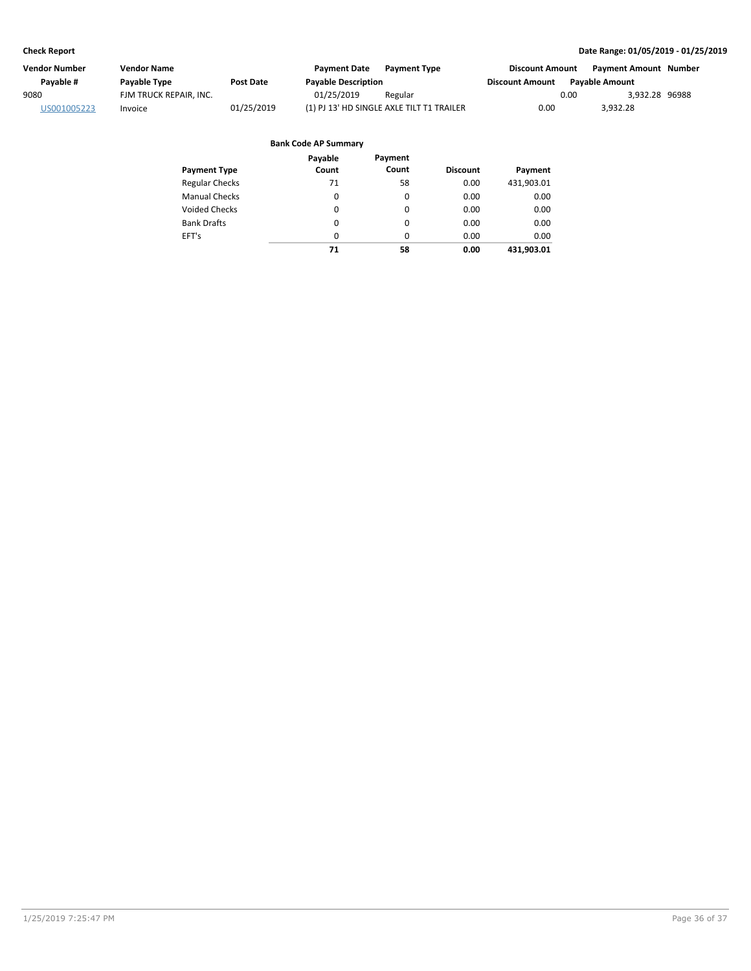| Vendor Number | <b>Vendor Name</b>     |            | <b>Payment Date</b>        | <b>Payment Type</b>                       | <b>Discount Amount</b> |                       | Payment Amount Number |  |
|---------------|------------------------|------------|----------------------------|-------------------------------------------|------------------------|-----------------------|-----------------------|--|
| Pavable #     | Payable Type           | Post Date  | <b>Payable Description</b> |                                           | <b>Discount Amount</b> | <b>Pavable Amount</b> |                       |  |
| 9080          | FJM TRUCK REPAIR, INC. |            | 01/25/2019                 | Regular                                   |                        | 0.00                  | 3,932.28 96988        |  |
| US001005223   | Invoice                | 01/25/2019 |                            | (1) PJ 13' HD SINGLE AXLE TILT T1 TRAILER | 0.00                   |                       | 3.932.28              |  |

|                       | Payable | Payment  |                 |            |
|-----------------------|---------|----------|-----------------|------------|
| <b>Payment Type</b>   | Count   | Count    | <b>Discount</b> | Payment    |
| <b>Regular Checks</b> | 71      | 58       | 0.00            | 431,903.01 |
| <b>Manual Checks</b>  | 0       | 0        | 0.00            | 0.00       |
| Voided Checks         | 0       | $\Omega$ | 0.00            | 0.00       |
| <b>Bank Drafts</b>    | 0       | 0        | 0.00            | 0.00       |
| EFT's                 | 0       | $\Omega$ | 0.00            | 0.00       |
|                       | 71      | 58       | 0.00            | 431.903.01 |